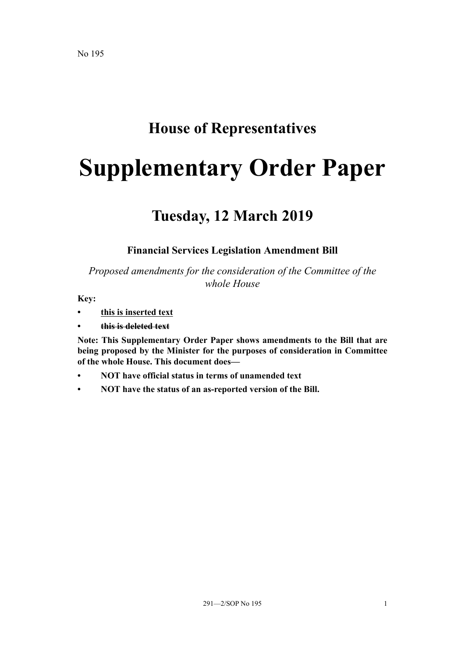## **House of Representatives**

# **Supplementary Order Paper**

## **Tuesday, 12 March 2019**

## **Financial Services Legislation Amendment Bill**

*Proposed amendments for the consideration of the Committee of the whole House*

**Key:**

- **• this is inserted text**
- **• this is deleted text**

**Note: This Supplementary Order Paper shows amendments to the Bill that are being proposed by the Minister for the purposes of consideration in Committee of the whole House. This document does—**

- **• NOT have official status in terms of unamended text**
- **• NOT have the status of an as-reported version of the Bill.**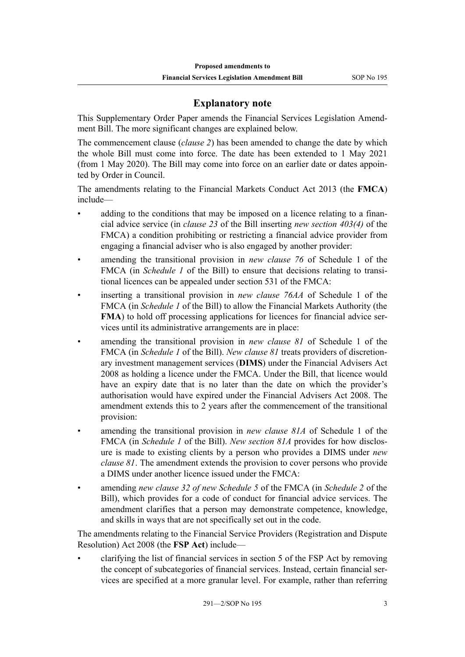## **Explanatory note**

This Supplementary Order Paper amends the Financial Services Legislation Amendment Bill. The more significant changes are explained below.

The commencement clause (*clause 2*) has been amended to change the date by which the whole Bill must come into force. The date has been extended to 1 May 2021 (from 1 May 2020). The Bill may come into force on an earlier date or dates appointed by Order in Council.

The amendments relating to the Financial Markets Conduct Act 2013 (the **FMCA**) include—

- adding to the conditions that may be imposed on a licence relating to a financial advice service (in *clause 23* of the Bill inserting *new section 403(4)* of the FMCA) a condition prohibiting or restricting a financial advice provider from engaging a financial adviser who is also engaged by another provider:
- amending the transitional provision in *new clause 76* of Schedule 1 of the FMCA (in *Schedule 1* of the Bill) to ensure that decisions relating to transitional licences can be appealed under section 531 of the FMCA:
- inserting a transitional provision in *new clause 76AA* of Schedule 1 of the FMCA (in *Schedule 1* of the Bill) to allow the Financial Markets Authority (the **FMA**) to hold off processing applications for licences for financial advice services until its administrative arrangements are in place:
- amending the transitional provision in *new clause 81* of Schedule 1 of the FMCA (in *Schedule 1* of the Bill). *New clause 81* treats providers of discretionary investment management services (**DIMS**) under the Financial Advisers Act 2008 as holding a licence under the FMCA. Under the Bill, that licence would have an expiry date that is no later than the date on which the provider's authorisation would have expired under the Financial Advisers Act 2008. The amendment extends this to 2 years after the commencement of the transitional provision:
- amending the transitional provision in *new clause 81A* of Schedule 1 of the FMCA (in *Schedule 1* of the Bill). *New section 81A* provides for how disclosure is made to existing clients by a person who provides a DIMS under *new clause 81*. The amendment extends the provision to cover persons who provide a DIMS under another licence issued under the FMCA:
- amending *new clause 32 of new Schedule 5* of the FMCA (in *Schedule 2* of the Bill), which provides for a code of conduct for financial advice services. The amendment clarifies that a person may demonstrate competence, knowledge, and skills in ways that are not specifically set out in the code.

The amendments relating to the Financial Service Providers (Registration and Dispute Resolution) Act 2008 (the **FSP Act**) include—

• clarifying the list of financial services in section 5 of the FSP Act by removing the concept of subcategories of financial services. Instead, certain financial services are specified at a more granular level. For example, rather than referring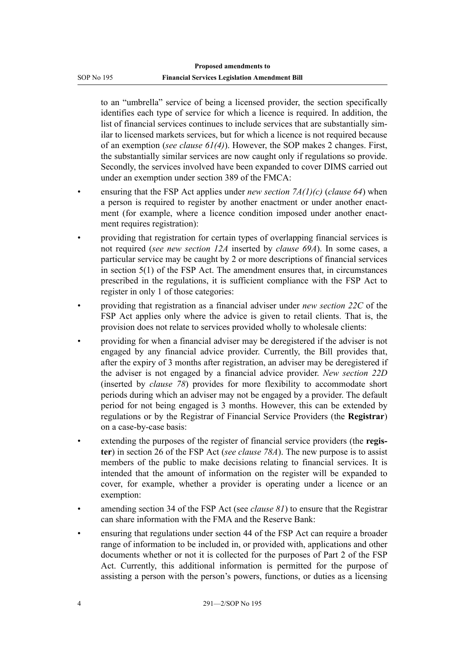to an "umbrella" service of being a licensed provider, the section specifically identifies each type of service for which a licence is required. In addition, the list of financial services continues to include services that are substantially similar to licensed markets services, but for which a licence is not required because of an exemption (*see clause 61(4)*). However, the SOP makes 2 changes. First, the substantially similar services are now caught only if regulations so provide. Secondly, the services involved have been expanded to cover DIMS carried out under an exemption under section 389 of the FMCA:

- ensuring that the FSP Act applies under *new section 7A(1)(c)* (*clause 64*) when a person is required to register by another enactment or under another enactment (for example, where a licence condition imposed under another enactment requires registration):
- providing that registration for certain types of overlapping financial services is not required (*see new section 12A* inserted by *clause 69A*). In some cases, a particular service may be caught by 2 or more descriptions of financial services in section 5(1) of the FSP Act. The amendment ensures that, in circumstances prescribed in the regulations, it is sufficient compliance with the FSP Act to register in only 1 of those categories:
- providing that registration as a financial adviser under *new section 22C* of the FSP Act applies only where the advice is given to retail clients. That is, the provision does not relate to services provided wholly to wholesale clients:
- providing for when a financial adviser may be deregistered if the adviser is not engaged by any financial advice provider. Currently, the Bill provides that, after the expiry of 3 months after registration, an adviser may be deregistered if the adviser is not engaged by a financial advice provider. *New section 22D* (inserted by *clause 78*) provides for more flexibility to accommodate short periods during which an adviser may not be engaged by a provider. The default period for not being engaged is 3 months. However, this can be extended by regulations or by the Registrar of Financial Service Providers (the **Registrar**) on a case-by-case basis:
- extending the purposes of the register of financial service providers (the **register**) in section 26 of the FSP Act (*see clause 78A*). The new purpose is to assist members of the public to make decisions relating to financial services. It is intended that the amount of information on the register will be expanded to cover, for example, whether a provider is operating under a licence or an exemption:
- amending section 34 of the FSP Act (see *clause 81*) to ensure that the Registrar can share information with the FMA and the Reserve Bank:
- ensuring that regulations under section 44 of the FSP Act can require a broader range of information to be included in, or provided with, applications and other documents whether or not it is collected for the purposes of Part 2 of the FSP Act. Currently, this additional information is permitted for the purpose of assisting a person with the person's powers, functions, or duties as a licensing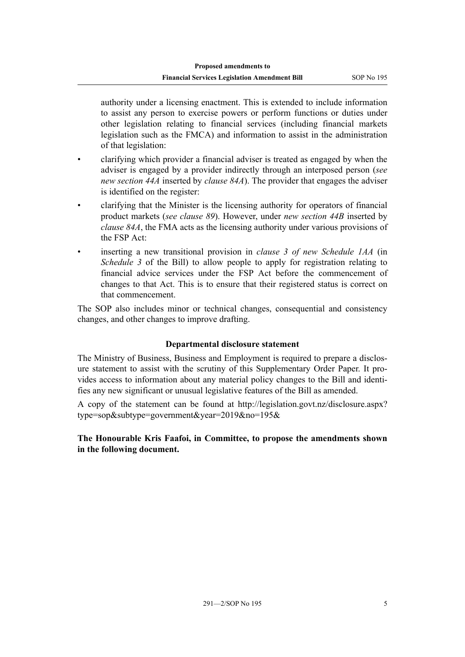authority under a licensing enactment. This is extended to include information to assist any person to exercise powers or perform functions or duties under other legislation relating to financial services (including financial markets legislation such as the FMCA) and information to assist in the administration of that legislation:

- clarifying which provider a financial adviser is treated as engaged by when the adviser is engaged by a provider indirectly through an interposed person (*see new section 44A* inserted by *clause 84A*). The provider that engages the adviser is identified on the register:
- clarifying that the Minister is the licensing authority for operators of financial product markets (*see clause 89*). However, under *new section 44B* inserted by *clause 84A*, the FMA acts as the licensing authority under various provisions of the FSP Act:
- inserting a new transitional provision in *clause 3 of new Schedule 1AA* (in *Schedule 3* of the Bill) to allow people to apply for registration relating to financial advice services under the FSP Act before the commencement of changes to that Act. This is to ensure that their registered status is correct on that commencement.

The SOP also includes minor or technical changes, consequential and consistency changes, and other changes to improve drafting.

## **Departmental disclosure statement**

The Ministry of Business, Business and Employment is required to prepare a disclosure statement to assist with the scrutiny of this Supplementary Order Paper. It provides access to information about any material policy changes to the Bill and identifies any new significant or unusual legislative features of the Bill as amended.

A copy of the statement can be found at [http://legislation.govt.nz/disclosure.aspx?](http://legislation.govt.nz/disclosure.aspx?type=sop&subtype=government&year=2019&no=195&) [type=sop&subtype=government&year=2019&no=195&](http://legislation.govt.nz/disclosure.aspx?type=sop&subtype=government&year=2019&no=195&)

**The Honourable Kris Faafoi, in Committee, to propose the amendments shown in the following document.**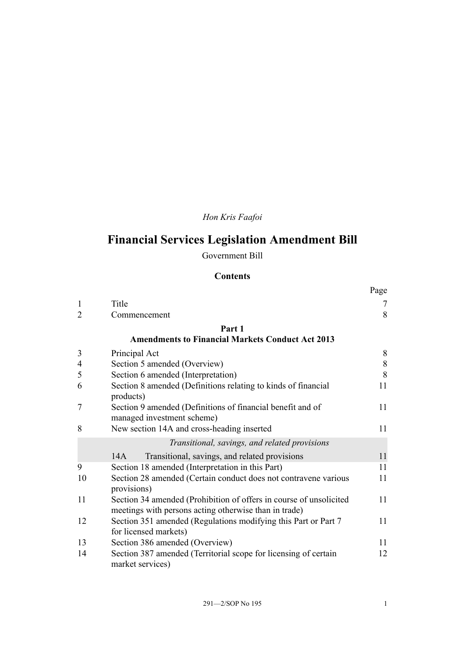## *Hon Kris Faafoi*

## **Financial Services Legislation Amendment Bill**

Government Bill

## **Contents**

|                |                                                                                                                             | Page  |  |  |
|----------------|-----------------------------------------------------------------------------------------------------------------------------|-------|--|--|
| 1              | Title                                                                                                                       | 7     |  |  |
| $\overline{2}$ | Commencement                                                                                                                | 8     |  |  |
|                | Part 1                                                                                                                      |       |  |  |
|                | <b>Amendments to Financial Markets Conduct Act 2013</b>                                                                     |       |  |  |
| 3              | Principal Act                                                                                                               | 8     |  |  |
| 4              | Section 5 amended (Overview)                                                                                                | $8\,$ |  |  |
| 5              | Section 6 amended (Interpretation)                                                                                          | 8     |  |  |
| 6              | Section 8 amended (Definitions relating to kinds of financial<br>products)                                                  | 11    |  |  |
| 7              | Section 9 amended (Definitions of financial benefit and of<br>managed investment scheme)                                    |       |  |  |
| 8              | New section 14A and cross-heading inserted                                                                                  | 11    |  |  |
|                | Transitional, savings, and related provisions                                                                               |       |  |  |
|                | 14A<br>Transitional, savings, and related provisions                                                                        | 11    |  |  |
| 9              | Section 18 amended (Interpretation in this Part)                                                                            | 11    |  |  |
| 10             | Section 28 amended (Certain conduct does not contravene various<br>provisions)                                              | 11    |  |  |
| 11             | Section 34 amended (Prohibition of offers in course of unsolicited<br>meetings with persons acting otherwise than in trade) | 11    |  |  |
| 12             | Section 351 amended (Regulations modifying this Part or Part 7<br>for licensed markets)                                     | 11    |  |  |
| 13             | Section 386 amended (Overview)                                                                                              | 11    |  |  |
| 14             | Section 387 amended (Territorial scope for licensing of certain<br>market services)                                         | 12    |  |  |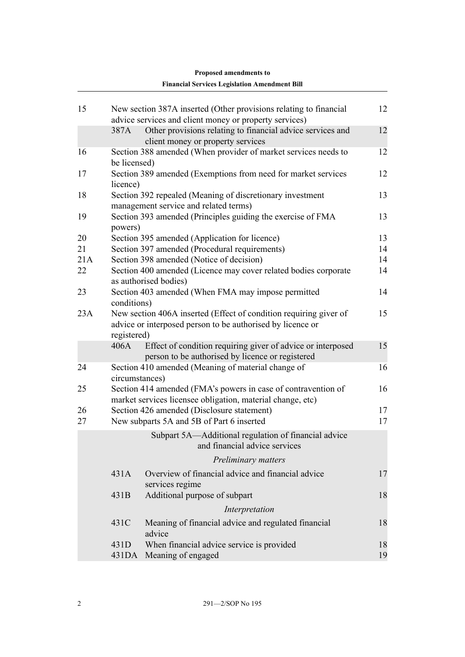|          |                | <b>Financial Services Legislation Amendment Bill</b>                                                                            |          |
|----------|----------------|---------------------------------------------------------------------------------------------------------------------------------|----------|
| 15       |                | New section 387A inserted (Other provisions relating to financial                                                               | 12       |
|          |                | advice services and client money or property services)                                                                          |          |
|          | 387A           | Other provisions relating to financial advice services and                                                                      | 12       |
|          |                | client money or property services                                                                                               |          |
| 16       | be licensed)   | Section 388 amended (When provider of market services needs to                                                                  | 12       |
| 17       | licence)       | Section 389 amended (Exemptions from need for market services                                                                   | 12       |
| 18       |                | Section 392 repealed (Meaning of discretionary investment<br>management service and related terms)                              | 13       |
| 19       | powers)        | Section 393 amended (Principles guiding the exercise of FMA                                                                     | 13       |
| 20       |                | Section 395 amended (Application for licence)                                                                                   | 13       |
| 21       |                | Section 397 amended (Procedural requirements)                                                                                   | 14       |
| 21A      |                | Section 398 amended (Notice of decision)                                                                                        | 14       |
| 22       |                | Section 400 amended (Licence may cover related bodies corporate<br>as authorised bodies)                                        | 14       |
| 23       | conditions)    | Section 403 amended (When FMA may impose permitted                                                                              | 14       |
| 23A      | registered)    | New section 406A inserted (Effect of condition requiring giver of<br>advice or interposed person to be authorised by licence or | 15       |
|          | 406A           | Effect of condition requiring giver of advice or interposed<br>person to be authorised by licence or registered                 | 15       |
| 24       | circumstances) | Section 410 amended (Meaning of material change of                                                                              | 16       |
| 25       |                | Section 414 amended (FMA's powers in case of contravention of<br>market services licensee obligation, material change, etc)     | 16       |
| 26<br>27 |                | Section 426 amended (Disclosure statement)<br>New subparts 5A and 5B of Part 6 inserted                                         | 17<br>17 |
|          |                | Subpart 5A—Additional regulation of financial advice<br>and financial advice services                                           |          |
|          |                | Preliminary matters                                                                                                             |          |
|          | 431A           | Overview of financial advice and financial advice<br>services regime                                                            | 17       |
|          | 431B           | Additional purpose of subpart                                                                                                   | 18       |
|          |                | Interpretation                                                                                                                  |          |
|          | 431C           | Meaning of financial advice and regulated financial<br>advice                                                                   | 18       |
|          | 431D<br>431DA  | When financial advice service is provided<br>Meaning of engaged                                                                 | 18<br>19 |

## **Proposed amendments to**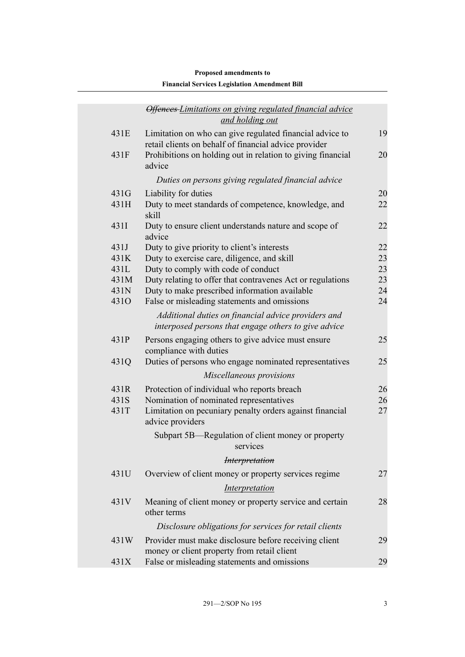## *[Offences Limitations on giving regulated financial advice](#page-24-0) [and holding out](#page-24-0)* [431E](#page-24-0) [Limitation on who can give regulated financial advice to](#page-24-0) [retail clients on behalf of financial advice provider](#page-24-0) [19](#page-24-0) [431F](#page-25-0) [Prohibitions on holding out in relation to giving financial](#page-25-0) [advice](#page-25-0) [20](#page-25-0) *[Duties on persons giving regulated financial advice](#page-25-0)* [431G](#page-25-0) [Liability for duties](#page-25-0) [20](#page-25-0) [431H](#page-27-0) [Duty to meet standards of competence, knowledge, and](#page-27-0) [skill](#page-27-0) [22](#page-27-0) [431I](#page-27-0) [Duty to ensure client understands nature and scope of](#page-27-0) [advice](#page-27-0) [22](#page-27-0) [431J](#page-27-0) [Duty to give priority to client's interests](#page-27-0) [22](#page-27-0) [431K](#page-28-0) [Duty to exercise care, diligence, and skill](#page-28-0) [23](#page-28-0) [431L](#page-28-0) [Duty to comply with code of conduct](#page-28-0) [23](#page-28-0) [431M](#page-28-0) [Duty relating to offer that contravenes Act or regulations](#page-28-0) [23](#page-28-0) [431N](#page-29-0) [Duty to make prescribed information available](#page-29-0) [24](#page-29-0) [431O](#page-29-0) [False or misleading statements and omissions](#page-29-0) [24](#page-29-0) *[Additional duties on financial advice providers and](#page-30-0) [interposed persons that engage others to give advice](#page-30-0)* [431P](#page-30-0) [Persons engaging others to give advice must ensure](#page-30-0) [compliance with duties](#page-30-0) [25](#page-30-0) [431Q](#page-30-0) [Duties of persons who engage nominated representatives](#page-30-0) [25](#page-30-0) *[Miscellaneous provisions](#page-31-0)* [431R](#page-31-0) [Protection of individual who reports breach](#page-31-0) [26](#page-31-0) [431S](#page-31-0) [Nomination of nominated representatives](#page-31-0) [26](#page-31-0) [431T](#page-32-0) [Limitation on pecuniary penalty orders against financial](#page-32-0) [advice providers](#page-32-0) [27](#page-32-0) [Subpart 5B—Regulation of client money or property](#page-32-0) [services](#page-32-0) *[Interpretation](#page-32-0)* [431U](#page-32-0) [Overview of client money or property services regime](#page-32-0) [27](#page-32-0) *[Interpretation](#page-33-0)* [431V](#page-33-0) [Meaning of client money or property service and certain](#page-33-0) [other terms](#page-33-0) [28](#page-33-0) *[Disclosure obligations for services for retail clients](#page-34-0)* [431W](#page-34-0) [Provider must make disclosure before receiving client](#page-34-0) [money or client property from retail client](#page-34-0) [29](#page-34-0) [431X](#page-34-0) [False or misleading statements and omissions](#page-34-0) [29](#page-34-0) **Financial Services Legislation Amendment Bill**

## **Proposed amendments to**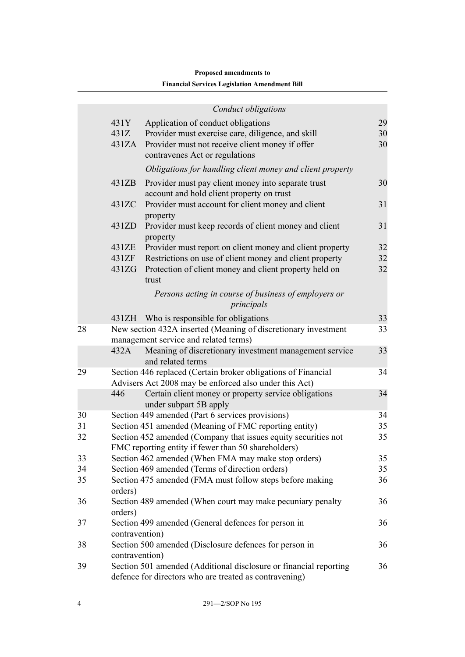## **Proposed amendments to Financial Services Legislation Amendment Bill**

|    |                | Conduct obligations                                                                                                         |    |
|----|----------------|-----------------------------------------------------------------------------------------------------------------------------|----|
|    | 431Y           | Application of conduct obligations                                                                                          | 29 |
|    | 431Z           | Provider must exercise care, diligence, and skill                                                                           | 30 |
|    | 431ZA          | Provider must not receive client money if offer                                                                             | 30 |
|    |                | contravenes Act or regulations                                                                                              |    |
|    |                | Obligations for handling client money and client property                                                                   |    |
|    | 431ZB          | Provider must pay client money into separate trust                                                                          | 30 |
|    |                | account and hold client property on trust                                                                                   |    |
|    | 431ZC          | Provider must account for client money and client                                                                           | 31 |
|    |                | property                                                                                                                    |    |
|    | 431ZD          | Provider must keep records of client money and client                                                                       | 31 |
|    | 431ZE          | property<br>Provider must report on client money and client property                                                        | 32 |
|    | 431ZF          | Restrictions on use of client money and client property                                                                     | 32 |
|    | 431ZG          | Protection of client money and client property held on                                                                      | 32 |
|    |                | trust                                                                                                                       |    |
|    |                | Persons acting in course of business of employers or                                                                        |    |
|    |                | principals                                                                                                                  |    |
|    | 431ZH          | Who is responsible for obligations                                                                                          | 33 |
| 28 |                | New section 432A inserted (Meaning of discretionary investment                                                              | 33 |
|    |                | management service and related terms)                                                                                       |    |
|    | 432A           | Meaning of discretionary investment management service                                                                      | 33 |
|    |                | and related terms                                                                                                           | 34 |
| 29 |                | Section 446 replaced (Certain broker obligations of Financial<br>Advisers Act 2008 may be enforced also under this Act)     |    |
|    | 446            | Certain client money or property service obligations                                                                        | 34 |
|    |                | under subpart 5B apply                                                                                                      |    |
| 30 |                | Section 449 amended (Part 6 services provisions)                                                                            | 34 |
| 31 |                | Section 451 amended (Meaning of FMC reporting entity)                                                                       | 35 |
| 32 |                | Section 452 amended (Company that issues equity securities not                                                              | 35 |
|    |                | FMC reporting entity if fewer than 50 shareholders)                                                                         |    |
| 33 |                | Section 462 amended (When FMA may make stop orders)                                                                         | 35 |
| 34 |                | Section 469 amended (Terms of direction orders)                                                                             | 35 |
| 35 | orders)        | Section 475 amended (FMA must follow steps before making                                                                    | 36 |
| 36 |                | Section 489 amended (When court may make pecuniary penalty                                                                  | 36 |
|    | orders)        |                                                                                                                             |    |
| 37 |                | Section 499 amended (General defences for person in                                                                         | 36 |
|    | contravention) |                                                                                                                             |    |
| 38 |                | Section 500 amended (Disclosure defences for person in                                                                      | 36 |
|    | contravention) |                                                                                                                             |    |
| 39 |                | Section 501 amended (Additional disclosure or financial reporting<br>defence for directors who are treated as contravening) | 36 |
|    |                |                                                                                                                             |    |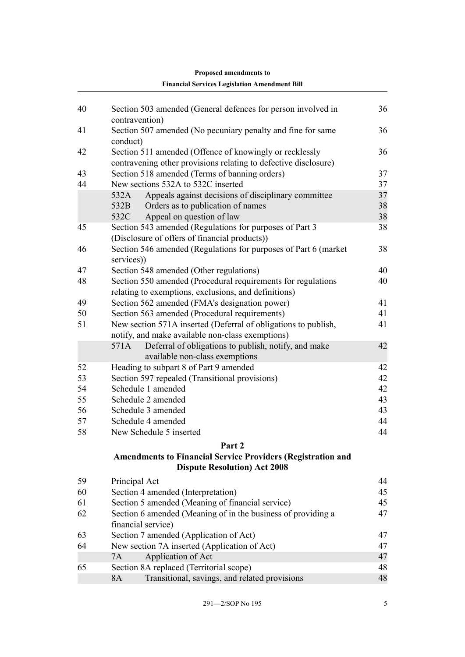|    | <b>Financial Services Legislation Amendment Bill</b>                                                      |    |
|----|-----------------------------------------------------------------------------------------------------------|----|
| 40 | Section 503 amended (General defences for person involved in                                              | 36 |
|    | contravention)                                                                                            |    |
| 41 | Section 507 amended (No pecuniary penalty and fine for same<br>conduct)                                   | 36 |
| 42 | Section 511 amended (Offence of knowingly or recklessly                                                   | 36 |
|    | contravening other provisions relating to defective disclosure)                                           |    |
| 43 | Section 518 amended (Terms of banning orders)                                                             | 37 |
| 44 | New sections 532A to 532C inserted                                                                        | 37 |
|    | Appeals against decisions of disciplinary committee<br>532A                                               | 37 |
|    | 532B<br>Orders as to publication of names                                                                 | 38 |
|    | Appeal on question of law<br>532C                                                                         | 38 |
| 45 | Section 543 amended (Regulations for purposes of Part 3                                                   | 38 |
|    | (Disclosure of offers of financial products))                                                             |    |
| 46 | Section 546 amended (Regulations for purposes of Part 6 (market)                                          | 38 |
|    | services))                                                                                                |    |
| 47 | Section 548 amended (Other regulations)                                                                   | 40 |
| 48 | Section 550 amended (Procedural requirements for regulations                                              | 40 |
|    | relating to exemptions, exclusions, and definitions)                                                      |    |
| 49 | Section 562 amended (FMA's designation power)                                                             | 41 |
| 50 | Section 563 amended (Procedural requirements)                                                             | 41 |
| 51 | New section 571A inserted (Deferral of obligations to publish,                                            | 41 |
|    | notify, and make available non-class exemptions)                                                          |    |
|    | Deferral of obligations to publish, notify, and make<br>571A                                              | 42 |
|    | available non-class exemptions                                                                            |    |
| 52 | Heading to subpart 8 of Part 9 amended                                                                    | 42 |
| 53 | Section 597 repealed (Transitional provisions)                                                            | 42 |
| 54 | Schedule 1 amended                                                                                        | 42 |
| 55 | Schedule 2 amended                                                                                        | 43 |
| 56 | Schedule 3 amended                                                                                        | 43 |
| 57 | Schedule 4 amended                                                                                        | 44 |
| 58 | New Schedule 5 inserted                                                                                   | 44 |
|    | Part 2                                                                                                    |    |
|    | <b>Amendments to Financial Service Providers (Registration and</b><br><b>Dispute Resolution) Act 2008</b> |    |
|    |                                                                                                           |    |
| 59 | Principal Act                                                                                             | 44 |
| 60 | Section 4 amended (Interpretation)                                                                        | 45 |
| 61 | Section 5 amended (Meaning of financial service)                                                          | 45 |
| 62 | Section 6 amended (Meaning of in the business of providing a                                              | 47 |
|    | financial service)                                                                                        |    |
| 63 | Section 7 amended (Application of Act)                                                                    | 47 |
| 64 | New section 7A inserted (Application of Act)                                                              | 47 |
| 65 | Application of Act<br>7A                                                                                  | 47 |
|    | Section 8A replaced (Territorial scope)<br><b>8A</b>                                                      | 48 |
|    | Transitional, savings, and related provisions                                                             | 48 |

## **Proposed amendments to**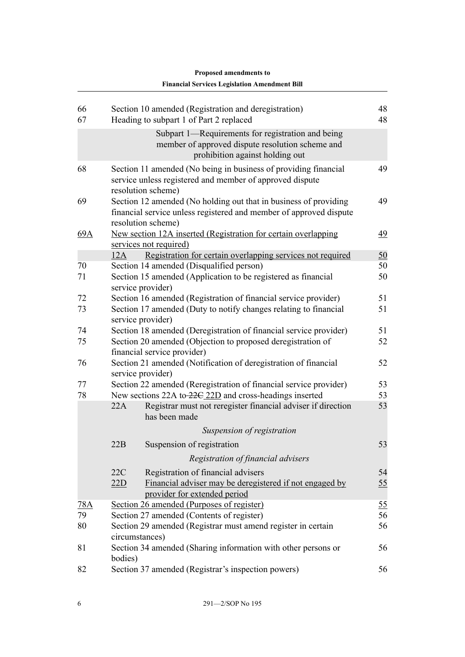| 66<br>67 |         | Section 10 amended (Registration and deregistration)<br>Heading to subpart 1 of Part 2 replaced                                                              | 48<br>48         |
|----------|---------|--------------------------------------------------------------------------------------------------------------------------------------------------------------|------------------|
|          |         | Subpart 1—Requirements for registration and being<br>member of approved dispute resolution scheme and<br>prohibition against holding out                     |                  |
| 68       |         | Section 11 amended (No being in business of providing financial<br>service unless registered and member of approved dispute<br>resolution scheme)            | 49               |
| 69       |         | Section 12 amended (No holding out that in business of providing<br>financial service unless registered and member of approved dispute<br>resolution scheme) | 49               |
| 69A      |         | New section 12A inserted (Registration for certain overlapping<br>services not required)                                                                     | 49               |
|          | 12A     | Registration for certain overlapping services not required                                                                                                   | 50               |
| 70       |         | Section 14 amended (Disqualified person)                                                                                                                     | 50               |
| 71       |         | Section 15 amended (Application to be registered as financial<br>service provider)                                                                           | 50               |
| 72       |         | Section 16 amended (Registration of financial service provider)                                                                                              | 51               |
| 73       |         | Section 17 amended (Duty to notify changes relating to financial<br>service provider)                                                                        | 51               |
| 74       |         | Section 18 amended (Deregistration of financial service provider)                                                                                            | 51               |
| 75       |         | Section 20 amended (Objection to proposed deregistration of<br>financial service provider)                                                                   | 52               |
| 76       |         | Section 21 amended (Notification of deregistration of financial<br>service provider)                                                                         | 52               |
| 77       |         | Section 22 amended (Reregistration of financial service provider)                                                                                            | 53               |
| 78       |         | New sections 22A to-22C 22D and cross-headings inserted                                                                                                      | 53               |
|          | 22A     | Registrar must not reregister financial adviser if direction<br>has been made                                                                                | 53               |
|          |         | Suspension of registration                                                                                                                                   |                  |
|          | 22B     | Suspension of registration                                                                                                                                   | 53               |
|          |         | Registration of financial advisers                                                                                                                           |                  |
|          | 22C     | Registration of financial advisers                                                                                                                           | 54               |
|          | 22D     | Financial adviser may be deregistered if not engaged by<br>provider for extended period                                                                      | $\underline{55}$ |
| 78A      |         | Section 26 amended (Purposes of register)                                                                                                                    | 55               |
| 79       |         | Section 27 amended (Contents of register)                                                                                                                    | 56               |
| 80       |         | Section 29 amended (Registrar must amend register in certain<br>circumstances)                                                                               | 56               |
| 81       | bodies) | Section 34 amended (Sharing information with other persons or                                                                                                | 56               |
| 82       |         | Section 37 amended (Registrar's inspection powers)                                                                                                           | 56               |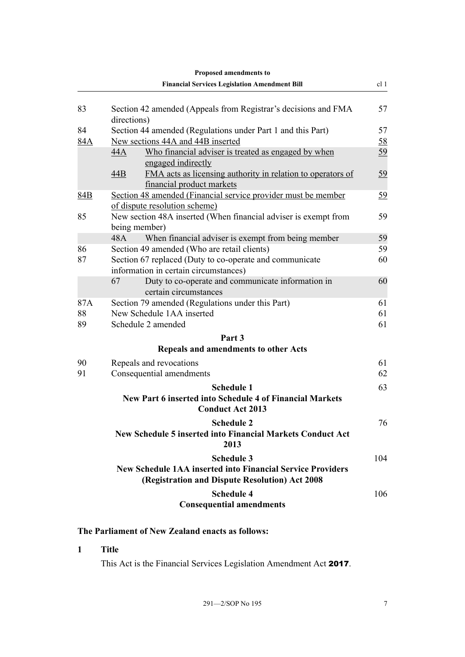<span id="page-12-0"></span>

|                 | Proposed amendments to                                                                                                                          |                 |
|-----------------|-------------------------------------------------------------------------------------------------------------------------------------------------|-----------------|
|                 | <b>Financial Services Legislation Amendment Bill</b>                                                                                            | cl <sub>1</sub> |
| 83              | Section 42 amended (Appeals from Registrar's decisions and FMA<br>directions)                                                                   | 57              |
| 84              | Section 44 amended (Regulations under Part 1 and this Part)                                                                                     | 57              |
| 84A             | New sections 44A and 44B inserted                                                                                                               | 58              |
|                 | 44A<br>Who financial adviser is treated as engaged by when<br>engaged indirectly                                                                | 59              |
|                 | FMA acts as licensing authority in relation to operators of<br>44B<br>financial product markets                                                 | 59              |
| 84B             | Section 48 amended (Financial service provider must be member<br>of dispute resolution scheme)                                                  | 59              |
| 85              | New section 48A inserted (When financial adviser is exempt from<br>being member)                                                                | 59              |
|                 | When financial adviser is exempt from being member<br>48A                                                                                       | 59<br>59        |
| 86<br>87        | Section 49 amended (Who are retail clients)<br>Section 67 replaced (Duty to co-operate and communicate<br>information in certain circumstances) | 60              |
|                 | 67<br>Duty to co-operate and communicate information in<br>certain circumstances                                                                | 60              |
| 87A<br>88<br>89 | Section 79 amended (Regulations under this Part)<br>New Schedule 1AA inserted<br>Schedule 2 amended                                             | 61<br>61<br>61  |
|                 | Part 3                                                                                                                                          |                 |
|                 | <b>Repeals and amendments to other Acts</b>                                                                                                     |                 |
| 90              | Repeals and revocations                                                                                                                         | 61              |
| 91              | Consequential amendments                                                                                                                        | 62              |
|                 | <b>Schedule 1</b><br><b>New Part 6 inserted into Schedule 4 of Financial Markets</b>                                                            | 63              |
|                 | <b>Conduct Act 2013</b>                                                                                                                         |                 |
|                 | <b>Schedule 2</b><br>New Schedule 5 inserted into Financial Markets Conduct Act<br>2013                                                         | 76              |
|                 | <b>Schedule 3</b><br><b>New Schedule 1AA inserted into Financial Service Providers</b><br>(Registration and Dispute Resolution) Act 2008        | 104             |
|                 | <b>Schedule 4</b><br><b>Consequential amendments</b>                                                                                            | 106             |

## **The Parliament of New Zealand enacts as follows:**

## **1 Title**

This Act is the Financial Services Legislation Amendment Act 2017.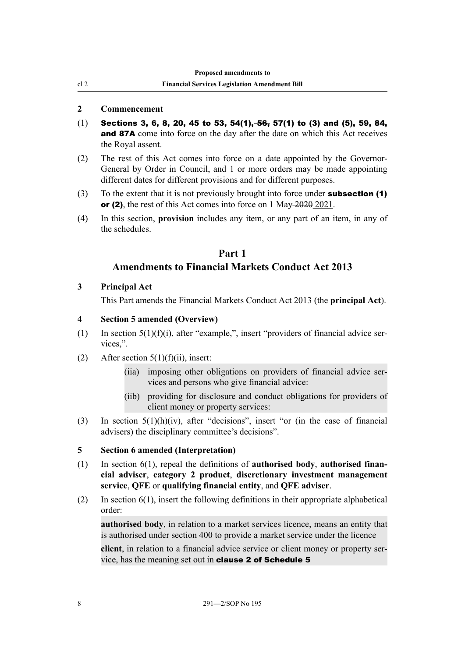## **2 Commencement**

<span id="page-13-0"></span>cl 2

- $(1)$  Sections 3, 6, 8, 20, 45 to 53, 54(1), 56, 57(1) to (3) and (5), 59, 84, and 87A come into force on the day after the date on which this Act receives the Royal assent.
- (2) The rest of this Act comes into force on a date appointed by the Governor-General by Order in Council, and 1 or more orders may be made appointing different dates for different provisions and for different purposes.
- (3) To the extent that it is not previously brought into force under **subsection** (1) or (2), the rest of this Act comes into force on 1 May 2020 2021.
- (4) In this section, **provision** includes any item, or any part of an item, in any of the schedules.

## **Part 1 Amendments to Financial Markets Conduct Act 2013**

## **3 Principal Act**

This Part amends the Financial Markets Conduct Act 2013 (the **principal Act**).

## **4 Section 5 amended (Overview)**

- (1) In section  $5(1)(f)(i)$ , after "example,", insert "providers of financial advice services,".
- (2) After section  $5(1)(f)(ii)$ , insert:
	- (iia) imposing other obligations on providers of financial advice services and persons who give financial advice:
	- (iib) providing for disclosure and conduct obligations for providers of client money or property services:
- (3) In section 5(1)(h)(iv), after "decisions", insert "or (in the case of financial advisers) the disciplinary committee's decisions".

## **5 Section 6 amended (Interpretation)**

- (1) In section 6(1), repeal the definitions of **authorised body**, **authorised financial adviser**, **category 2 product**, **discretionary investment management service**, **QFE** or **qualifying financial entity**, and **QFE adviser**.
- (2) In section  $6(1)$ , insert the following definitions in their appropriate alphabetical order:

**authorised body**, in relation to a market services licence, means an entity that is authorised under section 400 to provide a market service under the licence

**client**, in relation to a financial advice service or client money or property service, has the meaning set out in clause 2 of Schedule 5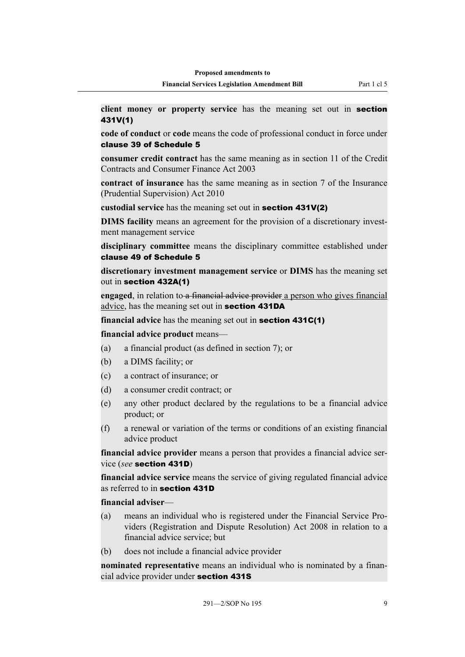**client money or property service** has the meaning set out in section 431V(1)

**code of conduct** or **code** means the code of professional conduct in force under clause 39 of Schedule 5

**consumer credit contract** has the same meaning as in section 11 of the Credit Contracts and Consumer Finance Act 2003

**contract of insurance** has the same meaning as in section 7 of the Insurance (Prudential Supervision) Act 2010

**custodial service** has the meaning set out in section 431V(2)

**DIMS facility** means an agreement for the provision of a discretionary investment management service

**disciplinary committee** means the disciplinary committee established under clause 49 of Schedule 5

**discretionary investment management service** or **DIMS** has the meaning set out in section 432A(1)

**engaged**, in relation to a financial advice provider a person who gives financial advice, has the meaning set out in section 431DA

**financial advice** has the meaning set out in **section 431C(1)** 

**financial advice product** means—

- (a) a financial product (as defined in section 7); or
- (b) a DIMS facility; or
- (c) a contract of insurance; or
- (d) a consumer credit contract; or
- (e) any other product declared by the regulations to be a financial advice product; or
- (f) a renewal or variation of the terms or conditions of an existing financial advice product

**financial advice provider** means a person that provides a financial advice service (*see* section 431D)

**financial advice service** means the service of giving regulated financial advice as referred to in section 431D

#### **financial adviser**—

- (a) means an individual who is registered under the Financial Service Providers (Registration and Dispute Resolution) Act 2008 in relation to a financial advice service; but
- (b) does not include a financial advice provider

**nominated representative** means an individual who is nominated by a financial advice provider under section 431S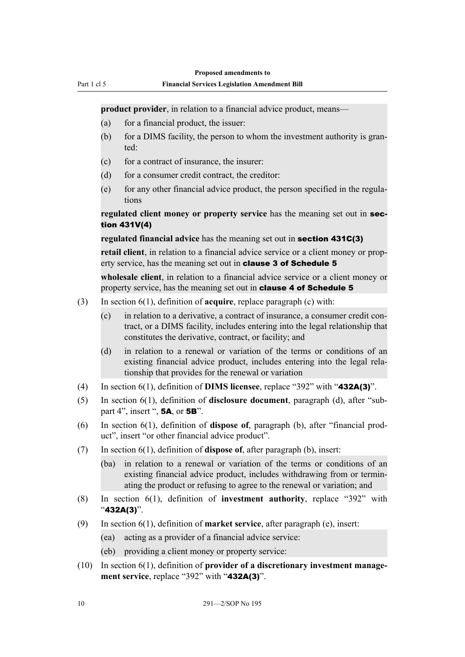**product provider**, in relation to a financial advice product, means—

(a) for a financial product, the issuer:

Part 1 cl 5

- (b) for a DIMS facility, the person to whom the investment authority is granted:
- $(c)$  for a contract of insurance, the insurer:
- (d) for a consumer credit contract, the creditor:
- $(e)$  for any other financial advice product, the person specified in the regulations

**regulated client money or property service** has the meaning set out in section 431V(4)

**regulated financial advice** has the meaning set out in **section 431C(3)** 

**retail client**, in relation to a financial advice service or a client money or property service, has the meaning set out in **clause 3 of Schedule 5** 

**wholesale client**, in relation to a financial advice service or a client money or property service, has the meaning set out in **clause 4 of Schedule 5** 

- (3) In section 6(1), definition of **acquire**, replace paragraph (c) with:
	- (c) in relation to a derivative, a contract of insurance, a consumer credit contract, or a DIMS facility, includes entering into the legal relationship that constitutes the derivative, contract, or facility; and
	- (d) in relation to a renewal or variation of the terms or conditions of an existing financial advice product, includes entering into the legal relationship that provides for the renewal or variation
- (4) In section 6(1), definition of **DIMS licensee**, replace "392" with "432A(3)".
- (5) In section 6(1), definition of **disclosure document**, paragraph (d), after "subpart 4", insert ", 5A, or 5B".
- (6) In section 6(1), definition of **dispose of**, paragraph (b), after "financial product", insert "or other financial advice product".
- (7) In section 6(1), definition of **dispose of**, after paragraph (b), insert:
	- (ba) in relation to a renewal or variation of the terms or conditions of an existing financial advice product, includes withdrawing from or terminating the product or refusing to agree to the renewal or variation; and
- (8) In section 6(1), definition of **investment authority**, replace "392" with "432A(3)".
- (9) In section 6(1), definition of **market service**, after paragraph (e), insert:
	- (ea) acting as a provider of a financial advice service:
	- (eb) providing a client money or property service:
- (10) In section 6(1), definition of **provider of a discretionary investment management service**, replace "392" with "**432A(3)**".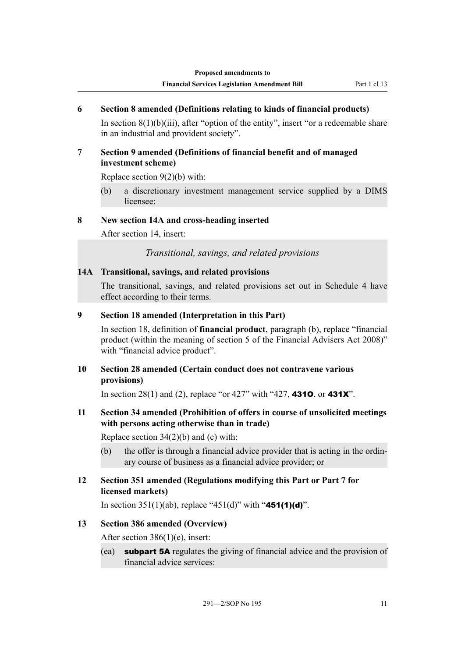## <span id="page-16-0"></span>**6 Section 8 amended (Definitions relating to kinds of financial products)**

In section  $8(1)(b)(iii)$ , after "option of the entity", insert "or a redeemable share in an industrial and provident society".

## **7 Section 9 amended (Definitions of financial benefit and of managed investment scheme)**

Replace section 9(2)(b) with:

(b) a discretionary investment management service supplied by a DIMS licensee:

## **8 New section 14A and cross-heading inserted**

After section 14, insert:

*Transitional, savings, and related provisions*

## **14A Transitional, savings, and related provisions**

The transitional, savings, and related provisions set out in Schedule 4 have effect according to their terms.

## **9 Section 18 amended (Interpretation in this Part)**

In section 18, definition of **financial product**, paragraph (b), replace "financial product (within the meaning of section 5 of the Financial Advisers Act 2008)" with "financial advice product".

## **10 Section 28 amended (Certain conduct does not contravene various provisions)**

In section 28(1) and (2), replace "or 427" with "427, **4310**, or **431X**".

## **11 Section 34 amended (Prohibition of offers in course of unsolicited meetings with persons acting otherwise than in trade)**

Replace section 34(2)(b) and (c) with:

- (b) the offer is through a financial advice provider that is acting in the ordinary course of business as a financial advice provider; or
- **12 Section 351 amended (Regulations modifying this Part or Part 7 for licensed markets)**

In section 351(1)(ab), replace "451(d)" with "451(1)(d)".

## **13 Section 386 amended (Overview)**

After section 386(1)(e), insert:

(ea) subpart 5A regulates the giving of financial advice and the provision of financial advice services: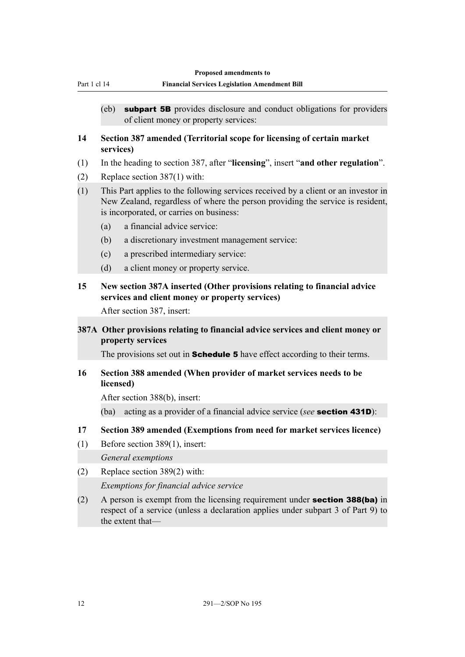<span id="page-17-0"></span>

|     | <b>Financial Services Legislation Amendment Bill</b><br>Part 1 cl 14                                                                                                                                             |
|-----|------------------------------------------------------------------------------------------------------------------------------------------------------------------------------------------------------------------|
|     | <b>subpart 5B</b> provides disclosure and conduct obligations for providers<br>(eb)<br>of client money or property services:                                                                                     |
| 14  | Section 387 amended (Territorial scope for licensing of certain market<br>services)                                                                                                                              |
| (1) | In the heading to section 387, after "licensing", insert "and other regulation".                                                                                                                                 |
| (2) | Replace section 387(1) with:                                                                                                                                                                                     |
| (1) | This Part applies to the following services received by a client or an investor in<br>New Zealand, regardless of where the person providing the service is resident,<br>is incorporated, or carries on business: |
|     | a financial advice service:<br>(a)                                                                                                                                                                               |
|     | (b)<br>a discretionary investment management service:                                                                                                                                                            |
|     | a prescribed intermediary service:<br>(c)                                                                                                                                                                        |
|     | (d)<br>a client money or property service.                                                                                                                                                                       |
| 15  | New section 387A inserted (Other provisions relating to financial advice<br>services and client money or property services)                                                                                      |
|     |                                                                                                                                                                                                                  |
|     | After section 387, insert:                                                                                                                                                                                       |
|     | 387A Other provisions relating to financial advice services and client money or<br>property services                                                                                                             |
|     | The provisions set out in <b>Schedule 5</b> have effect according to their terms.                                                                                                                                |
| 16  | Section 388 amended (When provider of market services needs to be<br>licensed)                                                                                                                                   |
|     | After section 388(b), insert:                                                                                                                                                                                    |
|     | acting as a provider of a financial advice service (see <b>section 431D</b> ):<br>(ba)                                                                                                                           |
| 17  |                                                                                                                                                                                                                  |
|     | Section 389 amended (Exemptions from need for market services licence)                                                                                                                                           |
| (1) | Before section 389(1), insert:<br>General exemptions                                                                                                                                                             |
|     |                                                                                                                                                                                                                  |
| (2) | Replace section 389(2) with:<br>Exemptions for financial advice service                                                                                                                                          |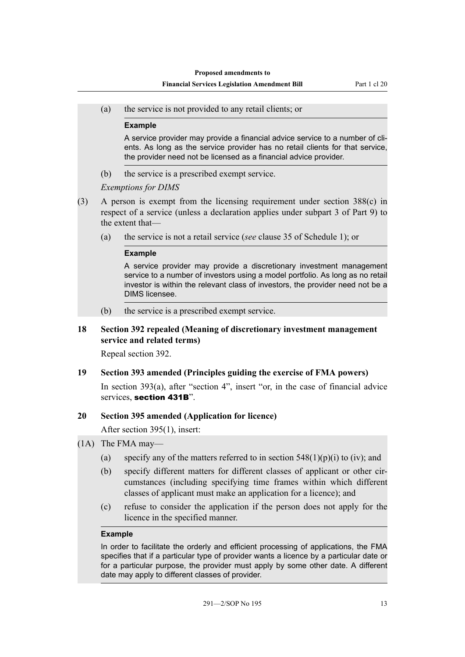<span id="page-18-0"></span>(a) the service is not provided to any retail clients; or

#### **Example**

A service provider may provide a financial advice service to a number of clients. As long as the service provider has no retail clients for that service, the provider need not be licensed as a financial advice provider.

(b) the service is a prescribed exempt service.

### *Exemptions for DIMS*

- (3) A person is exempt from the licensing requirement under section 388(c) in respect of a service (unless a declaration applies under subpart 3 of Part 9) to the extent that—
	- (a) the service is not a retail service (*see* clause 35 of Schedule 1); or

#### **Example**

A service provider may provide a discretionary investment management service to a number of investors using a model portfolio. As long as no retail investor is within the relevant class of investors, the provider need not be a DIMS licensee.

(b) the service is a prescribed exempt service.

## **18 Section 392 repealed (Meaning of discretionary investment management service and related terms)**

Repeal section 392.

### **19 Section 393 amended (Principles guiding the exercise of FMA powers)**

In section 393(a), after "section 4", insert "or, in the case of financial advice services, section 431B".

### **20 Section 395 amended (Application for licence)**

After section 395(1), insert:

- (1A) The FMA may—
	- (a) specify any of the matters referred to in section  $548(1)(p)(i)$  to (iv); and
	- (b) specify different matters for different classes of applicant or other circumstances (including specifying time frames within which different classes of applicant must make an application for a licence); and
	- (c) refuse to consider the application if the person does not apply for the licence in the specified manner.

#### **Example**

In order to facilitate the orderly and efficient processing of applications, the FMA specifies that if a particular type of provider wants a licence by a particular date or for a particular purpose, the provider must apply by some other date. A different date may apply to different classes of provider.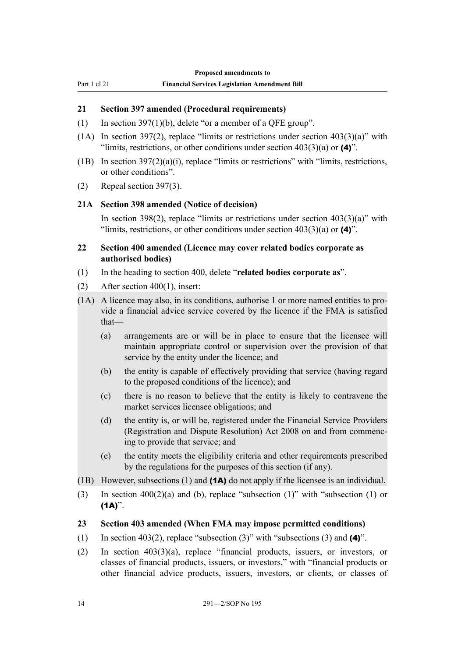## <span id="page-19-0"></span>**21 Section 397 amended (Procedural requirements)**

- (1) In section 397(1)(b), delete "or a member of a QFE group".
- (1A) In section 397(2), replace "limits or restrictions under section  $403(3)(a)$ " with "limits, restrictions, or other conditions under section  $403(3)(a)$  or  $(4)$ ".
- (1B) In section  $397(2)(a)(i)$ , replace "limits or restrictions" with "limits, restrictions, or other conditions".
- (2) Repeal section 397(3).

## **21A Section 398 amended (Notice of decision)**

In section 398(2), replace "limits or restrictions under section  $403(3)(a)$ " with "limits, restrictions, or other conditions under section  $403(3)(a)$  or  $(4)$ ".

## **22 Section 400 amended (Licence may cover related bodies corporate as authorised bodies)**

- (1) In the heading to section 400, delete "**related bodies corporate as**".
- (2) After section 400(1), insert:
- (1A) A licence may also, in its conditions, authorise 1 or more named entities to provide a financial advice service covered by the licence if the FMA is satisfied that—
	- (a) arrangements are or will be in place to ensure that the licensee will maintain appropriate control or supervision over the provision of that service by the entity under the licence; and
	- (b) the entity is capable of effectively providing that service (having regard to the proposed conditions of the licence); and
	- (c) there is no reason to believe that the entity is likely to contravene the market services licensee obligations; and
	- (d) the entity is, or will be, registered under the Financial Service Providers (Registration and Dispute Resolution) Act 2008 on and from commencing to provide that service; and
	- (e) the entity meets the eligibility criteria and other requirements prescribed by the regulations for the purposes of this section (if any).
- (1B) However, subsections (1) and (1A) do not apply if the licensee is an individual.
- (3) In section 400(2)(a) and (b), replace "subsection (1)" with "subsection (1) or  $(1A)$ ".

### **23 Section 403 amended (When FMA may impose permitted conditions)**

- (1) In section 403(2), replace "subsection (3)" with "subsections (3) and  $(4)$ ".
- (2) In section 403(3)(a), replace "financial products, issuers, or investors, or classes of financial products, issuers, or investors," with "financial products or other financial advice products, issuers, investors, or clients, or classes of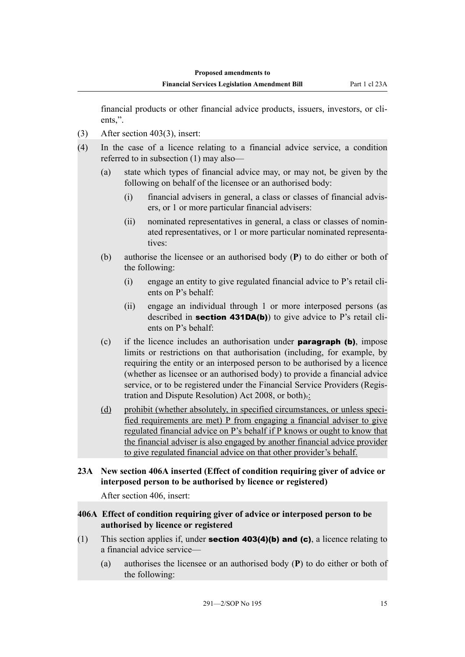<span id="page-20-0"></span>financial products or other financial advice products, issuers, investors, or clients,".

- (3) After section 403(3), insert:
- (4) In the case of a licence relating to a financial advice service, a condition referred to in subsection (1) may also—
	- (a) state which types of financial advice may, or may not, be given by the following on behalf of the licensee or an authorised body:
		- (i) financial advisers in general, a class or classes of financial advisers, or 1 or more particular financial advisers:
		- (ii) nominated representatives in general, a class or classes of nominated representatives, or 1 or more particular nominated representatives:
	- (b) authorise the licensee or an authorised body (**P**) to do either or both of the following:
		- (i) engage an entity to give regulated financial advice to P's retail clients on P's behalf:
		- (ii) engage an individual through 1 or more interposed persons (as described in section 431DA(b)) to give advice to P's retail clients on P's behalf:
	- (c) if the licence includes an authorisation under **paragraph (b)**, impose limits or restrictions on that authorisation (including, for example, by requiring the entity or an interposed person to be authorised by a licence (whether as licensee or an authorised body) to provide a financial advice service, or to be registered under the Financial Service Providers (Registration and Dispute Resolution) Act 2008, or both).:
	- (d) prohibit (whether absolutely, in specified circumstances, or unless specified requirements are met) P from engaging a financial adviser to give regulated financial advice on P's behalf if P knows or ought to know that the financial adviser is also engaged by another financial advice provider to give regulated financial advice on that other provider's behalf.
- **23A New section 406A inserted (Effect of condition requiring giver of advice or interposed person to be authorised by licence or registered)**

After section 406, insert:

## **406A Effect of condition requiring giver of advice or interposed person to be authorised by licence or registered**

- (1) This section applies if, under **section 403(4)(b) and (c)**, a licence relating to a financial advice service—
	- (a) authorises the licensee or an authorised body (**P**) to do either or both of the following: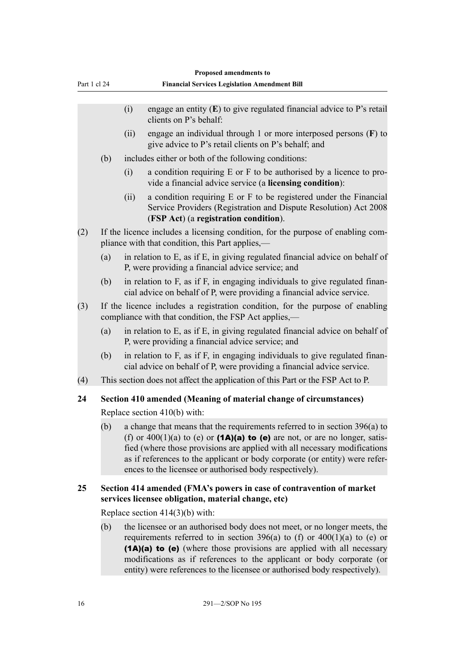<span id="page-21-0"></span>

|              |                                                                   | Proposed amendments to                                                                                                                                                                                                                                                                                                                                                                 |  |  |  |
|--------------|-------------------------------------------------------------------|----------------------------------------------------------------------------------------------------------------------------------------------------------------------------------------------------------------------------------------------------------------------------------------------------------------------------------------------------------------------------------------|--|--|--|
| Part 1 cl 24 |                                                                   | <b>Financial Services Legislation Amendment Bill</b>                                                                                                                                                                                                                                                                                                                                   |  |  |  |
|              |                                                                   | engage an entity $(E)$ to give regulated financial advice to P's retail<br>(i)<br>clients on P's behalf:                                                                                                                                                                                                                                                                               |  |  |  |
|              |                                                                   | engage an individual through 1 or more interposed persons $(F)$ to<br>(ii)<br>give advice to P's retail clients on P's behalf; and                                                                                                                                                                                                                                                     |  |  |  |
|              | (b)                                                               | includes either or both of the following conditions:                                                                                                                                                                                                                                                                                                                                   |  |  |  |
|              |                                                                   | a condition requiring E or F to be authorised by a licence to pro-<br>(i)<br>vide a financial advice service (a licensing condition):                                                                                                                                                                                                                                                  |  |  |  |
|              |                                                                   | a condition requiring E or F to be registered under the Financial<br>(ii)<br>Service Providers (Registration and Dispute Resolution) Act 2008<br>(FSP Act) (a registration condition).                                                                                                                                                                                                 |  |  |  |
| (2)          |                                                                   | If the licence includes a licensing condition, for the purpose of enabling com-<br>pliance with that condition, this Part applies,—                                                                                                                                                                                                                                                    |  |  |  |
|              | (a)                                                               | in relation to E, as if E, in giving regulated financial advice on behalf of<br>P, were providing a financial advice service; and                                                                                                                                                                                                                                                      |  |  |  |
|              | (b)                                                               | in relation to F, as if F, in engaging individuals to give regulated finan-<br>cial advice on behalf of P, were providing a financial advice service.                                                                                                                                                                                                                                  |  |  |  |
| (3)          |                                                                   | If the licence includes a registration condition, for the purpose of enabling<br>compliance with that condition, the FSP Act applies,—                                                                                                                                                                                                                                                 |  |  |  |
|              | (a)                                                               | in relation to E, as if E, in giving regulated financial advice on behalf of<br>P, were providing a financial advice service; and                                                                                                                                                                                                                                                      |  |  |  |
|              | (b)                                                               | in relation to F, as if F, in engaging individuals to give regulated finan-<br>cial advice on behalf of P, were providing a financial advice service.                                                                                                                                                                                                                                  |  |  |  |
| (4)          |                                                                   | This section does not affect the application of this Part or the FSP Act to P.                                                                                                                                                                                                                                                                                                         |  |  |  |
| 24           | Section 410 amended (Meaning of material change of circumstances) |                                                                                                                                                                                                                                                                                                                                                                                        |  |  |  |
|              |                                                                   | Replace section $410(b)$ with:                                                                                                                                                                                                                                                                                                                                                         |  |  |  |
|              | (b)                                                               | a change that means that the requirements referred to in section 396(a) to<br>(f) or $400(1)(a)$ to (e) or (1A)(a) to (e) are not, or are no longer, satis-<br>fied (where those provisions are applied with all necessary modifications<br>as if references to the applicant or body corporate (or entity) were refer-<br>ences to the licensee or authorised body respectively).     |  |  |  |
| 25           |                                                                   | Section 414 amended (FMA's powers in case of contravention of market<br>services licensee obligation, material change, etc)                                                                                                                                                                                                                                                            |  |  |  |
|              |                                                                   | Replace section $414(3)(b)$ with:                                                                                                                                                                                                                                                                                                                                                      |  |  |  |
|              | (b)                                                               | the licensee or an authorised body does not meet, or no longer meets, the<br>requirements referred to in section 396(a) to (f) or $400(1)(a)$ to (e) or<br>(1A)(a) to (e) (where those provisions are applied with all necessary<br>modifications as if references to the applicant or body corporate (or<br>entity) were references to the licensee or authorised body respectively). |  |  |  |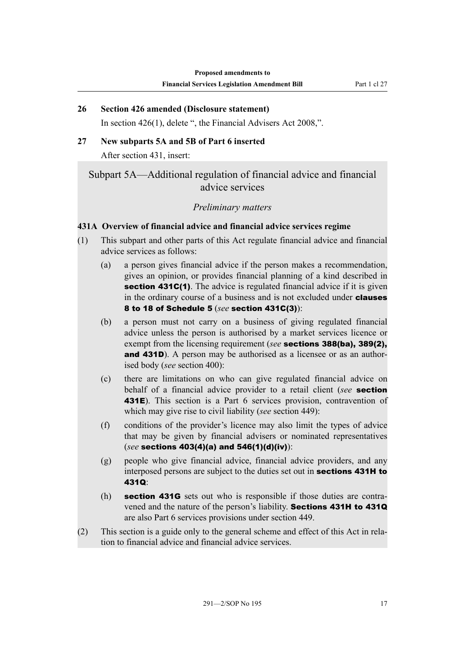## <span id="page-22-0"></span>**26 Section 426 amended (Disclosure statement)**

In section 426(1), delete ", the Financial Advisers Act 2008,".

### **27 New subparts 5A and 5B of Part 6 inserted**

After section 431, insert:

## Subpart 5A—Additional regulation of financial advice and financial advice services

## *Preliminary matters*

## **431A Overview of financial advice and financial advice services regime**

- (1) This subpart and other parts of this Act regulate financial advice and financial advice services as follows:
	- (a) a person gives financial advice if the person makes a recommendation, gives an opinion, or provides financial planning of a kind described in section 431C(1). The advice is regulated financial advice if it is given in the ordinary course of a business and is not excluded under **clauses** 8 to 18 of Schedule 5 (*see* section 431C(3)):
	- (b) a person must not carry on a business of giving regulated financial advice unless the person is authorised by a market services licence or exempt from the licensing requirement (*see* sections 388(ba), 389(2), and 431D). A person may be authorised as a licensee or as an authorised body (*see* section 400):
	- (c) there are limitations on who can give regulated financial advice on behalf of a financial advice provider to a retail client (*see* section 431E). This section is a Part 6 services provision, contravention of which may give rise to civil liability (*see* section 449):
	- (f) conditions of the provider's licence may also limit the types of advice that may be given by financial advisers or nominated representatives (*see* sections 403(4)(a) and 546(1)(d)(iv)):
	- (g) people who give financial advice, financial advice providers, and any interposed persons are subject to the duties set out in sections 431H to 431Q:
	- (h) section 431G sets out who is responsible if those duties are contravened and the nature of the person's liability. Sections 431H to 431Q are also Part 6 services provisions under section 449.
- (2) This section is a guide only to the general scheme and effect of this Act in relation to financial advice and financial advice services.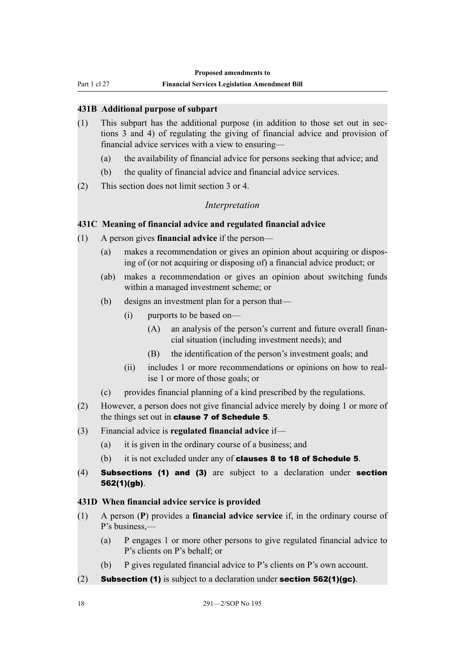<span id="page-23-0"></span>Part 1 cl 27

#### **Financial Services Legislation Amendment Bill**

### **431B Additional purpose of subpart**

- (1) This subpart has the additional purpose (in addition to those set out in sections 3 and 4) of regulating the giving of financial advice and provision of financial advice services with a view to ensuring—
	- (a) the availability of financial advice for persons seeking that advice; and
	- (b) the quality of financial advice and financial advice services.
- (2) This section does not limit section 3 or 4.

## *Interpretation*

### **431C Meaning of financial advice and regulated financial advice**

- (1) A person gives **financial advice** if the person—
	- (a) makes a recommendation or gives an opinion about acquiring or disposing of (or not acquiring or disposing of) a financial advice product; or
	- (ab) makes a recommendation or gives an opinion about switching funds within a managed investment scheme; or
	- (b) designs an investment plan for a person that—
		- (i) purports to be based on—
			- (A) an analysis of the person's current and future overall financial situation (including investment needs); and
			- (B) the identification of the person's investment goals; and
		- (ii) includes 1 or more recommendations or opinions on how to realise 1 or more of those goals; or
	- (c) provides financial planning of a kind prescribed by the regulations.
- (2) However, a person does not give financial advice merely by doing 1 or more of the things set out in clause 7 of Schedule 5.
- (3) Financial advice is **regulated financial advice** if—
	- (a) it is given in the ordinary course of a business; and
	- (b) it is not excluded under any of clauses 8 to 18 of Schedule 5.
- (4) Subsections (1) and (3) are subject to a declaration under section 562(1)(gb).

### **431D When financial advice service is provided**

- (1) A person (**P**) provides a **financial advice service** if, in the ordinary course of P's business,—
	- (a) P engages 1 or more other persons to give regulated financial advice to P's clients on P's behalf; or
	- (b) P gives regulated financial advice to P's clients on P's own account.
- (2) **Subsection (1)** is subject to a declaration under **section 562(1)(gc)**.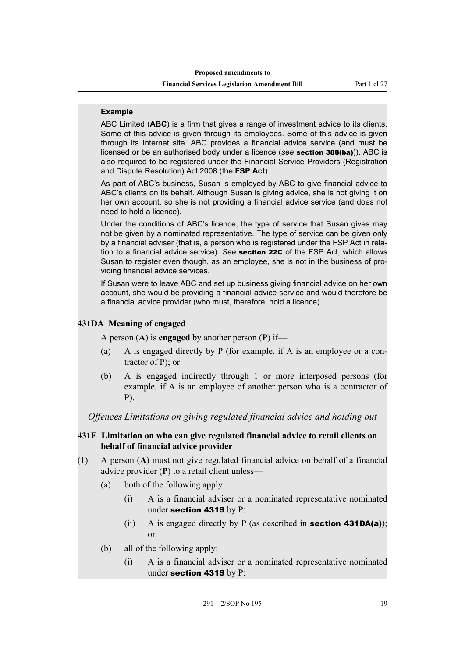#### <span id="page-24-0"></span>**Example**

ABC Limited (**ABC**) is a firm that gives a range of investment advice to its clients. Some of this advice is given through its employees. Some of this advice is given through its Internet site. ABC provides a financial advice service (and must be licensed or be an authorised body under a licence (*see* section 388(ba))). ABC is also required to be registered under the Financial Service Providers (Registration and Dispute Resolution) Act 2008 (the **FSP Act**).

As part of ABC's business, Susan is employed by ABC to give financial advice to ABC's clients on its behalf. Although Susan is giving advice, she is not giving it on her own account, so she is not providing a financial advice service (and does not need to hold a licence).

Under the conditions of ABC's licence, the type of service that Susan gives may not be given by a nominated representative. The type of service can be given only by a financial adviser (that is, a person who is registered under the FSP Act in relation to a financial advice service). *See* section 22C of the FSP Act, which allows Susan to register even though, as an employee, she is not in the business of providing financial advice services.

If Susan were to leave ABC and set up business giving financial advice on her own account, she would be providing a financial advice service and would therefore be a financial advice provider (who must, therefore, hold a licence).

#### **431DA Meaning of engaged**

A person (**A**) is **engaged** by another person (**P**) if—

- (a) A is engaged directly by P (for example, if A is an employee or a contractor of P); or
- (b) A is engaged indirectly through 1 or more interposed persons (for example, if A is an employee of another person who is a contractor of P).

*Offences Limitations on giving regulated financial advice and holding out*

### **431E Limitation on who can give regulated financial advice to retail clients on behalf of financial advice provider**

- (1) A person (**A**) must not give regulated financial advice on behalf of a financial advice provider (**P**) to a retail client unless—
	- (a) both of the following apply:
		- (i) A is a financial adviser or a nominated representative nominated under section 431S by P:
		- (ii) A is engaged directly by P (as described in **section 431DA(a)**); or
	- (b) all of the following apply:
		- (i) A is a financial adviser or a nominated representative nominated under section 431S by P: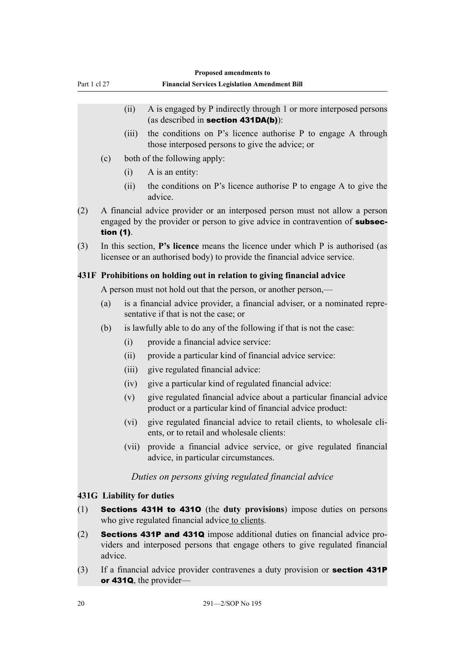<span id="page-25-0"></span>

|              | Proposed amendments to |       |                                                                                                                                                                   |  |
|--------------|------------------------|-------|-------------------------------------------------------------------------------------------------------------------------------------------------------------------|--|
| Part 1 cl 27 |                        |       | <b>Financial Services Legislation Amendment Bill</b>                                                                                                              |  |
|              |                        |       |                                                                                                                                                                   |  |
|              |                        | (ii)  | A is engaged by P indirectly through 1 or more interposed persons<br>(as described in section $431DA(b)$ ):                                                       |  |
|              |                        | (iii) | the conditions on P's licence authorise P to engage A through<br>those interposed persons to give the advice; or                                                  |  |
|              | (c)                    |       | both of the following apply:                                                                                                                                      |  |
|              |                        | (i)   | A is an entity:                                                                                                                                                   |  |
|              |                        | (ii)  | the conditions on P's licence authorise P to engage A to give the<br>advice.                                                                                      |  |
| (2)          | tion (1).              |       | A financial advice provider or an interposed person must not allow a person<br>engaged by the provider or person to give advice in contravention of subsec-       |  |
| (3)          |                        |       | In this section, <b>P's licence</b> means the licence under which P is authorised (as<br>licensee or an authorised body) to provide the financial advice service. |  |
|              |                        |       | 431F Prohibitions on holding out in relation to giving financial advice                                                                                           |  |
|              |                        |       | A person must not hold out that the person, or another person,—                                                                                                   |  |
|              | (a)                    |       | is a financial advice provider, a financial adviser, or a nominated repre-<br>sentative if that is not the case; or                                               |  |
|              | (b)                    |       | is lawfully able to do any of the following if that is not the case:                                                                                              |  |
|              |                        | (i)   | provide a financial advice service:                                                                                                                               |  |
|              |                        | (ii)  | provide a particular kind of financial advice service:                                                                                                            |  |
|              |                        | (iii) | give regulated financial advice:                                                                                                                                  |  |
|              |                        | (iv)  | give a particular kind of regulated financial advice:                                                                                                             |  |
|              |                        | (v)   | give regulated financial advice about a particular financial advice<br>product or a particular kind of financial advice product:                                  |  |
|              |                        | (vi)  | give regulated financial advice to retail clients, to wholesale cli-<br>ents, or to retail and wholesale clients:                                                 |  |
|              |                        | (vii) | provide a financial advice service, or give regulated financial<br>advice, in particular circumstances.                                                           |  |
|              |                        |       | Duties on persons giving regulated financial advice                                                                                                               |  |
|              |                        |       | 431G Liability for duties                                                                                                                                         |  |
| (1)          |                        |       | Sections 431H to 4310 (the duty provisions) impose duties on persons<br>who give regulated financial advice to clients.                                           |  |
| (2)          | advice.                |       | Sections 431P and 431Q impose additional duties on financial advice pro-<br>viders and interposed persons that engage others to give regulated financial          |  |
|              |                        |       |                                                                                                                                                                   |  |

(3) If a financial advice provider contravenes a duty provision or **section 431P** or 431Q, the provider—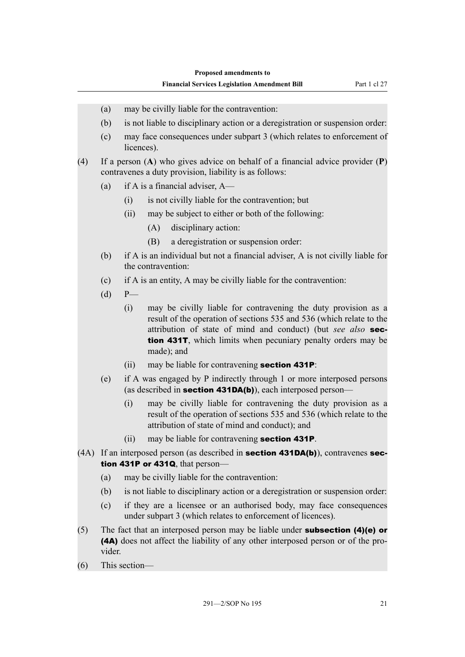- (a) may be civilly liable for the contravention:
- (b) is not liable to disciplinary action or a deregistration or suspension order:
- (c) may face consequences under subpart 3 (which relates to enforcement of licences).

(4) If a person (**A**) who gives advice on behalf of a financial advice provider (**P**) contravenes a duty provision, liability is as follows:

- (a) if A is a financial adviser, A—
	- (i) is not civilly liable for the contravention; but
	- (ii) may be subject to either or both of the following:
		- (A) disciplinary action:
		- (B) a deregistration or suspension order:
- (b) if A is an individual but not a financial adviser, A is not civilly liable for the contravention:
- (c) if A is an entity, A may be civilly liable for the contravention:
- (d) P—
	- (i) may be civilly liable for contravening the duty provision as a result of the operation of sections 535 and 536 (which relate to the attribution of state of mind and conduct) (but *see also* section 431T, which limits when pecuniary penalty orders may be made); and
	- (ii) may be liable for contravening **section 431P**:
- (e) if A was engaged by P indirectly through 1 or more interposed persons (as described in **section 431DA(b)**), each interposed person—
	- (i) may be civilly liable for contravening the duty provision as a result of the operation of sections 535 and 536 (which relate to the attribution of state of mind and conduct); and
	- (ii) may be liable for contravening section 431P.
- (4A) If an interposed person (as described in **section 431DA(b)**), contravenes **sec**tion 431P or 431Q, that person-
	- (a) may be civilly liable for the contravention:
	- (b) is not liable to disciplinary action or a deregistration or suspension order:
	- (c) if they are a licensee or an authorised body, may face consequences under subpart 3 (which relates to enforcement of licences).
- (5) The fact that an interposed person may be liable under **subsection (4)(e) or** (4A) does not affect the liability of any other interposed person or of the provider.
- (6) This section—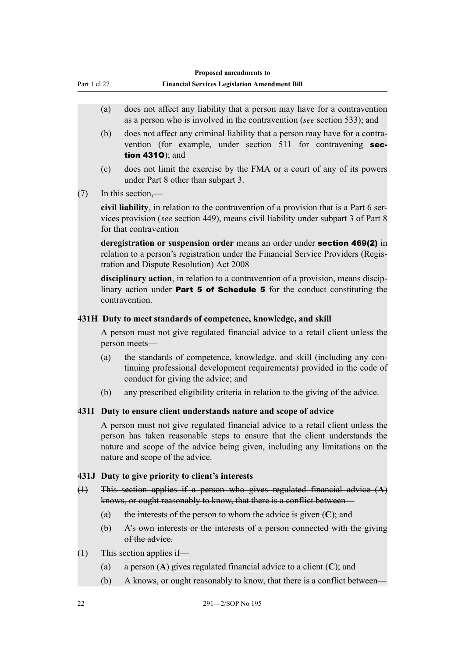- <span id="page-27-0"></span>(a) does not affect any liability that a person may have for a contravention as a person who is involved in the contravention (*see* section 533); and
- (b) does not affect any criminal liability that a person may have for a contravention (for example, under section 511 for contravening **sec**tion 431O); and
- (c) does not limit the exercise by the FMA or a court of any of its powers under Part 8 other than subpart 3.

(7) In this section,—

**civil liability**, in relation to the contravention of a provision that is a Part 6 services provision (*see* section 449), means civil liability under subpart 3 of Part 8 for that contravention

**deregistration or suspension order** means an order under section 469(2) in relation to a person's registration under the Financial Service Providers (Registration and Dispute Resolution) Act 2008

**disciplinary action**, in relation to a contravention of a provision, means disciplinary action under **Part 5 of Schedule 5** for the conduct constituting the contravention.

## **431H Duty to meet standards of competence, knowledge, and skill**

A person must not give regulated financial advice to a retail client unless the person meets—

- (a) the standards of competence, knowledge, and skill (including any continuing professional development requirements) provided in the code of conduct for giving the advice; and
- (b) any prescribed eligibility criteria in relation to the giving of the advice.

## **431I Duty to ensure client understands nature and scope of advice**

A person must not give regulated financial advice to a retail client unless the person has taken reasonable steps to ensure that the client understands the nature and scope of the advice being given, including any limitations on the nature and scope of the advice.

## **431J Duty to give priority to client's interests**

- (1) This section applies if a person who gives regulated financial advice (**A**) knows, or ought reasonably to know, that there is a conflict between—
	- (a) the interests of the person to whom the advice is given (**C**); and
	- (b) A's own interests or the interests of a person connected with the giving of the advice.
- (1) This section applies if—
	- (a) a person (**A**) gives regulated financial advice to a client (**C**); and
	- (b) A knows, or ought reasonably to know, that there is a conflict between—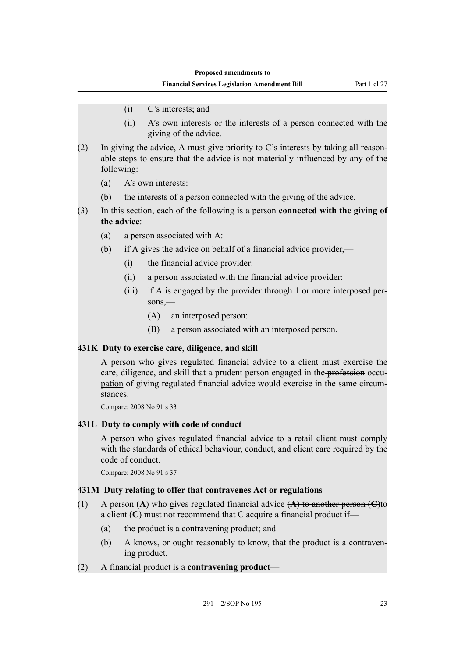- <span id="page-28-0"></span>(i) C's interests; and
- (ii) A's own interests or the interests of a person connected with the giving of the advice.
- (2) In giving the advice, A must give priority to C's interests by taking all reasonable steps to ensure that the advice is not materially influenced by any of the following:
	- (a) A's own interests:
	- (b) the interests of a person connected with the giving of the advice.
- (3) In this section, each of the following is a person **connected with the giving of the advice**:
	- (a) a person associated with A:
	- (b) if A gives the advice on behalf of a financial advice provider,—
		- (i) the financial advice provider:
		- (ii) a person associated with the financial advice provider:
		- (iii) if A is engaged by the provider through 1 or more interposed persons,—
			- (A) an interposed person:
			- (B) a person associated with an interposed person.

### **431K Duty to exercise care, diligence, and skill**

A person who gives regulated financial advice to a client must exercise the care, diligence, and skill that a prudent person engaged in the profession occupation of giving regulated financial advice would exercise in the same circumstances.

Compare: 2008 No 91 s 33

### **431L Duty to comply with code of conduct**

A person who gives regulated financial advice to a retail client must comply with the standards of ethical behaviour, conduct, and client care required by the code of conduct.

Compare: 2008 No 91 s 37

### **431M Duty relating to offer that contravenes Act or regulations**

- (1) A person (**A**) who gives regulated financial advice (**A**) to another person (**C**)to a client (**C**) must not recommend that C acquire a financial product if—
	- (a) the product is a contravening product; and
	- (b) A knows, or ought reasonably to know, that the product is a contravening product.
- (2) A financial product is a **contravening product**—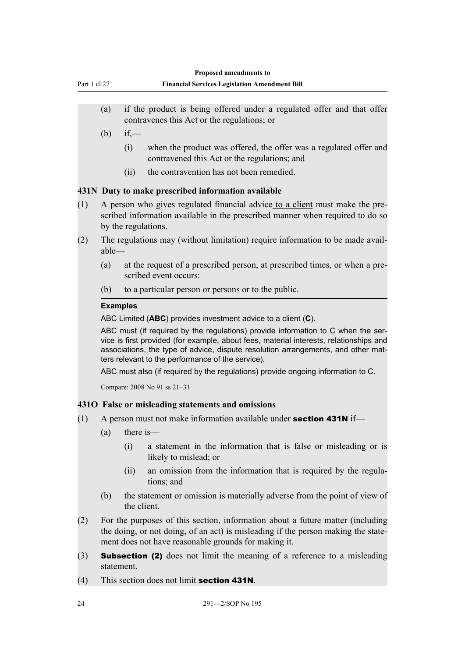<span id="page-29-0"></span>

| Part 1 cl 27 |                                                                                         |                                                                                                                                                                                      | Proposed amendments to<br><b>Financial Services Legislation Amendment Bill</b>                                                                                                                                                                                                                                       |  |  |
|--------------|-----------------------------------------------------------------------------------------|--------------------------------------------------------------------------------------------------------------------------------------------------------------------------------------|----------------------------------------------------------------------------------------------------------------------------------------------------------------------------------------------------------------------------------------------------------------------------------------------------------------------|--|--|
|              | (a)                                                                                     |                                                                                                                                                                                      | if the product is being offered under a regulated offer and that offer<br>contravenes this Act or the regulations; or                                                                                                                                                                                                |  |  |
|              | (b)                                                                                     | if,                                                                                                                                                                                  |                                                                                                                                                                                                                                                                                                                      |  |  |
|              |                                                                                         | (i)                                                                                                                                                                                  | when the product was offered, the offer was a regulated offer and<br>contravened this Act or the regulations; and                                                                                                                                                                                                    |  |  |
|              |                                                                                         | (ii)                                                                                                                                                                                 | the contravention has not been remedied.                                                                                                                                                                                                                                                                             |  |  |
|              |                                                                                         |                                                                                                                                                                                      | 431N Duty to make prescribed information available                                                                                                                                                                                                                                                                   |  |  |
| (1)          |                                                                                         | A person who gives regulated financial advice to a client must make the pre-<br>scribed information available in the prescribed manner when required to do so<br>by the regulations. |                                                                                                                                                                                                                                                                                                                      |  |  |
| (2)          | The regulations may (without limitation) require information to be made avail-<br>able- |                                                                                                                                                                                      |                                                                                                                                                                                                                                                                                                                      |  |  |
|              | (a)                                                                                     |                                                                                                                                                                                      | at the request of a prescribed person, at prescribed times, or when a pre-<br>scribed event occurs:                                                                                                                                                                                                                  |  |  |
|              | (b)                                                                                     |                                                                                                                                                                                      | to a particular person or persons or to the public.                                                                                                                                                                                                                                                                  |  |  |
|              |                                                                                         | <b>Examples</b>                                                                                                                                                                      |                                                                                                                                                                                                                                                                                                                      |  |  |
|              |                                                                                         |                                                                                                                                                                                      | ABC Limited (ABC) provides investment advice to a client (C).                                                                                                                                                                                                                                                        |  |  |
|              |                                                                                         |                                                                                                                                                                                      | ABC must (if required by the regulations) provide information to C when the ser-<br>vice is first provided (for example, about fees, material interests, relationships and<br>associations, the type of advice, dispute resolution arrangements, and other mat-<br>ters relevant to the performance of the service). |  |  |
|              |                                                                                         |                                                                                                                                                                                      | ABC must also (if required by the regulations) provide ongoing information to C.                                                                                                                                                                                                                                     |  |  |
|              |                                                                                         |                                                                                                                                                                                      | Compare: 2008 No 91 ss 21-31                                                                                                                                                                                                                                                                                         |  |  |
|              |                                                                                         |                                                                                                                                                                                      | 4310 False or misleading statements and omissions                                                                                                                                                                                                                                                                    |  |  |
| (1)          | A person must not make information available under section 431N if-                     |                                                                                                                                                                                      |                                                                                                                                                                                                                                                                                                                      |  |  |
|              | (a)                                                                                     |                                                                                                                                                                                      | there is—                                                                                                                                                                                                                                                                                                            |  |  |
|              |                                                                                         | (i)                                                                                                                                                                                  | a statement in the information that is false or misleading or is<br>likely to mislead; or                                                                                                                                                                                                                            |  |  |
|              |                                                                                         | (ii)                                                                                                                                                                                 | an omission from the information that is required by the regula-                                                                                                                                                                                                                                                     |  |  |

- (ii) an omission from the information that is required by the regulations; and
- (b) the statement or omission is materially adverse from the point of view of the client.
- (2) For the purposes of this section, information about a future matter (including the doing, or not doing, of an act) is misleading if the person making the statement does not have reasonable grounds for making it.
- (3) Subsection (2) does not limit the meaning of a reference to a misleading statement.
- (4) This section does not limit section 431N.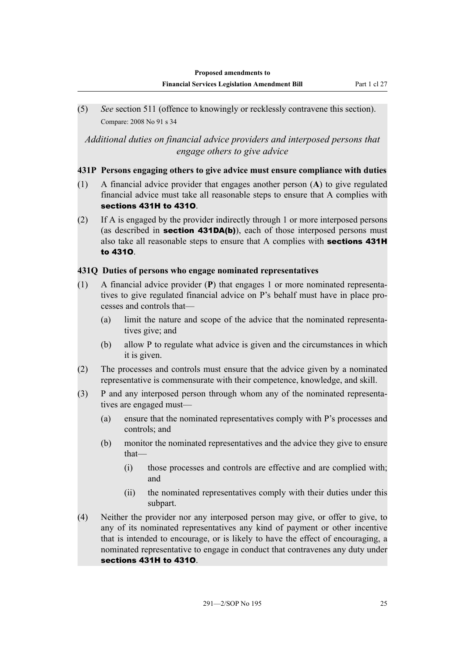<span id="page-30-0"></span>(5) *See* section 511 (offence to knowingly or recklessly contravene this section). Compare: 2008 No 91 s 34

## *Additional duties on financial advice providers and interposed persons that engage others to give advice*

## **431P Persons engaging others to give advice must ensure compliance with duties**

- (1) A financial advice provider that engages another person (**A**) to give regulated financial advice must take all reasonable steps to ensure that A complies with sections 431H to 431O.
- (2) If A is engaged by the provider indirectly through 1 or more interposed persons (as described in **section 431DA(b)**), each of those interposed persons must also take all reasonable steps to ensure that A complies with sections 431H to 431O.

## **431Q Duties of persons who engage nominated representatives**

- (1) A financial advice provider (**P**) that engages 1 or more nominated representatives to give regulated financial advice on P's behalf must have in place processes and controls that—
	- (a) limit the nature and scope of the advice that the nominated representatives give; and
	- (b) allow P to regulate what advice is given and the circumstances in which it is given.
- (2) The processes and controls must ensure that the advice given by a nominated representative is commensurate with their competence, knowledge, and skill.
- (3) P and any interposed person through whom any of the nominated representatives are engaged must—
	- (a) ensure that the nominated representatives comply with P's processes and controls; and
	- (b) monitor the nominated representatives and the advice they give to ensure that—
		- (i) those processes and controls are effective and are complied with; and
		- (ii) the nominated representatives comply with their duties under this subpart.
- (4) Neither the provider nor any interposed person may give, or offer to give, to any of its nominated representatives any kind of payment or other incentive that is intended to encourage, or is likely to have the effect of encouraging, a nominated representative to engage in conduct that contravenes any duty under sections 431H to 431O.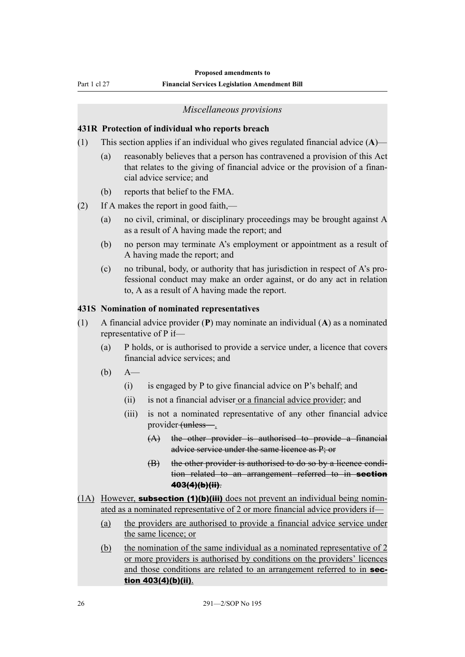<span id="page-31-0"></span>Part 1 cl 27

#### **Financial Services Legislation Amendment Bill**

#### *Miscellaneous provisions*

#### **431R Protection of individual who reports breach**

- (1) This section applies if an individual who gives regulated financial advice (**A**)—
	- (a) reasonably believes that a person has contravened a provision of this Act that relates to the giving of financial advice or the provision of a financial advice service; and
	- (b) reports that belief to the FMA.
- (2) If A makes the report in good faith,—
	- (a) no civil, criminal, or disciplinary proceedings may be brought against A as a result of A having made the report; and
	- (b) no person may terminate A's employment or appointment as a result of A having made the report; and
	- (c) no tribunal, body, or authority that has jurisdiction in respect of A's professional conduct may make an order against, or do any act in relation to, A as a result of A having made the report.

#### **431S Nomination of nominated representatives**

- (1) A financial advice provider (**P**) may nominate an individual (**A**) as a nominated representative of P if—
	- (a) P holds, or is authorised to provide a service under, a licence that covers financial advice services; and
	- (b) A—
		- (i) is engaged by P to give financial advice on P's behalf; and
		- (ii) is not a financial adviser or a financial advice provider; and
		- (iii) is not a nominated representative of any other financial advice provider (unless—.
			- (A) the other provider is authorised to provide a financial advice service under the same licence as P; or
			- (B) the other provider is authorised to do so by a licence condition related to an arrangement referred to in **section** 403(4)(b)(ii).
- $(1A)$  However, **subsection (1)(b)(iii)** does not prevent an individual being nominated as a nominated representative of 2 or more financial advice providers if—
	- (a) the providers are authorised to provide a financial advice service under the same licence; or
	- (b) the nomination of the same individual as a nominated representative of 2 or more providers is authorised by conditions on the providers' licences and those conditions are related to an arrangement referred to in section 403(4)(b)(ii).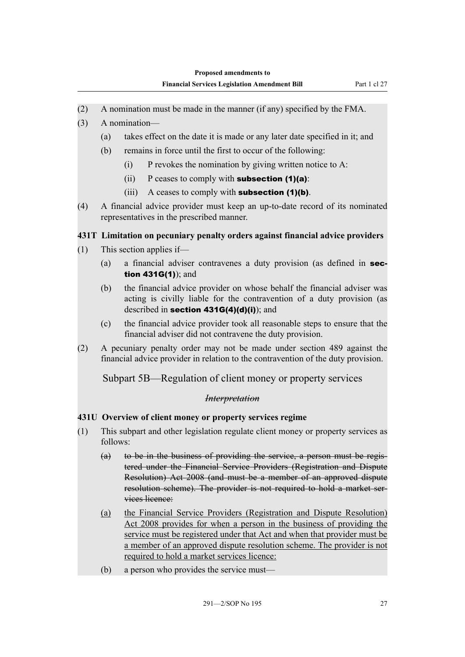- <span id="page-32-0"></span>(2) A nomination must be made in the manner (if any) specified by the FMA.
- (3) A nomination—
	- (a) takes effect on the date it is made or any later date specified in it; and
	- (b) remains in force until the first to occur of the following:
		- $(i)$  P revokes the nomination by giving written notice to A:
		- (ii) P ceases to comply with **subsection (1)(a)**:
		- (iii) A ceases to comply with **subsection**  $(1)(b)$ .
- (4) A financial advice provider must keep an up-to-date record of its nominated representatives in the prescribed manner.

## **431T Limitation on pecuniary penalty orders against financial advice providers**

- (1) This section applies if—
	- (a) a financial adviser contravenes a duty provision (as defined in section 431G(1)); and
	- (b) the financial advice provider on whose behalf the financial adviser was acting is civilly liable for the contravention of a duty provision (as described in section 431G(4)(d)(i)); and
	- (c) the financial advice provider took all reasonable steps to ensure that the financial adviser did not contravene the duty provision.
- (2) A pecuniary penalty order may not be made under section 489 against the financial advice provider in relation to the contravention of the duty provision.

Subpart 5B—Regulation of client money or property services

### *Interpretation*

## **431U Overview of client money or property services regime**

- (1) This subpart and other legislation regulate client money or property services as follows:
	- (a) to be in the business of providing the service, a person must be registered under the Financial Service Providers (Registration and Dispute Resolution) Act 2008 (and must be a member of an approved dispute resolution scheme). The provider is not required to hold a market services licence:
	- (a) the Financial Service Providers (Registration and Dispute Resolution) Act 2008 provides for when a person in the business of providing the service must be registered under that Act and when that provider must be a member of an approved dispute resolution scheme. The provider is not required to hold a market services licence:
	- (b) a person who provides the service must—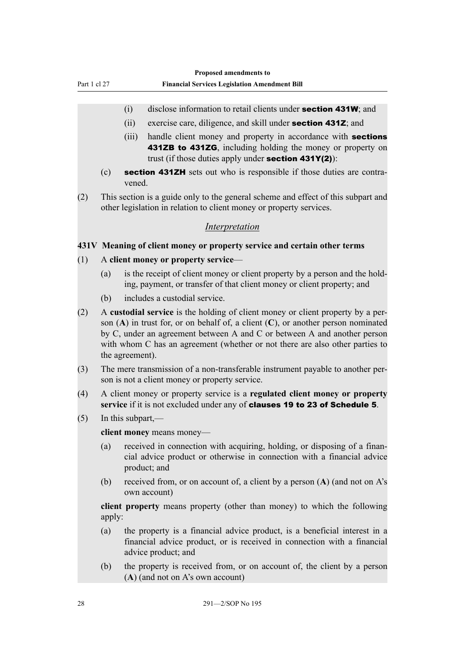## <span id="page-33-0"></span>(i) disclose information to retail clients under section 431W; and

- (ii) exercise care, diligence, and skill under section 431Z; and
- (iii) handle client money and property in accordance with **sections** 431ZB to 431ZG, including holding the money or property on trust (if those duties apply under **section 431Y(2)**):
- (c) section 431ZH sets out who is responsible if those duties are contravened.
- (2) This section is a guide only to the general scheme and effect of this subpart and other legislation in relation to client money or property services.

## *Interpretation*

### **431V Meaning of client money or property service and certain other terms**

- (1) A **client money or property service**
	- (a) is the receipt of client money or client property by a person and the holding, payment, or transfer of that client money or client property; and
	- (b) includes a custodial service.
- (2) A **custodial service** is the holding of client money or client property by a person (**A**) in trust for, or on behalf of, a client (**C**), or another person nominated by C, under an agreement between A and C or between A and another person with whom C has an agreement (whether or not there are also other parties to the agreement).
- (3) The mere transmission of a non-transferable instrument payable to another person is not a client money or property service.
- (4) A client money or property service is a **regulated client money or property service** if it is not excluded under any of clauses 19 to 23 of Schedule 5.
- (5) In this subpart,—

**client money** means money—

- (a) received in connection with acquiring, holding, or disposing of a financial advice product or otherwise in connection with a financial advice product; and
- (b) received from, or on account of, a client by a person (**A**) (and not on A's own account)

**client property** means property (other than money) to which the following apply:

- (a) the property is a financial advice product, is a beneficial interest in a financial advice product, or is received in connection with a financial advice product; and
- (b) the property is received from, or on account of, the client by a person (**A**) (and not on A's own account)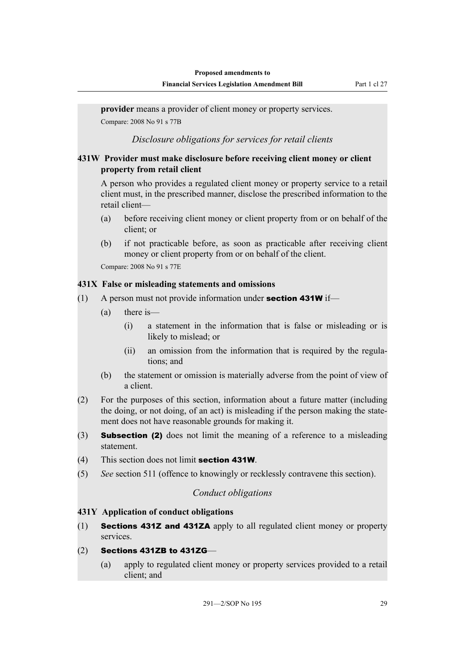<span id="page-34-0"></span>**provider** means a provider of client money or property services. Compare: 2008 No 91 s 77B

*Disclosure obligations for services for retail clients*

## **431W Provider must make disclosure before receiving client money or client property from retail client**

A person who provides a regulated client money or property service to a retail client must, in the prescribed manner, disclose the prescribed information to the retail client—

- (a) before receiving client money or client property from or on behalf of the client; or
- (b) if not practicable before, as soon as practicable after receiving client money or client property from or on behalf of the client.

Compare: 2008 No 91 s 77E

## **431X False or misleading statements and omissions**

- (1) A person must not provide information under **section 431W** if—
	- (a) there is—
		- (i) a statement in the information that is false or misleading or is likely to mislead; or
		- (ii) an omission from the information that is required by the regulations; and
	- (b) the statement or omission is materially adverse from the point of view of a client.
- (2) For the purposes of this section, information about a future matter (including the doing, or not doing, of an act) is misleading if the person making the statement does not have reasonable grounds for making it.
- (3) Subsection (2) does not limit the meaning of a reference to a misleading statement.
- (4) This section does not limit section 431W.
- (5) *See* section 511 (offence to knowingly or recklessly contravene this section).

## *Conduct obligations*

## **431Y Application of conduct obligations**

- (1) Sections 431Z and 431ZA apply to all regulated client money or property services.
- (2) Sections 431ZB to 431ZG—
	- (a) apply to regulated client money or property services provided to a retail client; and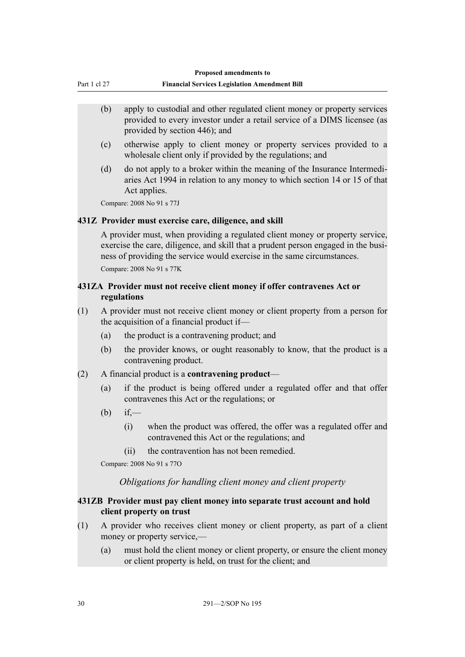<span id="page-35-0"></span>

|              | <b>Proposed amendments to</b>                        |
|--------------|------------------------------------------------------|
| Part 1 cl 27 | <b>Financial Services Legislation Amendment Bill</b> |
|              |                                                      |

- (b) apply to custodial and other regulated client money or property services provided to every investor under a retail service of a DIMS licensee (as provided by section 446); and
- (c) otherwise apply to client money or property services provided to a wholesale client only if provided by the regulations; and
- (d) do not apply to a broker within the meaning of the Insurance Intermediaries Act 1994 in relation to any money to which section 14 or 15 of that Act applies.

Compare: 2008 No 91 s 77J

## **431Z Provider must exercise care, diligence, and skill**

A provider must, when providing a regulated client money or property service, exercise the care, diligence, and skill that a prudent person engaged in the business of providing the service would exercise in the same circumstances. Compare: 2008 No 91 s 77K

## **431ZA Provider must not receive client money if offer contravenes Act or regulations**

- (1) A provider must not receive client money or client property from a person for the acquisition of a financial product if—
	- (a) the product is a contravening product; and
	- (b) the provider knows, or ought reasonably to know, that the product is a contravening product.
- (2) A financial product is a **contravening product**
	- (a) if the product is being offered under a regulated offer and that offer contravenes this Act or the regulations; or
	- $(b)$  if,—
		- (i) when the product was offered, the offer was a regulated offer and contravened this Act or the regulations; and
		- (ii) the contravention has not been remedied.

Compare: 2008 No 91 s 77O

*Obligations for handling client money and client property*

## **431ZB Provider must pay client money into separate trust account and hold client property on trust**

- (1) A provider who receives client money or client property, as part of a client money or property service,—
	- (a) must hold the client money or client property, or ensure the client money or client property is held, on trust for the client; and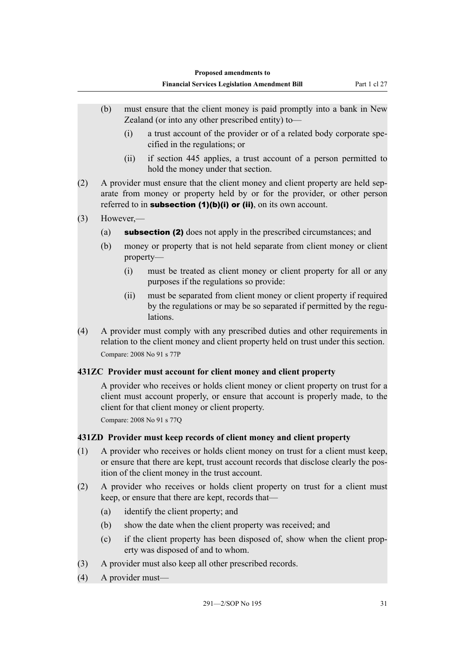- (b) must ensure that the client money is paid promptly into a bank in New Zealand (or into any other prescribed entity) to—
	- (i) a trust account of the provider or of a related body corporate specified in the regulations; or
	- (ii) if section 445 applies, a trust account of a person permitted to hold the money under that section.
- (2) A provider must ensure that the client money and client property are held separate from money or property held by or for the provider, or other person referred to in subsection  $(1)(b)(i)$  or  $(ii)$ , on its own account.
- (3) However,—
	- (a) subsection (2) does not apply in the prescribed circumstances; and
	- (b) money or property that is not held separate from client money or client property—
		- (i) must be treated as client money or client property for all or any purposes if the regulations so provide:
		- (ii) must be separated from client money or client property if required by the regulations or may be so separated if permitted by the regulations.
- (4) A provider must comply with any prescribed duties and other requirements in relation to the client money and client property held on trust under this section. Compare: 2008 No 91 s 77P

### **431ZC Provider must account for client money and client property**

A provider who receives or holds client money or client property on trust for a client must account properly, or ensure that account is properly made, to the client for that client money or client property.

Compare: 2008 No 91 s 77Q

### **431ZD Provider must keep records of client money and client property**

- (1) A provider who receives or holds client money on trust for a client must keep, or ensure that there are kept, trust account records that disclose clearly the position of the client money in the trust account.
- (2) A provider who receives or holds client property on trust for a client must keep, or ensure that there are kept, records that—
	- (a) identify the client property; and
	- (b) show the date when the client property was received; and
	- (c) if the client property has been disposed of, show when the client property was disposed of and to whom.
- (3) A provider must also keep all other prescribed records.
- (4) A provider must—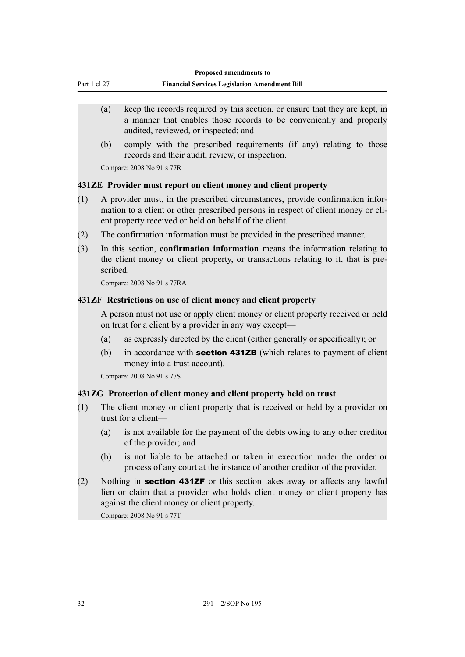| Part 1 cl 27 | <b>Financial Services Legislation Amendment Bill</b> |
|--------------|------------------------------------------------------|
|              |                                                      |

- (a) keep the records required by this section, or ensure that they are kept, in a manner that enables those records to be conveniently and properly audited, reviewed, or inspected; and
- (b) comply with the prescribed requirements (if any) relating to those records and their audit, review, or inspection.

Compare: 2008 No 91 s 77R

#### **431ZE Provider must report on client money and client property**

- (1) A provider must, in the prescribed circumstances, provide confirmation information to a client or other prescribed persons in respect of client money or client property received or held on behalf of the client.
- (2) The confirmation information must be provided in the prescribed manner.
- (3) In this section, **confirmation information** means the information relating to the client money or client property, or transactions relating to it, that is prescribed.

Compare: 2008 No 91 s 77RA

#### **431ZF Restrictions on use of client money and client property**

A person must not use or apply client money or client property received or held on trust for a client by a provider in any way except—

- (a) as expressly directed by the client (either generally or specifically); or
- (b) in accordance with **section 431ZB** (which relates to payment of client money into a trust account).

Compare: 2008 No 91 s 77S

#### **431ZG Protection of client money and client property held on trust**

- (1) The client money or client property that is received or held by a provider on trust for a client—
	- (a) is not available for the payment of the debts owing to any other creditor of the provider; and
	- (b) is not liable to be attached or taken in execution under the order or process of any court at the instance of another creditor of the provider.
- (2) Nothing in section 431ZF or this section takes away or affects any lawful lien or claim that a provider who holds client money or client property has against the client money or client property.

Compare: 2008 No 91 s 77T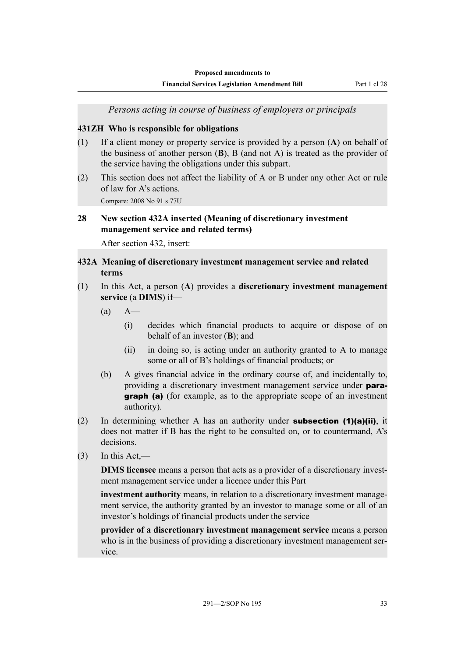**Financial Services Legislation Amendment Bill** Part 1 cl 28

*Persons acting in course of business of employers or principals*

#### **431ZH Who is responsible for obligations**

- (1) If a client money or property service is provided by a person (**A**) on behalf of the business of another person (**B**), B (and not A) is treated as the provider of the service having the obligations under this subpart.
- (2) This section does not affect the liability of A or B under any other Act or rule of law for A's actions.

Compare: 2008 No 91 s 77U

#### **28 New section 432A inserted (Meaning of discretionary investment management service and related terms)**

After section 432, insert:

### **432A Meaning of discretionary investment management service and related terms**

- (1) In this Act, a person (**A**) provides a **discretionary investment management service** (a **DIMS**) if—
	- $(a)$   $A$ 
		- (i) decides which financial products to acquire or dispose of on behalf of an investor (**B**); and
		- (ii) in doing so, is acting under an authority granted to A to manage some or all of B's holdings of financial products; or
	- (b) A gives financial advice in the ordinary course of, and incidentally to, providing a discretionary investment management service under para**graph** (a) (for example, as to the appropriate scope of an investment authority).
- (2) In determining whether A has an authority under **subsection (1)(a)(ii)**, it does not matter if B has the right to be consulted on, or to countermand, A's decisions.
- $(3)$  In this Act,—

**DIMS licensee** means a person that acts as a provider of a discretionary investment management service under a licence under this Part

**investment authority** means, in relation to a discretionary investment management service, the authority granted by an investor to manage some or all of an investor's holdings of financial products under the service

**provider of a discretionary investment management service** means a person who is in the business of providing a discretionary investment management service.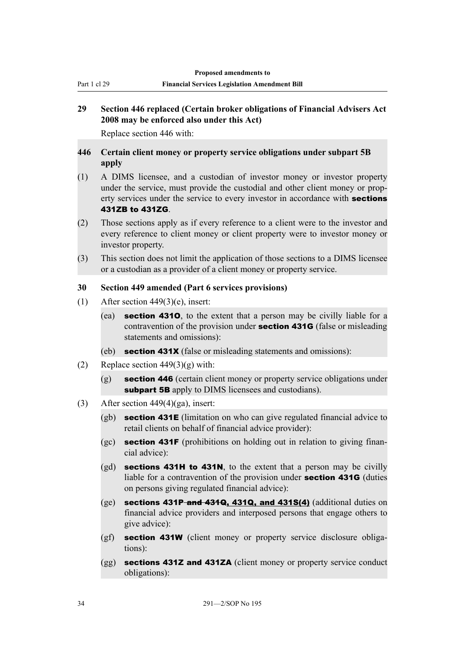Part 1 cl 29

# **29 Section 446 replaced (Certain broker obligations of Financial Advisers Act 2008 may be enforced also under this Act)**

Replace section 446 with:

## **446 Certain client money or property service obligations under subpart 5B apply**

- (1) A DIMS licensee, and a custodian of investor money or investor property under the service, must provide the custodial and other client money or property services under the service to every investor in accordance with **sections** 431ZB to 431ZG.
- (2) Those sections apply as if every reference to a client were to the investor and every reference to client money or client property were to investor money or investor property.
- (3) This section does not limit the application of those sections to a DIMS licensee or a custodian as a provider of a client money or property service.

## **30 Section 449 amended (Part 6 services provisions)**

- (1) After section  $449(3)(e)$ , insert:
	- (ea) section 431O, to the extent that a person may be civilly liable for a contravention of the provision under section 431G (false or misleading statements and omissions):
	- (eb) section 431X (false or misleading statements and omissions):
- (2) Replace section  $449(3)(g)$  with:
	- (g) section 446 (certain client money or property service obligations under subpart 5B apply to DIMS licensees and custodians).
- (3) After section  $449(4)(ga)$ , insert:
	- (gb) section 431E (limitation on who can give regulated financial advice to retail clients on behalf of financial advice provider):
	- $(gc)$  section 431F (prohibitions on holding out in relation to giving financial advice):
	- $(gd)$  sections 431H to 431N, to the extent that a person may be civilly liable for a contravention of the provision under section 431G (duties on persons giving regulated financial advice):
	- $(ge)$  sections 431P and 431Q, 431Q, and 431S(4) (additional duties on financial advice providers and interposed persons that engage others to give advice):
	- (gf) section 431W (client money or property service disclosure obligations):
	- (gg) **sections 431Z and 431ZA** (client money or property service conduct obligations):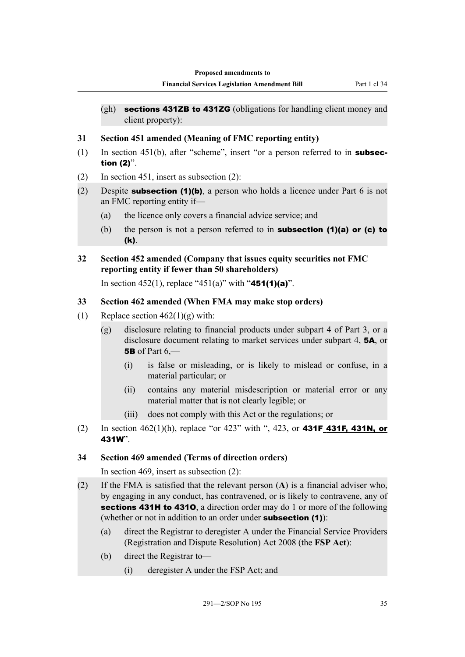- $(\text{gh})$  sections 431ZB to 431ZG (obligations for handling client money and client property):
- **31 Section 451 amended (Meaning of FMC reporting entity)**
- (1) In section 451(b), after "scheme", insert "or a person referred to in **subsec**tion (2)".
- (2) In section 451, insert as subsection (2):
- (2) Despite **subsection (1)(b)**, a person who holds a licence under Part 6 is not an FMC reporting entity if—
	- (a) the licence only covers a financial advice service; and
	- (b) the person is not a person referred to in **subsection (1)(a) or (c) to** (k).
- **32 Section 452 amended (Company that issues equity securities not FMC reporting entity if fewer than 50 shareholders)**

In section 452(1), replace "451(a)" with "451(1)(a)".

### **33 Section 462 amended (When FMA may make stop orders)**

- (1) Replace section  $462(1)(g)$  with:
	- (g) disclosure relating to financial products under subpart 4 of Part 3, or a disclosure document relating to market services under subpart 4, 5A, or 5B of Part  $6$  —
		- (i) is false or misleading, or is likely to mislead or confuse, in a material particular; or
		- (ii) contains any material misdescription or material error or any material matter that is not clearly legible; or
		- (iii) does not comply with this Act or the regulations; or
- (2) In section  $462(1)(h)$ , replace "or  $423$ " with ",  $423, -0f 434F 431F$ , 431N, or 431W".

### **34 Section 469 amended (Terms of direction orders)**

In section 469, insert as subsection (2):

- (2) If the FMA is satisfied that the relevant person (**A**) is a financial adviser who, by engaging in any conduct, has contravened, or is likely to contravene, any of sections 431H to 4310, a direction order may do 1 or more of the following (whether or not in addition to an order under **subsection (1)**):
	- (a) direct the Registrar to deregister A under the Financial Service Providers (Registration and Dispute Resolution) Act 2008 (the **FSP Act**):
	- (b) direct the Registrar to—
		- (i) deregister A under the FSP Act; and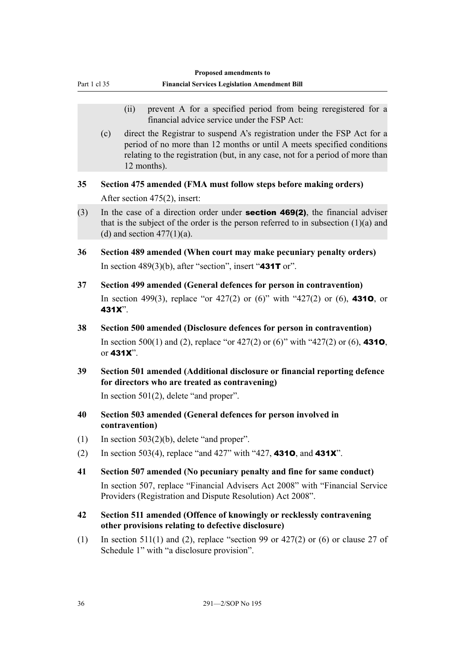|              |                                                                                                                                                                                                                | Proposed amendments to                                                                                                                                                                                                                             |
|--------------|----------------------------------------------------------------------------------------------------------------------------------------------------------------------------------------------------------------|----------------------------------------------------------------------------------------------------------------------------------------------------------------------------------------------------------------------------------------------------|
| Part 1 cl 35 |                                                                                                                                                                                                                | <b>Financial Services Legislation Amendment Bill</b>                                                                                                                                                                                               |
|              |                                                                                                                                                                                                                | prevent A for a specified period from being reregistered for a<br>(ii)<br>financial advice service under the FSP Act:                                                                                                                              |
|              | (c)                                                                                                                                                                                                            | direct the Registrar to suspend A's registration under the FSP Act for a<br>period of no more than 12 months or until A meets specified conditions<br>relating to the registration (but, in any case, not for a period of more than<br>12 months). |
| 35           |                                                                                                                                                                                                                | Section 475 amended (FMA must follow steps before making orders)<br>After section 475(2), insert:                                                                                                                                                  |
| (3)          | In the case of a direction order under <b>section 469(2)</b> , the financial adviser<br>that is the subject of the order is the person referred to in subsection $(1)(a)$ and<br>(d) and section $477(1)(a)$ . |                                                                                                                                                                                                                                                    |
| 36           |                                                                                                                                                                                                                | Section 489 amended (When court may make pecuniary penalty orders)<br>In section 489(3)(b), after "section", insert "431T or".                                                                                                                     |
| 37           | 431X".                                                                                                                                                                                                         | Section 499 amended (General defences for person in contravention)<br>In section 499(3), replace "or 427(2) or (6)" with "427(2) or (6), 4310, or                                                                                                  |
| 38           |                                                                                                                                                                                                                | Section 500 amended (Disclosure defences for person in contravention)<br>In section 500(1) and (2), replace "or 427(2) or (6)" with "427(2) or (6), 4310,<br>or <b>431X</b> ".                                                                     |
| 39           |                                                                                                                                                                                                                | Section 501 amended (Additional disclosure or financial reporting defence<br>for directors who are treated as contravening)<br>In section $501(2)$ , delete "and proper".                                                                          |
| 40           |                                                                                                                                                                                                                | Section 503 amended (General defences for person involved in<br>contravention)                                                                                                                                                                     |
| (1)<br>(2)   |                                                                                                                                                                                                                | In section $503(2)(b)$ , delete "and proper".<br>In section 503(4), replace "and 427" with "427, 4310, and 431X".                                                                                                                                  |
| 41           |                                                                                                                                                                                                                | Section 507 amended (No pecuniary penalty and fine for same conduct)<br>In section 507, replace "Financial Advisers Act 2008" with "Financial Service"<br>Providers (Registration and Dispute Resolution) Act 2008".                               |
| 42           |                                                                                                                                                                                                                | Section 511 amended (Offence of knowingly or recklessly contravening<br>other provisions relating to defective disclosure)                                                                                                                         |
| (1)          |                                                                                                                                                                                                                | In section 511(1) and (2), replace "section 99 or 427(2) or (6) or clause 27 of<br>Schedule 1" with "a disclosure provision".                                                                                                                      |
|              |                                                                                                                                                                                                                |                                                                                                                                                                                                                                                    |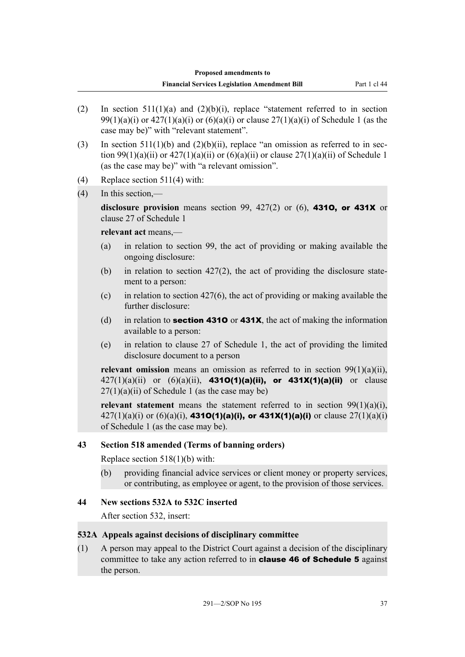(2) In section  $511(1)(a)$  and  $(2)(b)(i)$ , replace "statement referred to in section 99(1)(a)(i) or  $427(1)(a)(i)$  or  $(6)(a)(i)$  or clause  $27(1)(a)(i)$  of Schedule 1 (as the case may be)" with "relevant statement". (3) In section 511(1)(b) and (2)(b)(ii), replace "an omission as referred to in section 99(1)(a)(ii) or  $427(1)(a)(ii)$  or  $(6)(a)(ii)$  or clause  $27(1)(a)(ii)$  of Schedule 1 (as the case may be)" with "a relevant omission". (4) Replace section 511(4) with: (4) In this section, disclosure provision means section 99,  $427(2)$  or  $(6)$ , **4310, or 431X** or clause 27 of Schedule 1 **relevant act** means,— (a) in relation to section 99, the act of providing or making available the ongoing disclosure: (b) in relation to section 427(2), the act of providing the disclosure statement to a person: (c) in relation to section  $427(6)$ , the act of providing or making available the further disclosure: (d) in relation to **section 4310** or **431X**, the act of making the information available to a person: (e) in relation to clause 27 of Schedule 1, the act of providing the limited disclosure document to a person **relevant omission** means an omission as referred to in section 99(1)(a)(ii),  $427(1)(a)(ii)$  or  $(6)(a)(ii)$ , **4310(1)(a)(ii), or 431X(1)(a)(ii)** or clause  $27(1)(a)(ii)$  of Schedule 1 (as the case may be) **relevant statement** means the statement referred to in section  $99(1)(a)(i)$ ,  $427(1)(a)(i)$  or  $(6)(a)(i)$ , **4310(1)(a)(i), or 431X(1)(a)(i)** or clause  $27(1)(a)(i)$ of Schedule 1 (as the case may be). **43 Section 518 amended (Terms of banning orders)** Replace section 518(1)(b) with: (b) providing financial advice services or client money or property services, or contributing, as employee or agent, to the provision of those services.

#### **44 New sections 532A to 532C inserted**

After section 532, insert:

#### **532A Appeals against decisions of disciplinary committee**

(1) A person may appeal to the District Court against a decision of the disciplinary committee to take any action referred to in clause 46 of Schedule 5 against the person.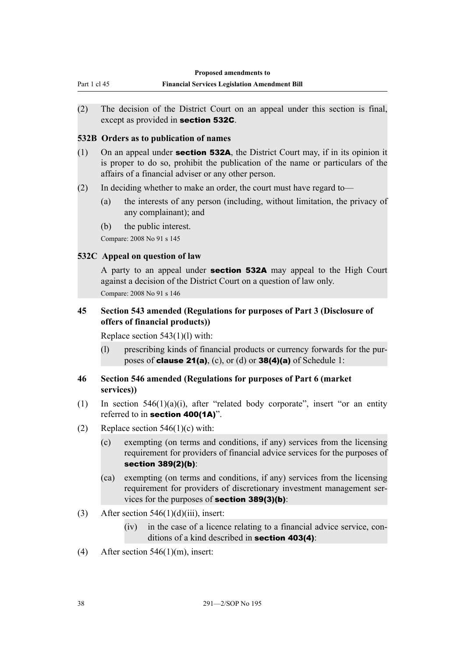| Finan |
|-------|
|       |
|       |

- **Financial Services Legislation Amendment Bill**
- (2) The decision of the District Court on an appeal under this section is final, except as provided in section 532C.

#### **532B Orders as to publication of names**

- (1) On an appeal under **section 532A**, the District Court may, if in its opinion it is proper to do so, prohibit the publication of the name or particulars of the affairs of a financial adviser or any other person.
- (2) In deciding whether to make an order, the court must have regard to—
	- (a) the interests of any person (including, without limitation, the privacy of any complainant); and
	- (b) the public interest.

Compare: 2008 No 91 s 145

#### **532C Appeal on question of law**

A party to an appeal under section 532A may appeal to the High Court against a decision of the District Court on a question of law only.

Compare: 2008 No 91 s 146

### **45 Section 543 amended (Regulations for purposes of Part 3 (Disclosure of offers of financial products))**

Replace section 543(1)(l) with:

(l) prescribing kinds of financial products or currency forwards for the purposes of **clause 21(a)**, (c), or (d) or **38(4)(a)** of Schedule 1:

### **46 Section 546 amended (Regulations for purposes of Part 6 (market services))**

- (1) In section 546(1)(a)(i), after "related body corporate", insert "or an entity referred to in section 400(1A)".
- (2) Replace section  $546(1)(c)$  with:
	- (c) exempting (on terms and conditions, if any) services from the licensing requirement for providers of financial advice services for the purposes of section 389(2)(b):
	- (ca) exempting (on terms and conditions, if any) services from the licensing requirement for providers of discretionary investment management services for the purposes of section 389(3)(b):
- (3) After section  $546(1)(d)(iii)$ , insert:
	- (iv) in the case of a licence relating to a financial advice service, conditions of a kind described in section 403(4):
- (4) After section  $546(1)(m)$ , insert: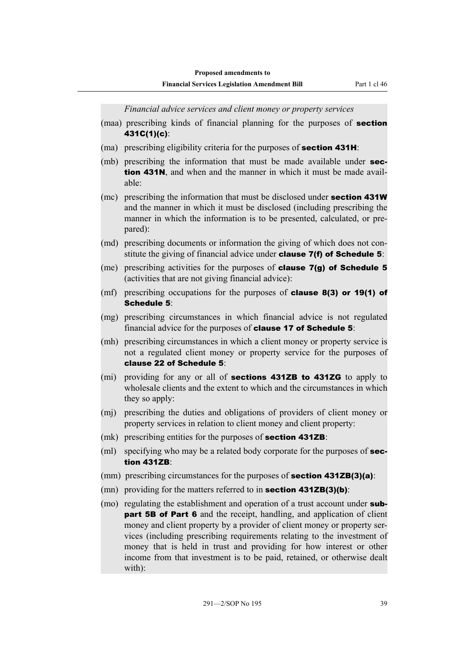*Financial advice services and client money or property services*

- (maa) prescribing kinds of financial planning for the purposes of **section** 431C(1)(c):
- (ma) prescribing eligibility criteria for the purposes of **section 431H**:
- (mb) prescribing the information that must be made available under **sec**tion 431N, and when and the manner in which it must be made available:
- (mc) prescribing the information that must be disclosed under **section 431W** and the manner in which it must be disclosed (including prescribing the manner in which the information is to be presented, calculated, or prepared):
- (md) prescribing documents or information the giving of which does not constitute the giving of financial advice under **clause 7(f) of Schedule 5**:
- (me) prescribing activities for the purposes of clause 7(g) of Schedule 5 (activities that are not giving financial advice):
- (mf) prescribing occupations for the purposes of **clause 8(3) or 19(1) of** Schedule 5:
- (mg) prescribing circumstances in which financial advice is not regulated financial advice for the purposes of **clause 17 of Schedule 5**:
- (mh) prescribing circumstances in which a client money or property service is not a regulated client money or property service for the purposes of clause 22 of Schedule 5:
- (mi) providing for any or all of **sections 431ZB to 431ZG** to apply to wholesale clients and the extent to which and the circumstances in which they so apply:
- (mj) prescribing the duties and obligations of providers of client money or property services in relation to client money and client property:
- (mk) prescribing entities for the purposes of **section 431ZB**:
- (ml) specifying who may be a related body corporate for the purposes of **sec**tion 431ZB:
- (mm) prescribing circumstances for the purposes of **section 431ZB(3)(a)**:
- (mn) providing for the matters referred to in **section 431ZB(3)(b)**:
- (mo) regulating the establishment and operation of a trust account under **subpart 5B of Part 6** and the receipt, handling, and application of client money and client property by a provider of client money or property services (including prescribing requirements relating to the investment of money that is held in trust and providing for how interest or other income from that investment is to be paid, retained, or otherwise dealt with):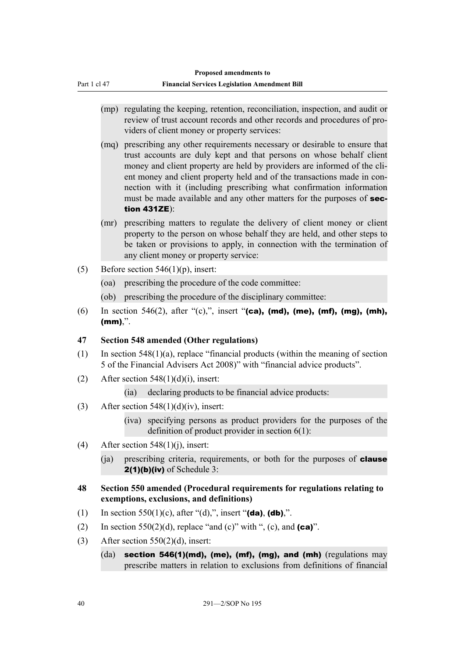- (mp) regulating the keeping, retention, reconciliation, inspection, and audit or review of trust account records and other records and procedures of providers of client money or property services:
- (mq) prescribing any other requirements necessary or desirable to ensure that trust accounts are duly kept and that persons on whose behalf client money and client property are held by providers are informed of the client money and client property held and of the transactions made in connection with it (including prescribing what confirmation information must be made available and any other matters for the purposes of section 431ZE):
- (mr) prescribing matters to regulate the delivery of client money or client property to the person on whose behalf they are held, and other steps to be taken or provisions to apply, in connection with the termination of any client money or property service:
- (5) Before section  $546(1)(p)$ , insert:

Part 1 cl 47

- (oa) prescribing the procedure of the code committee:
- (ob) prescribing the procedure of the disciplinary committee:
- (6) In section 546(2), after "(c),", insert "(ca), (md), (me), (mf), (mg), (mh),  $(mm)$ .".

### **47 Section 548 amended (Other regulations)**

- (1) In section  $548(1)(a)$ , replace "financial products (within the meaning of section 5 of the Financial Advisers Act 2008)" with "financial advice products".
- (2) After section  $548(1)(d)(i)$ , insert:
	- (ia) declaring products to be financial advice products:
- (3) After section  $548(1)(d)(iv)$ , insert:
	- (iva) specifying persons as product providers for the purposes of the definition of product provider in section 6(1):
- (4) After section  $548(1)(i)$ , insert:
	- (ja) prescribing criteria, requirements, or both for the purposes of **clause**  $2(1)(b)(iv)$  of Schedule 3:
- **48 Section 550 amended (Procedural requirements for regulations relating to exemptions, exclusions, and definitions)**
- (1) In section 550(1)(c), after "(d),", insert "(da), (db),".
- (2) In section 550(2)(d), replace "and (c)" with ", (c), and  $(ca)$ ".
- (3) After section  $550(2)(d)$ , insert:
	- $(da)$  section 546(1)(md), (me), (mf), (mg), and (mh) (regulations may prescribe matters in relation to exclusions from definitions of financial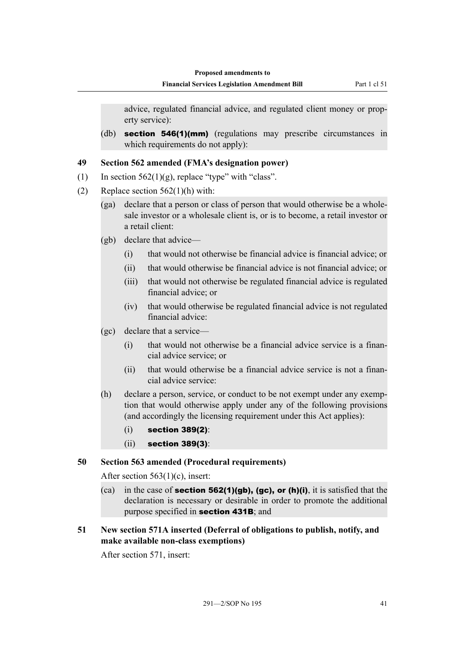**Financial Services Legislation Amendment Bill** Part 1 cl 51

advice, regulated financial advice, and regulated client money or property service):

(db) **section 546(1)(mm)** (regulations may prescribe circumstances in which requirements do not apply):

#### **49 Section 562 amended (FMA's designation power)**

- (1) In section  $562(1)(g)$ , replace "type" with "class".
- (2) Replace section  $562(1)(h)$  with:
	- (ga) declare that a person or class of person that would otherwise be a wholesale investor or a wholesale client is, or is to become, a retail investor or a retail client:
	- (gb) declare that advice—
		- (i) that would not otherwise be financial advice is financial advice; or
		- (ii) that would otherwise be financial advice is not financial advice; or
		- (iii) that would not otherwise be regulated financial advice is regulated financial advice; or
		- (iv) that would otherwise be regulated financial advice is not regulated financial advice:
	- (gc) declare that a service—
		- (i) that would not otherwise be a financial advice service is a financial advice service; or
		- (ii) that would otherwise be a financial advice service is not a financial advice service:
	- (h) declare a person, service, or conduct to be not exempt under any exemption that would otherwise apply under any of the following provisions (and accordingly the licensing requirement under this Act applies):
		- (i) section 389(2):
		- (ii) section 389(3):

#### **50 Section 563 amended (Procedural requirements)**

After section 563(1)(c), insert:

(ca) in the case of **section 562(1)(gb), (gc), or (h)(i)**, it is satisfied that the declaration is necessary or desirable in order to promote the additional purpose specified in section 431B; and

#### **51 New section 571A inserted (Deferral of obligations to publish, notify, and make available non-class exemptions)**

After section 571, insert: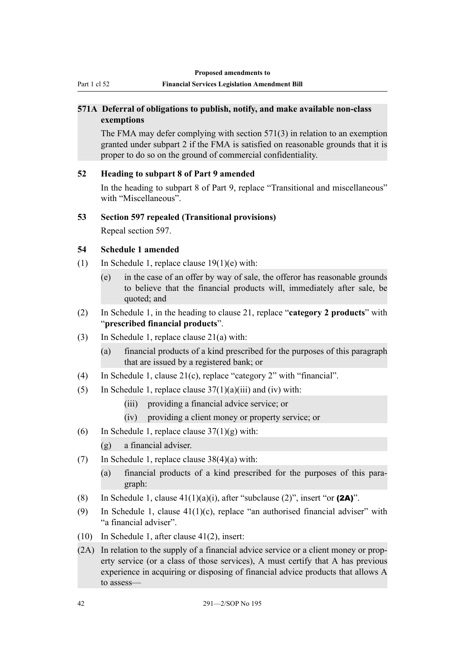## **571A Deferral of obligations to publish, notify, and make available non-class exemptions**

The FMA may defer complying with section 571(3) in relation to an exemption granted under subpart 2 if the FMA is satisfied on reasonable grounds that it is proper to do so on the ground of commercial confidentiality.

## **52 Heading to subpart 8 of Part 9 amended**

In the heading to subpart 8 of Part 9, replace "Transitional and miscellaneous" with "Miscellaneous".

### **53 Section 597 repealed (Transitional provisions)**

Repeal section 597.

## **54 Schedule 1 amended**

- (1) In Schedule 1, replace clause  $19(1)(e)$  with:
	- (e) in the case of an offer by way of sale, the offeror has reasonable grounds to believe that the financial products will, immediately after sale, be quoted; and
- (2) In Schedule 1, in the heading to clause 21, replace "**category 2 products**" with "**prescribed financial products**".
- (3) In Schedule 1, replace clause 21(a) with:
	- (a) financial products of a kind prescribed for the purposes of this paragraph that are issued by a registered bank; or
- (4) In Schedule 1, clause 21(c), replace "category 2" with "financial".
- (5) In Schedule 1, replace clause  $37(1)(a)(iii)$  and (iv) with:
	- (iii) providing a financial advice service; or
	- (iv) providing a client money or property service; or
- (6) In Schedule 1, replace clause  $37(1)(g)$  with:
	- (g) a financial adviser.
- (7) In Schedule 1, replace clause  $38(4)(a)$  with:
	- (a) financial products of a kind prescribed for the purposes of this paragraph:
- (8) In Schedule 1, clause  $41(1)(a)(i)$ , after "subclause (2)", insert "or (2A)".
- (9) In Schedule 1, clause  $41(1)(c)$ , replace "an authorised financial adviser" with "a financial adviser".
- (10) In Schedule 1, after clause 41(2), insert:
- (2A) In relation to the supply of a financial advice service or a client money or property service (or a class of those services), A must certify that A has previous experience in acquiring or disposing of financial advice products that allows A to assess—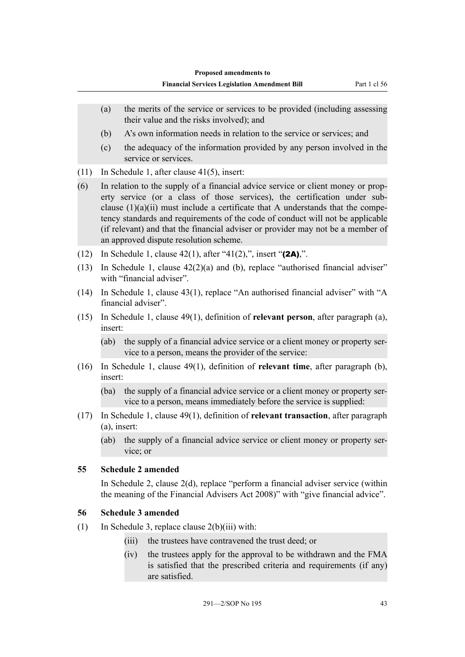- (a) the merits of the service or services to be provided (including assessing their value and the risks involved); and
- (b) A's own information needs in relation to the service or services; and
- (c) the adequacy of the information provided by any person involved in the service or services.
- (11) In Schedule 1, after clause 41(5), insert:
- (6) In relation to the supply of a financial advice service or client money or property service (or a class of those services), the certification under subclause  $(1)(a)(ii)$  must include a certificate that A understands that the competency standards and requirements of the code of conduct will not be applicable (if relevant) and that the financial adviser or provider may not be a member of an approved dispute resolution scheme.
- (12) In Schedule 1, clause  $42(1)$ , after " $41(2)$ ,", insert " $(2A)$ ,".
- (13) In Schedule 1, clause 42(2)(a) and (b), replace "authorised financial adviser" with "financial adviser".
- (14) In Schedule 1, clause 43(1), replace "An authorised financial adviser" with "A financial adviser".
- (15) In Schedule 1, clause 49(1), definition of **relevant person**, after paragraph (a), insert:
	- (ab) the supply of a financial advice service or a client money or property service to a person, means the provider of the service:
- (16) In Schedule 1, clause 49(1), definition of **relevant time**, after paragraph (b), insert:
	- (ba) the supply of a financial advice service or a client money or property service to a person, means immediately before the service is supplied:
- (17) In Schedule 1, clause 49(1), definition of **relevant transaction**, after paragraph (a), insert:
	- (ab) the supply of a financial advice service or client money or property service; or

### **55 Schedule 2 amended**

In Schedule 2, clause 2(d), replace "perform a financial adviser service (within the meaning of the Financial Advisers Act 2008)" with "give financial advice".

#### **56 Schedule 3 amended**

- (1) In Schedule 3, replace clause  $2(b)(iii)$  with:
	- (iii) the trustees have contravened the trust deed; or
	- (iv) the trustees apply for the approval to be withdrawn and the FMA is satisfied that the prescribed criteria and requirements (if any) are satisfied.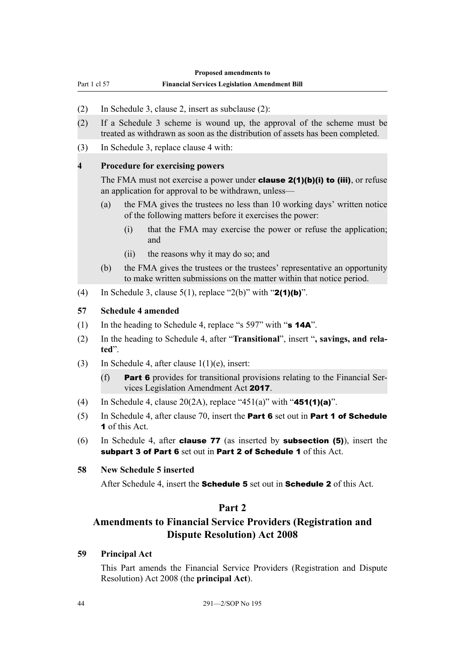Part 1 cl 57 **Financial Services Legislation Amendment Bill**

- (2) In Schedule 3, clause 2, insert as subclause (2):
- (2) If a Schedule 3 scheme is wound up, the approval of the scheme must be treated as withdrawn as soon as the distribution of assets has been completed.
- (3) In Schedule 3, replace clause 4 with:

#### **4 Procedure for exercising powers**

The FMA must not exercise a power under **clause 2(1)(b)(i) to (iii)**, or refuse an application for approval to be withdrawn, unless—

- (a) the FMA gives the trustees no less than 10 working days' written notice of the following matters before it exercises the power:
	- (i) that the FMA may exercise the power or refuse the application; and
	- (ii) the reasons why it may do so; and
- (b) the FMA gives the trustees or the trustees' representative an opportunity to make written submissions on the matter within that notice period.
- (4) In Schedule 3, clause  $5(1)$ , replace "2(b)" with "2(1)(b)".

#### **57 Schedule 4 amended**

- (1) In the heading to Schedule 4, replace "s 597" with " $\mathbf{s}$  14A".
- (2) In the heading to Schedule 4, after "**Transitional**", insert "**, savings, and related**".
- (3) In Schedule 4, after clause 1(1)(e), insert:
	- (f) Part 6 provides for transitional provisions relating to the Financial Services Legislation Amendment Act 2017.
- (4) In Schedule 4, clause  $20(2A)$ , replace "451(a)" with "**451(1)(a)**".
- (5) In Schedule 4, after clause 70, insert the Part 6 set out in Part 1 of Schedule 1 of this Act.
- (6) In Schedule 4, after clause 77 (as inserted by subsection (5)), insert the subpart 3 of Part 6 set out in Part 2 of Schedule 1 of this Act.

#### **58 New Schedule 5 inserted**

After Schedule 4, insert the **Schedule 5** set out in **Schedule 2** of this Act.

## **Part 2**

## **Amendments to Financial Service Providers (Registration and Dispute Resolution) Act 2008**

#### **59 Principal Act**

This Part amends the Financial Service Providers (Registration and Dispute Resolution) Act 2008 (the **principal Act**).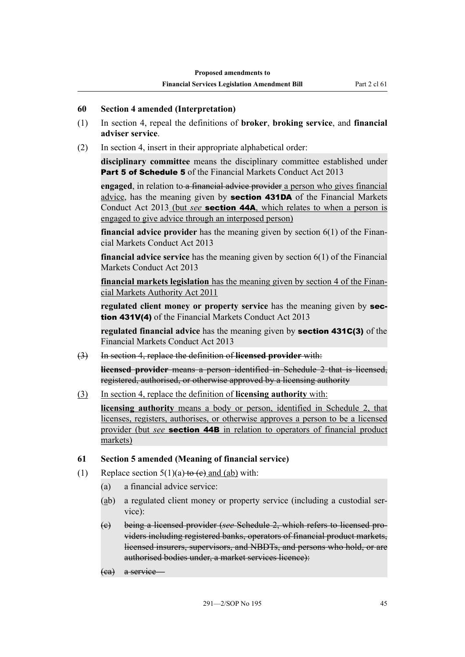#### **60 Section 4 amended (Interpretation)**

- (1) In section 4, repeal the definitions of **broker**, **broking service**, and **financial adviser service**.
- (2) In section 4, insert in their appropriate alphabetical order:

**disciplinary committee** means the disciplinary committee established under **Part 5 of Schedule 5** of the Financial Markets Conduct Act 2013

**engaged**, in relation to a financial advice provider a person who gives financial advice, has the meaning given by section 431DA of the Financial Markets Conduct Act 2013 (but *see* section 44A, which relates to when a person is engaged to give advice through an interposed person)

**financial advice provider** has the meaning given by section 6(1) of the Financial Markets Conduct Act 2013

**financial advice service** has the meaning given by section 6(1) of the Financial Markets Conduct Act 2013

**financial markets legislation** has the meaning given by section 4 of the Financial Markets Authority Act 2011

**regulated client money or property service** has the meaning given by section 431V(4) of the Financial Markets Conduct Act 2013

**regulated financial advice** has the meaning given by section 431C(3) of the Financial Markets Conduct Act 2013

(3) In section 4, replace the definition of **licensed provider** with:

**licensed provider** means a person identified in Schedule 2 that is licensed, registered, authorised, or otherwise approved by a licensing authority

(3) In section 4, replace the definition of **licensing authority** with:

**licensing authority** means a body or person, identified in Schedule 2, that licenses, registers, authorises, or otherwise approves a person to be a licensed provider (but *see* section 44B in relation to operators of financial product markets)

### **61 Section 5 amended (Meaning of financial service)**

- (1) Replace section  $5(1)(a)$  to (e) and (ab) with:
	- (a) a financial advice service:
	- (ab) a regulated client money or property service (including a custodial service):
	- (c) being a licensed provider (*see* Schedule 2, which refers to licensed providers including registered banks, operators of financial product markets, licensed insurers, supervisors, and NBDTs, and persons who hold, or are authorised bodies under, a market services licence):
	- (ca) a service—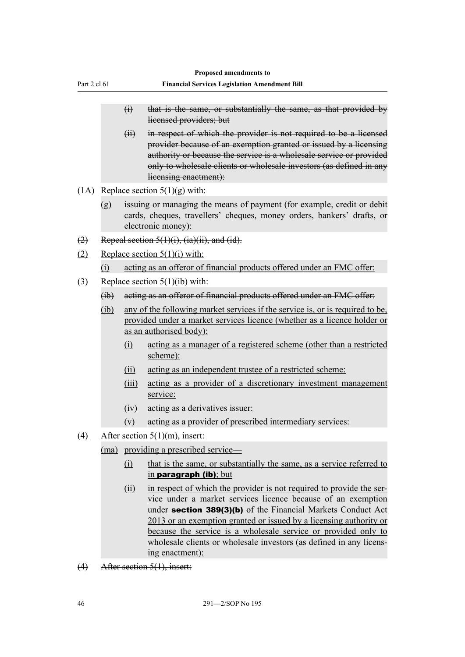|                  |        |                 | Proposed amendments to                                                                                                                                                                                                                                                                                                                                                                                                                 |
|------------------|--------|-----------------|----------------------------------------------------------------------------------------------------------------------------------------------------------------------------------------------------------------------------------------------------------------------------------------------------------------------------------------------------------------------------------------------------------------------------------------|
| Part 2 cl 61     |        |                 | <b>Financial Services Legislation Amendment Bill</b>                                                                                                                                                                                                                                                                                                                                                                                   |
|                  |        |                 |                                                                                                                                                                                                                                                                                                                                                                                                                                        |
|                  |        | $\ddot{\theta}$ | that is the same, or substantially the same, as that provided by<br>licensed providers; but                                                                                                                                                                                                                                                                                                                                            |
|                  |        | $\overline{H}$  | in respect of which the provider is not required to be a licensed<br>provider because of an exemption granted or issued by a licensing<br>authority or because the service is a wholesale service or provided<br>only to wholesale clients or wholesale investors (as defined in any<br>licensing enactment):                                                                                                                          |
|                  |        |                 | $(1A)$ Replace section $5(1)(g)$ with:                                                                                                                                                                                                                                                                                                                                                                                                 |
|                  | (g)    |                 | issuing or managing the means of payment (for example, credit or debit<br>cards, cheques, travellers' cheques, money orders, bankers' drafts, or<br>electronic money):                                                                                                                                                                                                                                                                 |
| (2)              |        |                 | Repeal section $5(1)(i)$ , $(ia)(ii)$ , and $(id)$ .                                                                                                                                                                                                                                                                                                                                                                                   |
| (2)              |        |                 | Replace section $5(1)(i)$ with:                                                                                                                                                                                                                                                                                                                                                                                                        |
|                  | (i)    |                 | acting as an offeror of financial products offered under an FMC offer:                                                                                                                                                                                                                                                                                                                                                                 |
| (3)              |        |                 | Replace section $5(1)(ib)$ with:                                                                                                                                                                                                                                                                                                                                                                                                       |
|                  | (H)    |                 | acting as an offeror of financial products offered under an FMC offer:                                                                                                                                                                                                                                                                                                                                                                 |
|                  | $(ib)$ |                 | any of the following market services if the service is, or is required to be,<br>provided under a market services licence (whether as a licence holder or<br>as an authorised body):                                                                                                                                                                                                                                                   |
|                  |        | (i)             | acting as a manager of a registered scheme (other than a restricted<br>scheme):                                                                                                                                                                                                                                                                                                                                                        |
|                  |        | (ii)            | acting as an independent trustee of a restricted scheme:                                                                                                                                                                                                                                                                                                                                                                               |
|                  |        | (iii)           | acting as a provider of a discretionary investment management<br>service:                                                                                                                                                                                                                                                                                                                                                              |
|                  |        | (iv)            | acting as a derivatives issuer:                                                                                                                                                                                                                                                                                                                                                                                                        |
|                  |        | (v)             | acting as a provider of prescribed intermediary services:                                                                                                                                                                                                                                                                                                                                                                              |
| $\left(4\right)$ |        |                 | After section $5(1)(m)$ , insert:                                                                                                                                                                                                                                                                                                                                                                                                      |
|                  |        |                 | (ma) providing a prescribed service—                                                                                                                                                                                                                                                                                                                                                                                                   |
|                  |        | (i)             | that is the same, or substantially the same, as a service referred to                                                                                                                                                                                                                                                                                                                                                                  |
|                  |        |                 | $\frac{\text{in} \text{param}}{\text{in} \text{param}}$ (ib); but                                                                                                                                                                                                                                                                                                                                                                      |
|                  |        | (ii)            | in respect of which the provider is not required to provide the ser-<br>vice under a market services licence because of an exemption<br>under section 389(3)(b) of the Financial Markets Conduct Act<br>2013 or an exemption granted or issued by a licensing authority or<br>because the service is a wholesale service or provided only to<br>wholesale clients or wholesale investors (as defined in any licens-<br>ing enactment): |
| (4)              |        |                 | After section 5(1), insert:                                                                                                                                                                                                                                                                                                                                                                                                            |
|                  |        |                 |                                                                                                                                                                                                                                                                                                                                                                                                                                        |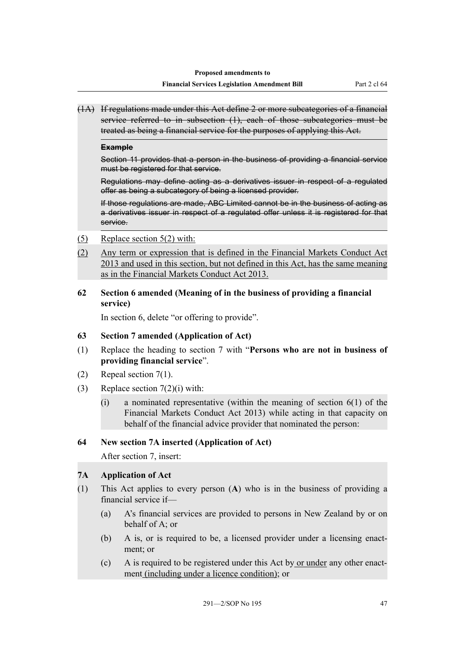(1A) If regulations made under this Act define 2 or more subcategories of a financial service referred to in subsection (1), each of those subcategories must be treated as being a financial service for the purposes of applying this Act.

#### **Example**

Section 11 provides that a person in the business of providing a financial service must be registered for that service.

Regulations may define acting as a derivatives issuer in respect of a regulated offer as being a subcategory of being a licensed provider.

If those regulations are made, ABC Limited cannot be in the business of acting as a derivatives issuer in respect of a regulated offer unless it is registered for that service.

- (5) Replace section 5(2) with:
- (2) Any term or expression that is defined in the Financial Markets Conduct Act 2013 and used in this section, but not defined in this Act, has the same meaning as in the Financial Markets Conduct Act 2013.

### **62 Section 6 amended (Meaning of in the business of providing a financial service)**

In section 6, delete "or offering to provide".

### **63 Section 7 amended (Application of Act)**

- (1) Replace the heading to section 7 with "**Persons who are not in business of providing financial service**".
- (2) Repeal section 7(1).
- (3) Replace section 7(2)(i) with:
	- (i) a nominated representative (within the meaning of section 6(1) of the Financial Markets Conduct Act 2013) while acting in that capacity on behalf of the financial advice provider that nominated the person:

### **64 New section 7A inserted (Application of Act)**

After section 7, insert:

### **7A Application of Act**

- (1) This Act applies to every person (**A**) who is in the business of providing a financial service if—
	- (a) A's financial services are provided to persons in New Zealand by or on behalf of A; or
	- (b) A is, or is required to be, a licensed provider under a licensing enactment; or
	- (c) A is required to be registered under this Act by or under any other enactment (including under a licence condition); or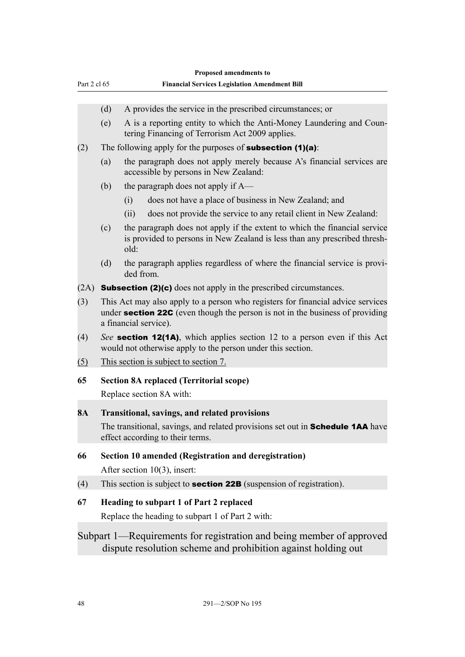|              |                                                                                                                                                                                                  | Proposed amendments to                                                                                                                                              |  |
|--------------|--------------------------------------------------------------------------------------------------------------------------------------------------------------------------------------------------|---------------------------------------------------------------------------------------------------------------------------------------------------------------------|--|
| Part 2 cl 65 |                                                                                                                                                                                                  | <b>Financial Services Legislation Amendment Bill</b>                                                                                                                |  |
|              | (d)                                                                                                                                                                                              | A provides the service in the prescribed circumstances; or                                                                                                          |  |
|              | (e)                                                                                                                                                                                              | A is a reporting entity to which the Anti-Money Laundering and Coun-<br>tering Financing of Terrorism Act 2009 applies.                                             |  |
| (2)          |                                                                                                                                                                                                  | The following apply for the purposes of <b>subsection <math>(1)(a)</math></b> :                                                                                     |  |
|              | (a)                                                                                                                                                                                              | the paragraph does not apply merely because A's financial services are<br>accessible by persons in New Zealand:                                                     |  |
|              | (b)                                                                                                                                                                                              | the paragraph does not apply if A—                                                                                                                                  |  |
|              |                                                                                                                                                                                                  | does not have a place of business in New Zealand; and<br>(i)                                                                                                        |  |
|              |                                                                                                                                                                                                  | does not provide the service to any retail client in New Zealand:<br>(ii)                                                                                           |  |
|              | (c)                                                                                                                                                                                              | the paragraph does not apply if the extent to which the financial service<br>is provided to persons in New Zealand is less than any prescribed thresh-<br>old:      |  |
|              | (d)                                                                                                                                                                                              | the paragraph applies regardless of where the financial service is provi-<br>ded from.                                                                              |  |
| (2A)         |                                                                                                                                                                                                  | <b>Subsection (2)(c)</b> does not apply in the prescribed circumstances.                                                                                            |  |
| (3)          | This Act may also apply to a person who registers for financial advice services<br>under <b>section 22C</b> (even though the person is not in the business of providing<br>a financial service). |                                                                                                                                                                     |  |
| (4)          | See section 12(1A), which applies section 12 to a person even if this Act<br>would not otherwise apply to the person under this section.                                                         |                                                                                                                                                                     |  |
| (5)          |                                                                                                                                                                                                  | This section is subject to section 7.                                                                                                                               |  |
| 65           | <b>Section 8A replaced (Territorial scope)</b>                                                                                                                                                   |                                                                                                                                                                     |  |
|              |                                                                                                                                                                                                  | Replace section 8A with:                                                                                                                                            |  |
| <b>8A</b>    |                                                                                                                                                                                                  | Transitional, savings, and related provisions<br>The transitional, savings, and related provisions set out in Schedule 1AA have<br>effect according to their terms. |  |
| 66           |                                                                                                                                                                                                  | Section 10 amended (Registration and deregistration)<br>After section $10(3)$ , insert:                                                                             |  |
| (4)          |                                                                                                                                                                                                  | This section is subject to <b>section 22B</b> (suspension of registration).                                                                                         |  |
| 67           |                                                                                                                                                                                                  | Heading to subpart 1 of Part 2 replaced<br>Replace the heading to subpart 1 of Part 2 with:                                                                         |  |
|              |                                                                                                                                                                                                  | Subpart 1—Requirements for registration and being member of approved<br>dispute resolution scheme and prohibition against holding out                               |  |
|              |                                                                                                                                                                                                  |                                                                                                                                                                     |  |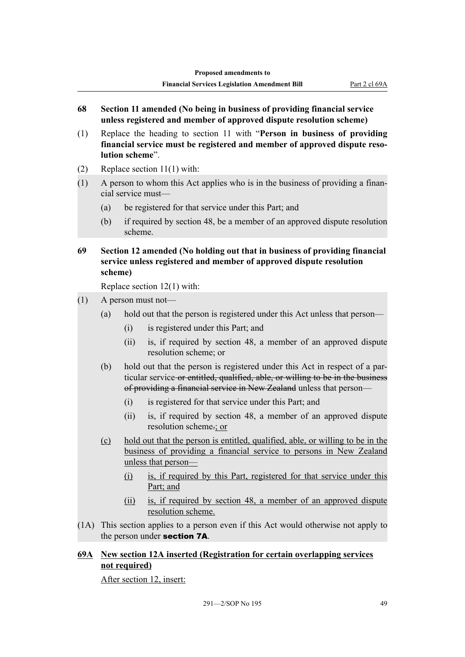- **68 Section 11 amended (No being in business of providing financial service unless registered and member of approved dispute resolution scheme)**
- (1) Replace the heading to section 11 with "**Person in business of providing financial service must be registered and member of approved dispute resolution scheme**".
- (2) Replace section 11(1) with:
- (1) A person to whom this Act applies who is in the business of providing a financial service must—
	- (a) be registered for that service under this Part; and
	- (b) if required by section 48, be a member of an approved dispute resolution scheme.
- **69 Section 12 amended (No holding out that in business of providing financial service unless registered and member of approved dispute resolution scheme)**

Replace section 12(1) with:

- (1) A person must not—
	- (a) hold out that the person is registered under this Act unless that person—
		- (i) is registered under this Part; and
		- (ii) is, if required by section 48, a member of an approved dispute resolution scheme; or
	- (b) hold out that the person is registered under this Act in respect of a particular service or entitled, qualified, able, or willing to be in the business of providing a financial service in New Zealand unless that person—
		- (i) is registered for that service under this Part; and
		- (ii) is, if required by section 48, a member of an approved dispute resolution scheme.; or
	- (c) hold out that the person is entitled, qualified, able, or willing to be in the business of providing a financial service to persons in New Zealand unless that person—
		- (i) is, if required by this Part, registered for that service under this Part; and
		- (ii) is, if required by section 48, a member of an approved dispute resolution scheme.
- (1A) This section applies to a person even if this Act would otherwise not apply to the person under section 7A.

## **69A New section 12A inserted (Registration for certain overlapping services not required)**

After section 12, insert: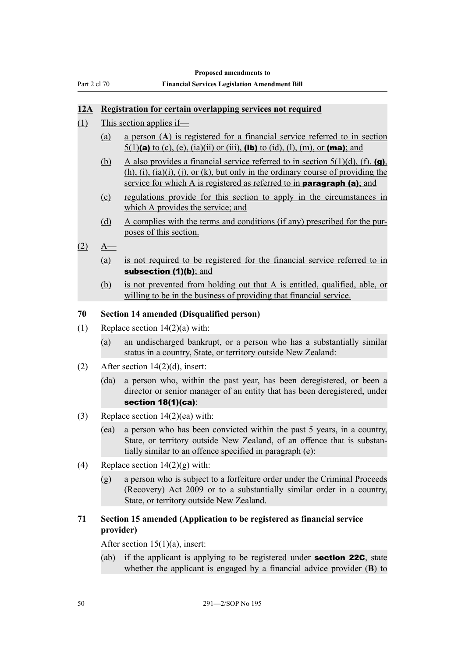|              | <b>Proposed amendments to</b>                        |
|--------------|------------------------------------------------------|
| Part 2 cl 70 | <b>Financial Services Legislation Amendment Bill</b> |

#### **12A Registration for certain overlapping services not required**

- (1) This section applies if—
	- (a) a person (**A**) is registered for a financial service referred to in section 5(1)(a) to (c), (e), (ia)(ii) or (iii), (ib) to (id), (l), (m), or (ma); and
	- (b) A also provides a financial service referred to in section  $5(1)(d)$ , (f), (g),  $(h)$ ,  $(i)$ ,  $(ia)(i)$ ,  $(i)$ , or  $(k)$ , but only in the ordinary course of providing the service for which A is registered as referred to in **paragraph (a)**; and
	- (c) regulations provide for this section to apply in the circumstances in which A provides the service; and
	- (d) A complies with the terms and conditions (if any) prescribed for the purposes of this section.
- $(2)$  A—
	- (a) is not required to be registered for the financial service referred to in subsection (1)(b); and
	- (b) is not prevented from holding out that A is entitled, qualified, able, or willing to be in the business of providing that financial service.

#### **70 Section 14 amended (Disqualified person)**

- (1) Replace section 14(2)(a) with:
	- (a) an undischarged bankrupt, or a person who has a substantially similar status in a country, State, or territory outside New Zealand:
- (2) After section 14(2)(d), insert:
	- (da) a person who, within the past year, has been deregistered, or been a director or senior manager of an entity that has been deregistered, under section 18(1)(ca):
- (3) Replace section 14(2)(ea) with:
	- (ea) a person who has been convicted within the past 5 years, in a country, State, or territory outside New Zealand, of an offence that is substantially similar to an offence specified in paragraph (e):
- (4) Replace section  $14(2)(g)$  with:
	- (g) a person who is subject to a forfeiture order under the Criminal Proceeds (Recovery) Act 2009 or to a substantially similar order in a country, State, or territory outside New Zealand.

## **71 Section 15 amended (Application to be registered as financial service provider)**

After section  $15(1)(a)$ , insert:

(ab) if the applicant is applying to be registered under **section 22C**, state whether the applicant is engaged by a financial advice provider (**B**) to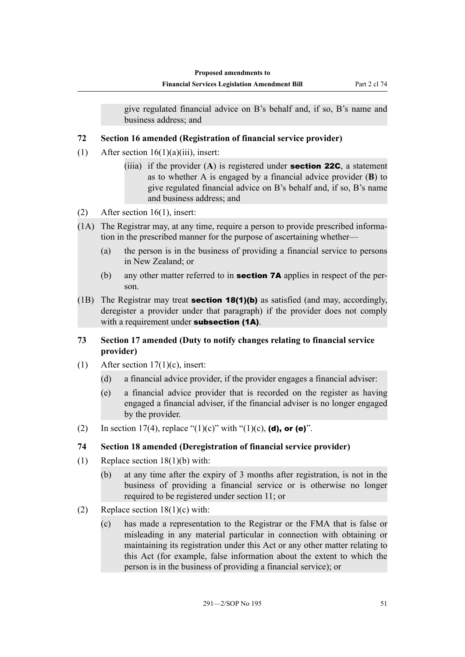give regulated financial advice on B's behalf and, if so, B's name and business address; and

## **72 Section 16 amended (Registration of financial service provider)**

- (1) After section  $16(1)(a)(iii)$ , insert:
	- (iiia) if the provider (**A**) is registered under section 22C, a statement as to whether A is engaged by a financial advice provider (**B**) to give regulated financial advice on B's behalf and, if so, B's name and business address; and
- (2) After section 16(1), insert:
- (1A) The Registrar may, at any time, require a person to provide prescribed information in the prescribed manner for the purpose of ascertaining whether—
	- (a) the person is in the business of providing a financial service to persons in New Zealand; or
	- (b) any other matter referred to in **section 7A** applies in respect of the person.
- (1B) The Registrar may treat **section 18(1)(b)** as satisfied (and may, accordingly, deregister a provider under that paragraph) if the provider does not comply with a requirement under **subsection (1A)**.

## **73 Section 17 amended (Duty to notify changes relating to financial service provider)**

- (1) After section  $17(1)(c)$ , insert:
	- (d) a financial advice provider, if the provider engages a financial adviser:
	- (e) a financial advice provider that is recorded on the register as having engaged a financial adviser, if the financial adviser is no longer engaged by the provider.
- (2) In section 17(4), replace "(1)(c)" with "(1)(c), (d), or (e)".

## **74 Section 18 amended (Deregistration of financial service provider)**

- (1) Replace section 18(1)(b) with:
	- (b) at any time after the expiry of 3 months after registration, is not in the business of providing a financial service or is otherwise no longer required to be registered under section 11; or
- (2) Replace section  $18(1)(c)$  with:
	- (c) has made a representation to the Registrar or the FMA that is false or misleading in any material particular in connection with obtaining or maintaining its registration under this Act or any other matter relating to this Act (for example, false information about the extent to which the person is in the business of providing a financial service); or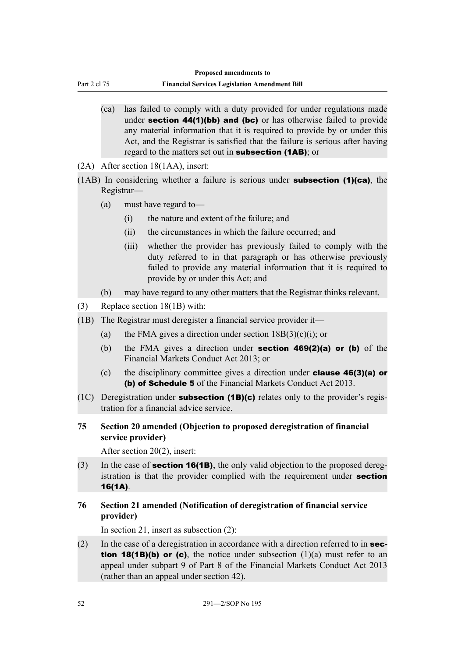Part 2 cl 75

- (ca) has failed to comply with a duty provided for under regulations made under **section 44(1)(bb) and (bc)** or has otherwise failed to provide any material information that it is required to provide by or under this Act, and the Registrar is satisfied that the failure is serious after having regard to the matters set out in **subsection (1AB)**; or
- (2A) After section 18(1AA), insert:
- $(1AB)$  In considering whether a failure is serious under **subsection (1)(ca)**, the Registrar—
	- (a) must have regard to—
		- (i) the nature and extent of the failure; and
		- (ii) the circumstances in which the failure occurred; and
		- (iii) whether the provider has previously failed to comply with the duty referred to in that paragraph or has otherwise previously failed to provide any material information that it is required to provide by or under this Act; and
	- (b) may have regard to any other matters that the Registrar thinks relevant.
- (3) Replace section 18(1B) with:
- (1B) The Registrar must deregister a financial service provider if—
	- (a) the FMA gives a direction under section  $18B(3)(c)(i)$ ; or
	- (b) the FMA gives a direction under **section 469(2)(a) or (b)** of the Financial Markets Conduct Act 2013; or
	- (c) the disciplinary committee gives a direction under clause 46(3)(a) or (b) of Schedule 5 of the Financial Markets Conduct Act 2013.
- (1C) Deregistration under **subsection (1B)(c)** relates only to the provider's registration for a financial advice service.
- **75 Section 20 amended (Objection to proposed deregistration of financial service provider)**

After section 20(2), insert:

- (3) In the case of **section 16(1B)**, the only valid objection to the proposed deregistration is that the provider complied with the requirement under **section** 16(1A).
- **76 Section 21 amended (Notification of deregistration of financial service provider)**

In section 21, insert as subsection (2):

(2) In the case of a deregistration in accordance with a direction referred to in **sec**tion 18(1B)(b) or (c), the notice under subsection  $(1)(a)$  must refer to an appeal under subpart 9 of Part 8 of the Financial Markets Conduct Act 2013 (rather than an appeal under section 42).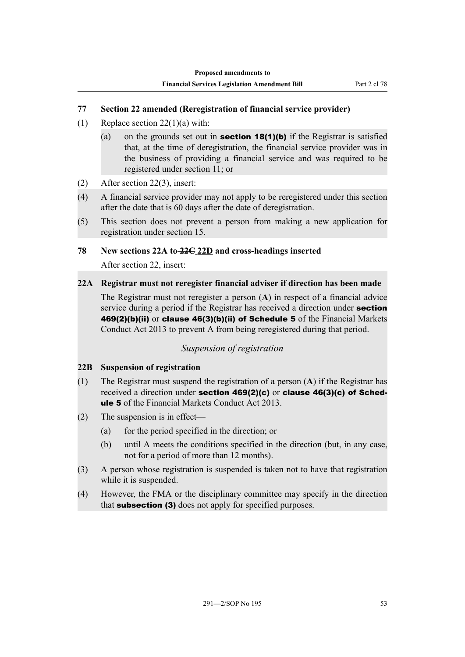### **77 Section 22 amended (Reregistration of financial service provider)**

- (1) Replace section  $22(1)(a)$  with:
	- (a) on the grounds set out in **section 18(1)(b)** if the Registrar is satisfied that, at the time of deregistration, the financial service provider was in the business of providing a financial service and was required to be registered under section 11; or
- (2) After section 22(3), insert:
- (4) A financial service provider may not apply to be reregistered under this section after the date that is 60 days after the date of deregistration.
- (5) This section does not prevent a person from making a new application for registration under section 15.

### **78 New sections 22A to 22C 22D and cross-headings inserted**

After section 22, insert:

### **22A Registrar must not reregister financial adviser if direction has been made**

The Registrar must not reregister a person (**A**) in respect of a financial advice service during a period if the Registrar has received a direction under **section** 469(2)(b)(ii) or clause 46(3)(b)(ii) of Schedule 5 of the Financial Markets Conduct Act 2013 to prevent A from being reregistered during that period.

### *Suspension of registration*

### **22B Suspension of registration**

- (1) The Registrar must suspend the registration of a person (**A**) if the Registrar has received a direction under section 469(2)(c) or clause 46(3)(c) of Schedule 5 of the Financial Markets Conduct Act 2013.
- (2) The suspension is in effect—
	- (a) for the period specified in the direction; or
	- (b) until A meets the conditions specified in the direction (but, in any case, not for a period of more than 12 months).
- (3) A person whose registration is suspended is taken not to have that registration while it is suspended.
- (4) However, the FMA or the disciplinary committee may specify in the direction that subsection (3) does not apply for specified purposes.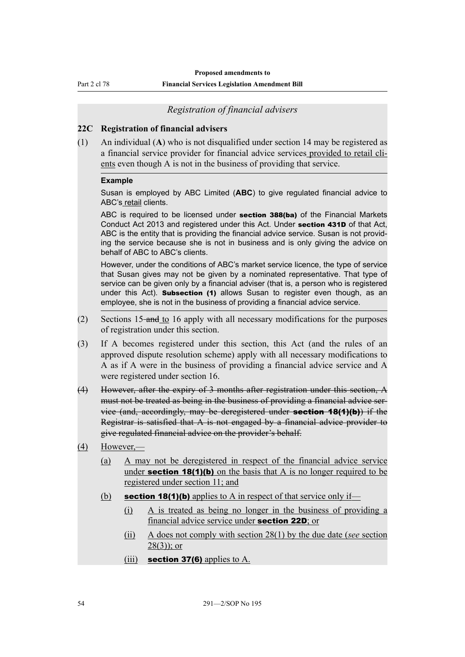Part 2 cl 78

#### **Financial Services Legislation Amendment Bill**

#### *Registration of financial advisers*

#### **22C Registration of financial advisers**

(1) An individual (**A**) who is not disqualified under section 14 may be registered as a financial service provider for financial advice services provided to retail clients even though A is not in the business of providing that service.

#### **Example**

Susan is employed by ABC Limited (**ABC**) to give regulated financial advice to ABC's retail clients.

ABC is required to be licensed under section 388(ba) of the Financial Markets Conduct Act 2013 and registered under this Act. Under section 431D of that Act, ABC is the entity that is providing the financial advice service. Susan is not providing the service because she is not in business and is only giving the advice on behalf of ABC to ABC's clients.

However, under the conditions of ABC's market service licence, the type of service that Susan gives may not be given by a nominated representative. That type of service can be given only by a financial adviser (that is, a person who is registered under this Act). **Subsection (1)** allows Susan to register even though, as an employee, she is not in the business of providing a financial advice service.

- (2) Sections 15 and to 16 apply with all necessary modifications for the purposes of registration under this section.
- (3) If A becomes registered under this section, this Act (and the rules of an approved dispute resolution scheme) apply with all necessary modifications to A as if A were in the business of providing a financial advice service and A were registered under section 16.
- (4) However, after the expiry of 3 months after registration under this section, A must not be treated as being in the business of providing a financial advice service (and, accordingly, may be deregistered under section 18(1)(b)) if the Registrar is satisfied that A is not engaged by a financial advice provider to give regulated financial advice on the provider's behalf.
- (4) However,—
	- (a) A may not be deregistered in respect of the financial advice service under **section 18(1)(b)** on the basis that A is no longer required to be registered under section 11; and
	- (b) section 18(1)(b) applies to A in respect of that service only if—
		- (i) A is treated as being no longer in the business of providing a financial advice service under section 22D; or
		- (ii) A does not comply with section 28(1) by the due date (*see* section  $28(3)$ ; or
		- (iii) section 37(6) applies to  $A$ .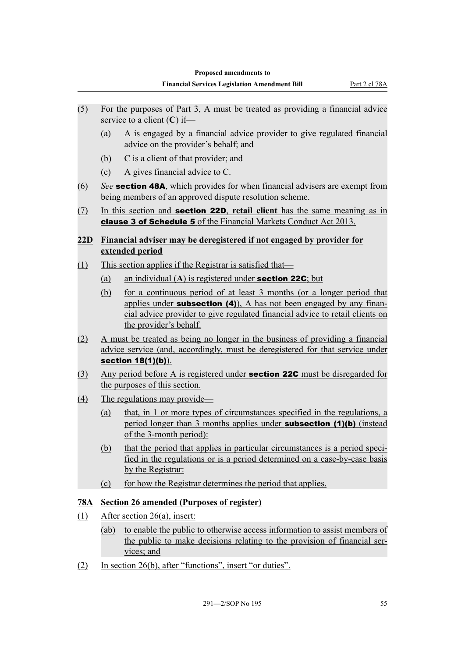- (5) For the purposes of Part 3, A must be treated as providing a financial advice service to a client (**C**) if—
	- (a) A is engaged by a financial advice provider to give regulated financial advice on the provider's behalf; and
	- (b) C is a client of that provider; and
	- (c) A gives financial advice to C.
- (6) *See* section 48A, which provides for when financial advisers are exempt from being members of an approved dispute resolution scheme.
- (7) In this section and section 22D, **retail client** has the same meaning as in clause 3 of Schedule 5 of the Financial Markets Conduct Act 2013.

## **22D Financial adviser may be deregistered if not engaged by provider for extended period**

- (1) This section applies if the Registrar is satisfied that—
	- (a) an individual (**A**) is registered under section 22C; but
	- (b) for a continuous period of at least 3 months (or a longer period that applies under **subsection (4)**), A has not been engaged by any financial advice provider to give regulated financial advice to retail clients on the provider's behalf.
- (2) A must be treated as being no longer in the business of providing a financial advice service (and, accordingly, must be deregistered for that service under section 18(1)(b)).
- (3) Any period before A is registered under **section 22C** must be disregarded for the purposes of this section.
- (4) The regulations may provide—
	- (a) that, in 1 or more types of circumstances specified in the regulations, a period longer than 3 months applies under **subsection (1)(b)** (instead of the 3-month period):
	- (b) that the period that applies in particular circumstances is a period specified in the regulations or is a period determined on a case-by-case basis by the Registrar:
	- (c) for how the Registrar determines the period that applies.

## **78A Section 26 amended (Purposes of register)**

- (1) After section 26(a), insert:
	- (ab) to enable the public to otherwise access information to assist members of the public to make decisions relating to the provision of financial services; and
- (2) In section 26(b), after "functions", insert "or duties".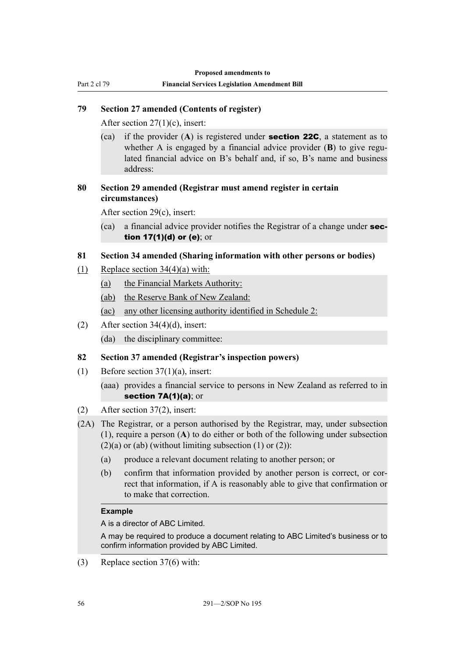## **79 Section 27 amended (Contents of register)**

After section 27(1)(c), insert:

Part 2 cl 79

(ca) if the provider (**A**) is registered under section 22C, a statement as to whether A is engaged by a financial advice provider (**B**) to give regulated financial advice on B's behalf and, if so, B's name and business address:

### **80 Section 29 amended (Registrar must amend register in certain circumstances)**

After section 29(c), insert:

(ca) a financial advice provider notifies the Registrar of a change under section 17(1)(d) or (e); or

### **81 Section 34 amended (Sharing information with other persons or bodies)**

- (1) Replace section  $34(4)(a)$  with:
	- (a) the Financial Markets Authority:
	- (ab) the Reserve Bank of New Zealand:
	- (ac) any other licensing authority identified in Schedule 2:
- (2) After section 34(4)(d), insert:
	- (da) the disciplinary committee:

### **82 Section 37 amended (Registrar's inspection powers)**

- (1) Before section  $37(1)(a)$ , insert:
	- (aaa) provides a financial service to persons in New Zealand as referred to in section 7A(1)(a); or
- (2) After section 37(2), insert:
- (2A) The Registrar, or a person authorised by the Registrar, may, under subsection (1), require a person (**A**) to do either or both of the following under subsection  $(2)(a)$  or (ab) (without limiting subsection  $(1)$  or  $(2)$ ):
	- (a) produce a relevant document relating to another person; or
	- (b) confirm that information provided by another person is correct, or correct that information, if A is reasonably able to give that confirmation or to make that correction.

#### **Example**

A is a director of ABC Limited.

A may be required to produce a document relating to ABC Limited's business or to confirm information provided by ABC Limited.

(3) Replace section 37(6) with: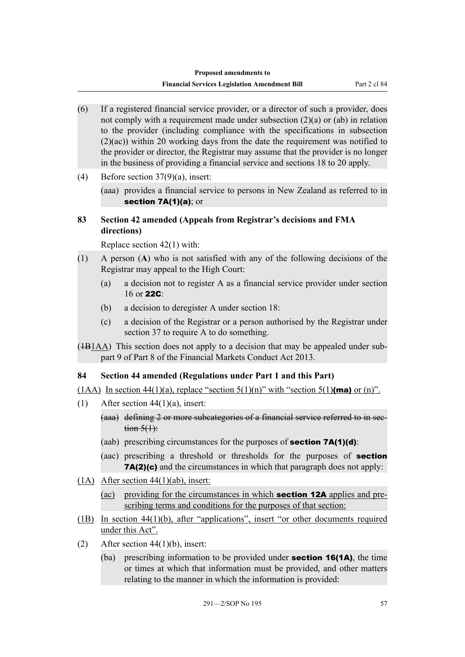- (6) If a registered financial service provider, or a director of such a provider, does not comply with a requirement made under subsection (2)(a) or (ab) in relation to the provider (including compliance with the specifications in subsection (2)(ac)) within 20 working days from the date the requirement was notified to the provider or director, the Registrar may assume that the provider is no longer in the business of providing a financial service and sections 18 to 20 apply.
- (4) Before section 37(9)(a), insert:

(aaa) provides a financial service to persons in New Zealand as referred to in section 7A(1)(a); or

### **83 Section 42 amended (Appeals from Registrar's decisions and FMA directions)**

Replace section 42(1) with:

- (1) A person (**A**) who is not satisfied with any of the following decisions of the Registrar may appeal to the High Court:
	- (a) a decision not to register A as a financial service provider under section 16 or  $22C$
	- (b) a decision to deregister A under section 18:
	- (c) a decision of the Registrar or a person authorised by the Registrar under section 37 to require A to do something.
- ( $\overline{1B1AA}$ ) This section does not apply to a decision that may be appealed under subpart 9 of Part 8 of the Financial Markets Conduct Act 2013.

### **84 Section 44 amended (Regulations under Part 1 and this Part)**

(1AA) In section 44(1)(a), replace "section  $5(1)(n)$ " with "section  $5(1)(ma)$  or (n)".

- (1) After section  $44(1)(a)$ , insert:
	- (aaa) defining 2 or more subcategories of a financial service referred to in sec- $\frac{\text{tion } 5(1)}{1}$
	- (aab) prescribing circumstances for the purposes of **section 7A(1)(d)**:
	- (aac) prescribing a threshold or thresholds for the purposes of section 7A(2)(c) and the circumstances in which that paragraph does not apply:
- (1A) After section 44(1)(ab), insert:
	- (ac) providing for the circumstances in which section 12A applies and prescribing terms and conditions for the purposes of that section:
- (1B) In section 44(1)(b), after "applications", insert "or other documents required under this Act".
- (2) After section  $44(1)(b)$ , insert:
	- (ba) prescribing information to be provided under section 16(1A), the time or times at which that information must be provided, and other matters relating to the manner in which the information is provided: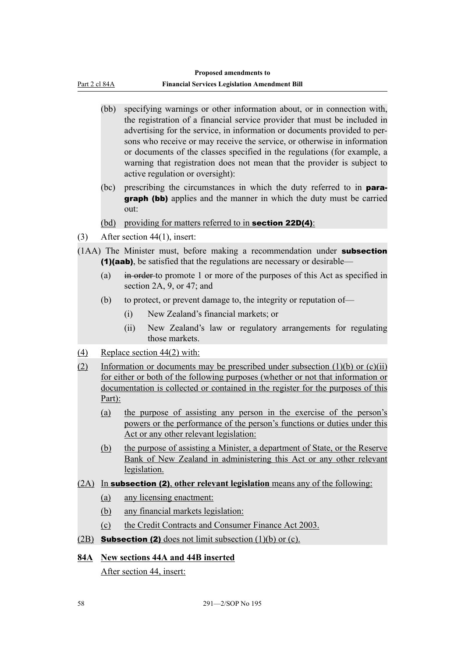Part 2 cl 84A

- (bb) specifying warnings or other information about, or in connection with, the registration of a financial service provider that must be included in advertising for the service, in information or documents provided to persons who receive or may receive the service, or otherwise in information or documents of the classes specified in the regulations (for example, a warning that registration does not mean that the provider is subject to active regulation or oversight):
- (bc) prescribing the circumstances in which the duty referred to in para**graph (bb)** applies and the manner in which the duty must be carried out:
- (bd) providing for matters referred to in **section 22D(4)**:
- (3) After section 44(1), insert:
- (1AA) The Minister must, before making a recommendation under subsection (1)(aab), be satisfied that the regulations are necessary or desirable—
	- (a) in order to promote 1 or more of the purposes of this Act as specified in section 2A, 9, or 47; and
	- (b) to protect, or prevent damage to, the integrity or reputation of—
		- (i) New Zealand's financial markets; or
		- (ii) New Zealand's law or regulatory arrangements for regulating those markets.
- (4) Replace section 44(2) with:
- (2) Information or documents may be prescribed under subsection  $(1)(b)$  or  $(c)(ii)$ for either or both of the following purposes (whether or not that information or documentation is collected or contained in the register for the purposes of this Part):
	- (a) the purpose of assisting any person in the exercise of the person's powers or the performance of the person's functions or duties under this Act or any other relevant legislation:
	- (b) the purpose of assisting a Minister, a department of State, or the Reserve Bank of New Zealand in administering this Act or any other relevant legislation.
- (2A) In subsection (2), **other relevant legislation** means any of the following:
	- (a) any licensing enactment:
	- (b) any financial markets legislation:
	- (c) the Credit Contracts and Consumer Finance Act 2003.
- (2B) **Subsection (2)** does not limit subsection  $(1)(b)$  or  $(c)$ .

### **84A New sections 44A and 44B inserted**

After section 44, insert: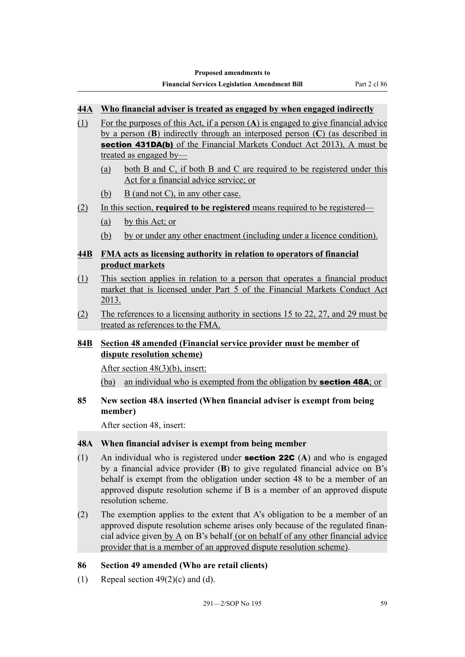### **44A Who financial adviser is treated as engaged by when engaged indirectly**

- (1) For the purposes of this Act, if a person (**A**) is engaged to give financial advice by a person (**B**) indirectly through an interposed person (**C**) (as described in section 431DA(b) of the Financial Markets Conduct Act 2013), A must be treated as engaged by—
	- (a) both B and C, if both B and C are required to be registered under this Act for a financial advice service; or
	- (b) B (and not C), in any other case.
- (2) In this section, **required to be registered** means required to be registered—
	- (a) by this Act; or
	- (b) by or under any other enactment (including under a licence condition).

## **44B FMA acts as licensing authority in relation to operators of financial product markets**

- (1) This section applies in relation to a person that operates a financial product market that is licensed under Part 5 of the Financial Markets Conduct Act 2013.
- (2) The references to a licensing authority in sections 15 to 22, 27, and 29 must be treated as references to the FMA.

## **84B Section 48 amended (Financial service provider must be member of dispute resolution scheme)**

After section 48(3)(b), insert:

(ba) an individual who is exempted from the obligation by **section 48A**; or

#### **85 New section 48A inserted (When financial adviser is exempt from being member)**

After section 48, insert:

### **48A When financial adviser is exempt from being member**

- (1) An individual who is registered under section 22C (**A**) and who is engaged by a financial advice provider (**B**) to give regulated financial advice on B's behalf is exempt from the obligation under section 48 to be a member of an approved dispute resolution scheme if B is a member of an approved dispute resolution scheme.
- (2) The exemption applies to the extent that A's obligation to be a member of an approved dispute resolution scheme arises only because of the regulated financial advice given by A on B's behalf (or on behalf of any other financial advice provider that is a member of an approved dispute resolution scheme).

### **86 Section 49 amended (Who are retail clients)**

(1) Repeal section  $49(2)(c)$  and (d).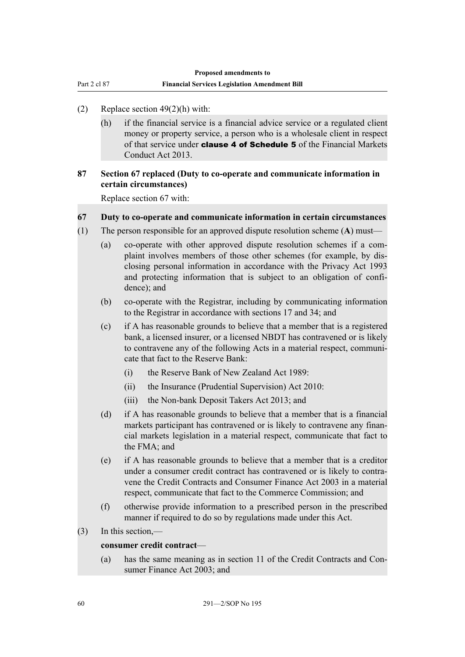Part 2 cl 87

#### (2) Replace section 49(2)(h) with:

(h) if the financial service is a financial advice service or a regulated client money or property service, a person who is a wholesale client in respect of that service under **clause 4 of Schedule 5** of the Financial Markets Conduct Act 2013.

### **87 Section 67 replaced (Duty to co-operate and communicate information in certain circumstances)**

Replace section 67 with:

#### **67 Duty to co-operate and communicate information in certain circumstances**

- (1) The person responsible for an approved dispute resolution scheme (**A**) must—
	- (a) co-operate with other approved dispute resolution schemes if a complaint involves members of those other schemes (for example, by disclosing personal information in accordance with the Privacy Act 1993 and protecting information that is subject to an obligation of confidence); and
	- (b) co-operate with the Registrar, including by communicating information to the Registrar in accordance with sections 17 and 34; and
	- (c) if A has reasonable grounds to believe that a member that is a registered bank, a licensed insurer, or a licensed NBDT has contravened or is likely to contravene any of the following Acts in a material respect, communicate that fact to the Reserve Bank:
		- (i) the Reserve Bank of New Zealand Act 1989:
		- (ii) the Insurance (Prudential Supervision) Act 2010:
		- (iii) the Non-bank Deposit Takers Act 2013; and
	- (d) if A has reasonable grounds to believe that a member that is a financial markets participant has contravened or is likely to contravene any financial markets legislation in a material respect, communicate that fact to the FMA; and
	- (e) if A has reasonable grounds to believe that a member that is a creditor under a consumer credit contract has contravened or is likely to contravene the Credit Contracts and Consumer Finance Act 2003 in a material respect, communicate that fact to the Commerce Commission; and
	- (f) otherwise provide information to a prescribed person in the prescribed manner if required to do so by regulations made under this Act.
- (3) In this section,—

#### **consumer credit contract**—

(a) has the same meaning as in section 11 of the Credit Contracts and Consumer Finance Act 2003; and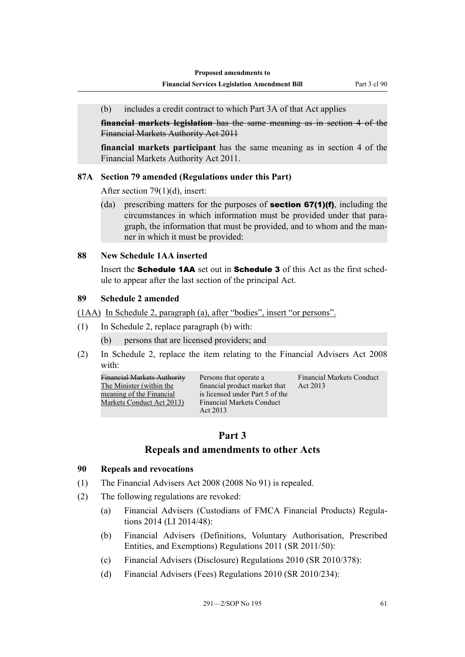(b) includes a credit contract to which Part 3A of that Act applies

**financial markets legislation** has the same meaning as in section 4 of the Financial Markets Authority Act 2011

**financial markets participant** has the same meaning as in section 4 of the Financial Markets Authority Act 2011.

#### **87A Section 79 amended (Regulations under this Part)**

After section 79(1)(d), insert:

(da) prescribing matters for the purposes of **section 67(1)(f)**, including the circumstances in which information must be provided under that paragraph, the information that must be provided, and to whom and the manner in which it must be provided:

#### **88 New Schedule 1AA inserted**

Insert the Schedule 1AA set out in Schedule 3 of this Act as the first schedule to appear after the last section of the principal Act.

#### **89 Schedule 2 amended**

(1AA) In Schedule 2, paragraph (a), after "bodies", insert "or persons".

- (1) In Schedule 2, replace paragraph (b) with:
	- (b) persons that are licensed providers; and
- (2) In Schedule 2, replace the item relating to the Financial Advisers Act 2008 with:

Financial Markets Authority The Minister (within the meaning of the Financial Markets Conduct Act 2013)

Persons that operate a financial product market that is licensed under Part 5 of the Financial Markets Conduct Act 2013 Financial Markets Conduct Act 2013

## **Part 3**

## **Repeals and amendments to other Acts**

#### **90 Repeals and revocations**

- (1) The Financial Advisers Act 2008 (2008 No 91) is repealed.
- (2) The following regulations are revoked:
	- (a) Financial Advisers (Custodians of FMCA Financial Products) Regulations 2014 (LI 2014/48):
	- (b) Financial Advisers (Definitions, Voluntary Authorisation, Prescribed Entities, and Exemptions) Regulations 2011 (SR 2011/50):
	- (c) Financial Advisers (Disclosure) Regulations 2010 (SR 2010/378):
	- (d) Financial Advisers (Fees) Regulations 2010 (SR 2010/234):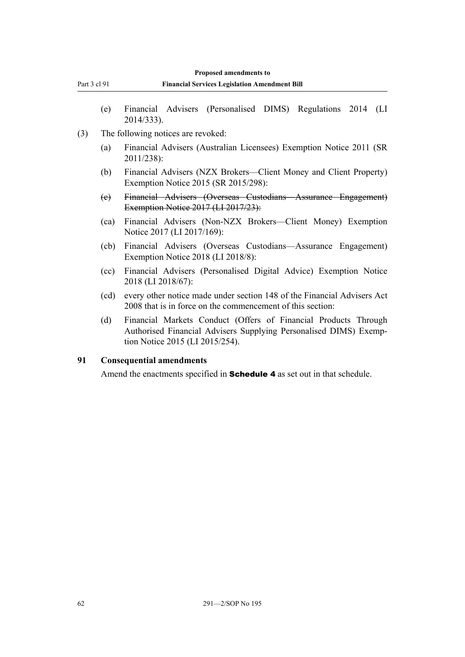- (e) Financial Advisers (Personalised DIMS) Regulations 2014 (LI 2014/333).
- (3) The following notices are revoked:

Part 3 cl 91

- (a) Financial Advisers (Australian Licensees) Exemption Notice 2011 (SR 2011/238):
- (b) Financial Advisers (NZX Brokers—Client Money and Client Property) Exemption Notice 2015 (SR 2015/298):
- (c) Financial Advisers (Overseas Custodians—Assurance Engagement) Exemption Notice 2017 (LI 2017/23):
- (ca) Financial Advisers (Non-NZX Brokers—Client Money) Exemption Notice 2017 (LI 2017/169):
- (cb) Financial Advisers (Overseas Custodians—Assurance Engagement) Exemption Notice 2018 (LI 2018/8):
- (cc) Financial Advisers (Personalised Digital Advice) Exemption Notice 2018 (LI 2018/67):
- (cd) every other notice made under section 148 of the Financial Advisers Act 2008 that is in force on the commencement of this section:
- (d) Financial Markets Conduct (Offers of Financial Products Through Authorised Financial Advisers Supplying Personalised DIMS) Exemption Notice 2015 (LI 2015/254).

### **91 Consequential amendments**

Amend the enactments specified in **Schedule 4** as set out in that schedule.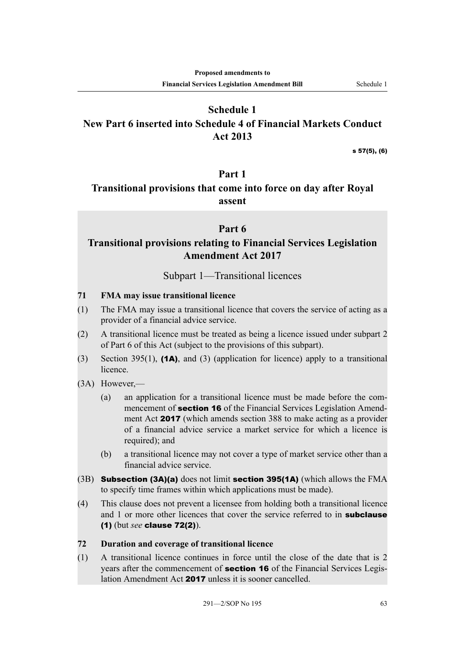# **Schedule 1 New Part 6 inserted into Schedule 4 of Financial Markets Conduct Act 2013**

s 57(5), (6)

## **Part 1**

# **Transitional provisions that come into force on day after Royal assent**

## **Part 6**

# **Transitional provisions relating to Financial Services Legislation Amendment Act 2017**

## Subpart 1—Transitional licences

#### **71 FMA may issue transitional licence**

- (1) The FMA may issue a transitional licence that covers the service of acting as a provider of a financial advice service.
- (2) A transitional licence must be treated as being a licence issued under subpart 2 of Part 6 of this Act (subject to the provisions of this subpart).
- (3) Section 395(1), (1A), and (3) (application for licence) apply to a transitional licence.
- (3A) However,—
	- (a) an application for a transitional licence must be made before the commencement of **section 16** of the Financial Services Legislation Amendment Act 2017 (which amends section 388 to make acting as a provider of a financial advice service a market service for which a licence is required); and
	- (b) a transitional licence may not cover a type of market service other than a financial advice service.
- (3B) Subsection (3A)(a) does not limit section 395(1A) (which allows the FMA to specify time frames within which applications must be made).
- (4) This clause does not prevent a licensee from holding both a transitional licence and 1 or more other licences that cover the service referred to in **subclause** (1) (but *see* clause 72(2)).

#### **72 Duration and coverage of transitional licence**

(1) A transitional licence continues in force until the close of the date that is 2 years after the commencement of **section 16** of the Financial Services Legislation Amendment Act 2017 unless it is sooner cancelled.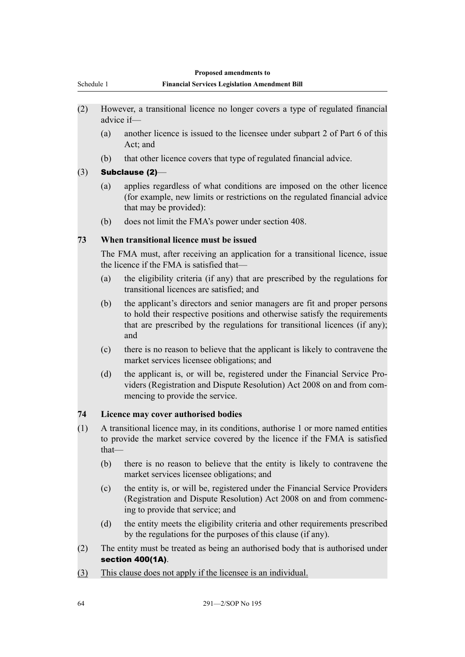| Schedule 1<br><b>Financial Services Legislation Amendment Bill</b><br>(2)<br>However, a transitional licence no longer covers a type of regulated financial<br>advice if-<br>(a)<br>Act; and<br>that other licence covers that type of regulated financial advice.<br>(b)<br>Subclause (2)-<br>(3)<br>(a)<br>that may be provided):<br>(b)<br>does not limit the FMA's power under section 408.<br>When transitional licence must be issued<br>73<br>The FMA must, after receiving an application for a transitional licence, issue<br>the licence if the FMA is satisfied that—<br>(a)<br>transitional licences are satisfied; and<br>(b)<br>and<br>(c)<br>market services licensee obligations; and<br>(d)<br>mencing to provide the service.<br>Licence may cover authorised bodies<br>74<br>A transitional licence may, in its conditions, authorise 1 or more named entities<br>(1)<br>to provide the market service covered by the licence if the FMA is satisfied<br>that-<br>(b)<br>market services licensee obligations; and<br>(c)<br>ing to provide that service; and<br>(d)<br>by the regulations for the purposes of this clause (if any).<br>(2)<br><b>section 400(1A).</b><br>This clause does not apply if the licensee is an individual.<br>(3) |  | Proposed amendments to                                                                                                                                                                                                              |  |
|------------------------------------------------------------------------------------------------------------------------------------------------------------------------------------------------------------------------------------------------------------------------------------------------------------------------------------------------------------------------------------------------------------------------------------------------------------------------------------------------------------------------------------------------------------------------------------------------------------------------------------------------------------------------------------------------------------------------------------------------------------------------------------------------------------------------------------------------------------------------------------------------------------------------------------------------------------------------------------------------------------------------------------------------------------------------------------------------------------------------------------------------------------------------------------------------------------------------------------------------------------------|--|-------------------------------------------------------------------------------------------------------------------------------------------------------------------------------------------------------------------------------------|--|
|                                                                                                                                                                                                                                                                                                                                                                                                                                                                                                                                                                                                                                                                                                                                                                                                                                                                                                                                                                                                                                                                                                                                                                                                                                                                  |  |                                                                                                                                                                                                                                     |  |
|                                                                                                                                                                                                                                                                                                                                                                                                                                                                                                                                                                                                                                                                                                                                                                                                                                                                                                                                                                                                                                                                                                                                                                                                                                                                  |  |                                                                                                                                                                                                                                     |  |
|                                                                                                                                                                                                                                                                                                                                                                                                                                                                                                                                                                                                                                                                                                                                                                                                                                                                                                                                                                                                                                                                                                                                                                                                                                                                  |  |                                                                                                                                                                                                                                     |  |
|                                                                                                                                                                                                                                                                                                                                                                                                                                                                                                                                                                                                                                                                                                                                                                                                                                                                                                                                                                                                                                                                                                                                                                                                                                                                  |  | another licence is issued to the licensee under subpart 2 of Part 6 of this                                                                                                                                                         |  |
|                                                                                                                                                                                                                                                                                                                                                                                                                                                                                                                                                                                                                                                                                                                                                                                                                                                                                                                                                                                                                                                                                                                                                                                                                                                                  |  |                                                                                                                                                                                                                                     |  |
|                                                                                                                                                                                                                                                                                                                                                                                                                                                                                                                                                                                                                                                                                                                                                                                                                                                                                                                                                                                                                                                                                                                                                                                                                                                                  |  |                                                                                                                                                                                                                                     |  |
|                                                                                                                                                                                                                                                                                                                                                                                                                                                                                                                                                                                                                                                                                                                                                                                                                                                                                                                                                                                                                                                                                                                                                                                                                                                                  |  | applies regardless of what conditions are imposed on the other licence<br>(for example, new limits or restrictions on the regulated financial advice                                                                                |  |
|                                                                                                                                                                                                                                                                                                                                                                                                                                                                                                                                                                                                                                                                                                                                                                                                                                                                                                                                                                                                                                                                                                                                                                                                                                                                  |  |                                                                                                                                                                                                                                     |  |
|                                                                                                                                                                                                                                                                                                                                                                                                                                                                                                                                                                                                                                                                                                                                                                                                                                                                                                                                                                                                                                                                                                                                                                                                                                                                  |  |                                                                                                                                                                                                                                     |  |
|                                                                                                                                                                                                                                                                                                                                                                                                                                                                                                                                                                                                                                                                                                                                                                                                                                                                                                                                                                                                                                                                                                                                                                                                                                                                  |  |                                                                                                                                                                                                                                     |  |
|                                                                                                                                                                                                                                                                                                                                                                                                                                                                                                                                                                                                                                                                                                                                                                                                                                                                                                                                                                                                                                                                                                                                                                                                                                                                  |  | the eligibility criteria (if any) that are prescribed by the regulations for                                                                                                                                                        |  |
|                                                                                                                                                                                                                                                                                                                                                                                                                                                                                                                                                                                                                                                                                                                                                                                                                                                                                                                                                                                                                                                                                                                                                                                                                                                                  |  | the applicant's directors and senior managers are fit and proper persons<br>to hold their respective positions and otherwise satisfy the requirements<br>that are prescribed by the regulations for transitional licences (if any); |  |
|                                                                                                                                                                                                                                                                                                                                                                                                                                                                                                                                                                                                                                                                                                                                                                                                                                                                                                                                                                                                                                                                                                                                                                                                                                                                  |  | there is no reason to believe that the applicant is likely to contravene the                                                                                                                                                        |  |
|                                                                                                                                                                                                                                                                                                                                                                                                                                                                                                                                                                                                                                                                                                                                                                                                                                                                                                                                                                                                                                                                                                                                                                                                                                                                  |  | the applicant is, or will be, registered under the Financial Service Pro-<br>viders (Registration and Dispute Resolution) Act 2008 on and from com-                                                                                 |  |
|                                                                                                                                                                                                                                                                                                                                                                                                                                                                                                                                                                                                                                                                                                                                                                                                                                                                                                                                                                                                                                                                                                                                                                                                                                                                  |  |                                                                                                                                                                                                                                     |  |
|                                                                                                                                                                                                                                                                                                                                                                                                                                                                                                                                                                                                                                                                                                                                                                                                                                                                                                                                                                                                                                                                                                                                                                                                                                                                  |  |                                                                                                                                                                                                                                     |  |
|                                                                                                                                                                                                                                                                                                                                                                                                                                                                                                                                                                                                                                                                                                                                                                                                                                                                                                                                                                                                                                                                                                                                                                                                                                                                  |  | there is no reason to believe that the entity is likely to contravene the                                                                                                                                                           |  |
|                                                                                                                                                                                                                                                                                                                                                                                                                                                                                                                                                                                                                                                                                                                                                                                                                                                                                                                                                                                                                                                                                                                                                                                                                                                                  |  | the entity is, or will be, registered under the Financial Service Providers<br>(Registration and Dispute Resolution) Act 2008 on and from commenc-                                                                                  |  |
|                                                                                                                                                                                                                                                                                                                                                                                                                                                                                                                                                                                                                                                                                                                                                                                                                                                                                                                                                                                                                                                                                                                                                                                                                                                                  |  | the entity meets the eligibility criteria and other requirements prescribed                                                                                                                                                         |  |
|                                                                                                                                                                                                                                                                                                                                                                                                                                                                                                                                                                                                                                                                                                                                                                                                                                                                                                                                                                                                                                                                                                                                                                                                                                                                  |  | The entity must be treated as being an authorised body that is authorised under                                                                                                                                                     |  |
|                                                                                                                                                                                                                                                                                                                                                                                                                                                                                                                                                                                                                                                                                                                                                                                                                                                                                                                                                                                                                                                                                                                                                                                                                                                                  |  |                                                                                                                                                                                                                                     |  |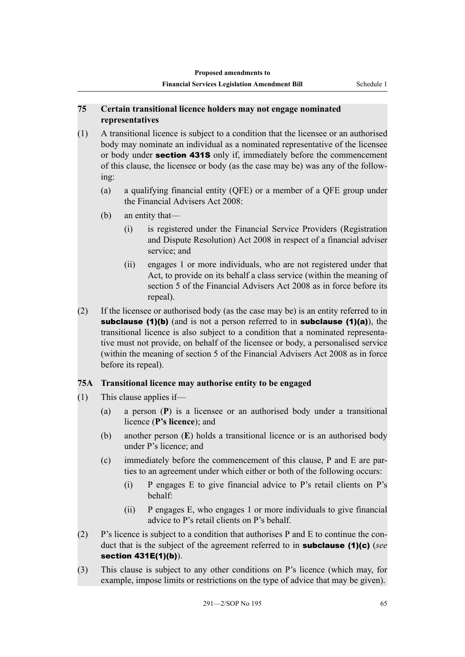#### **75 Certain transitional licence holders may not engage nominated representatives**

- (1) A transitional licence is subject to a condition that the licensee or an authorised body may nominate an individual as a nominated representative of the licensee or body under **section 431S** only if, immediately before the commencement of this clause, the licensee or body (as the case may be) was any of the following:
	- (a) a qualifying financial entity (QFE) or a member of a QFE group under the Financial Advisers Act 2008:
	- (b) an entity that—
		- (i) is registered under the Financial Service Providers (Registration and Dispute Resolution) Act 2008 in respect of a financial adviser service; and
		- (ii) engages 1 or more individuals, who are not registered under that Act, to provide on its behalf a class service (within the meaning of section 5 of the Financial Advisers Act 2008 as in force before its repeal).
- (2) If the licensee or authorised body (as the case may be) is an entity referred to in subclause (1)(b) (and is not a person referred to in subclause (1)(a)), the transitional licence is also subject to a condition that a nominated representative must not provide, on behalf of the licensee or body, a personalised service (within the meaning of section 5 of the Financial Advisers Act 2008 as in force before its repeal).

## **75A Transitional licence may authorise entity to be engaged**

- (1) This clause applies if—
	- (a) a person (**P**) is a licensee or an authorised body under a transitional licence (**P's licence**); and
	- (b) another person (**E**) holds a transitional licence or is an authorised body under P's licence; and
	- (c) immediately before the commencement of this clause, P and E are parties to an agreement under which either or both of the following occurs:
		- (i) P engages E to give financial advice to P's retail clients on P's behalf:
		- (ii) P engages E, who engages 1 or more individuals to give financial advice to P's retail clients on P's behalf.
- (2) P's licence is subject to a condition that authorises P and E to continue the conduct that is the subject of the agreement referred to in subclause (1)(c) (*see* section 431E(1)(b)).
- (3) This clause is subject to any other conditions on P's licence (which may, for example, impose limits or restrictions on the type of advice that may be given).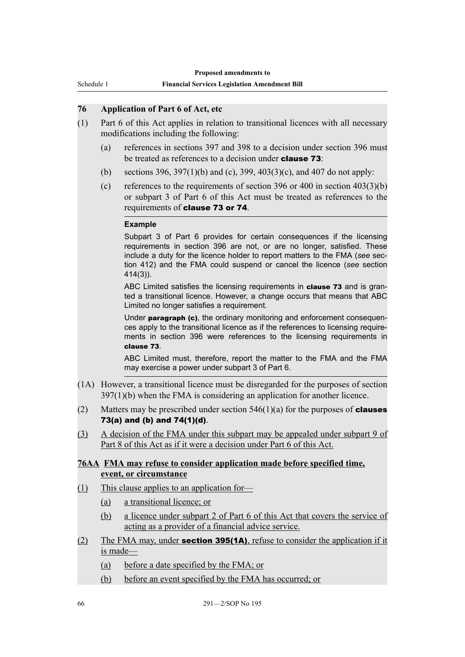Schedule 1

### **76 Application of Part 6 of Act, etc**

- (1) Part 6 of this Act applies in relation to transitional licences with all necessary modifications including the following:
	- (a) references in sections 397 and 398 to a decision under section 396 must be treated as references to a decision under **clause 73**:
	- (b) sections 396, 397(1)(b) and (c), 399, 403(3)(c), and 407 do not apply:
	- (c) references to the requirements of section 396 or 400 in section  $403(3)(b)$ or subpart 3 of Part 6 of this Act must be treated as references to the requirements of clause 73 or 74.

#### **Example**

Subpart 3 of Part 6 provides for certain consequences if the licensing requirements in section 396 are not, or are no longer, satisfied. These include a duty for the licence holder to report matters to the FMA (*see* section 412) and the FMA could suspend or cancel the licence (*see* section 414(3)).

ABC Limited satisfies the licensing requirements in **clause 73** and is granted a transitional licence. However, a change occurs that means that ABC Limited no longer satisfies a requirement.

Under paragraph (c), the ordinary monitoring and enforcement consequences apply to the transitional licence as if the references to licensing requirements in section 396 were references to the licensing requirements in clause 73.

ABC Limited must, therefore, report the matter to the FMA and the FMA may exercise a power under subpart 3 of Part 6.

- (1A) However, a transitional licence must be disregarded for the purposes of section 397(1)(b) when the FMA is considering an application for another licence.
- (2) Matters may be prescribed under section  $546(1)(a)$  for the purposes of **clauses** 73(a) and (b) and 74(1)(d).
- (3) A decision of the FMA under this subpart may be appealed under subpart 9 of Part 8 of this Act as if it were a decision under Part 6 of this Act.

#### **76AA FMA may refuse to consider application made before specified time, event, or circumstance**

- (1) This clause applies to an application for—
	- (a) a transitional licence; or
	- (b) a licence under subpart 2 of Part 6 of this Act that covers the service of acting as a provider of a financial advice service.
- (2) The FMA may, under **section 395(1A)**, refuse to consider the application if it is made—
	- (a) before a date specified by the FMA; or
	- (b) before an event specified by the FMA has occurred; or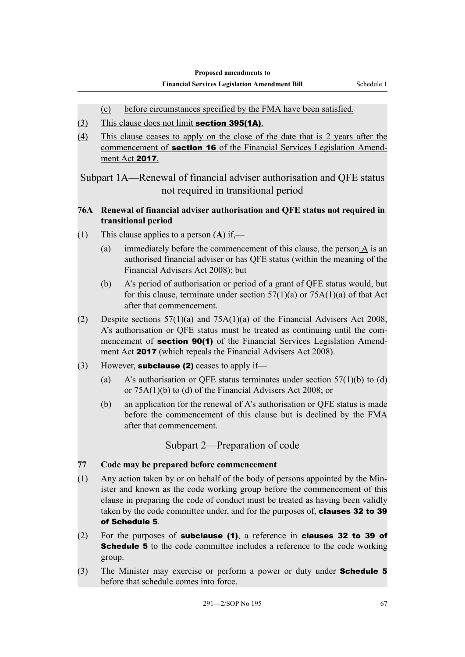- (c) before circumstances specified by the FMA have been satisfied.
- (3) This clause does not limit **section 395(1A)**.
- (4) This clause ceases to apply on the close of the date that is 2 years after the commencement of section 16 of the Financial Services Legislation Amendment Act 2017.

Subpart 1A—Renewal of financial adviser authorisation and QFE status not required in transitional period

## **76A Renewal of financial adviser authorisation and QFE status not required in transitional period**

- (1) This clause applies to a person (**A**) if,—
	- (a) immediately before the commencement of this clause, the person  $A$  is an authorised financial adviser or has QFE status (within the meaning of the Financial Advisers Act 2008); but
	- (b) A's period of authorisation or period of a grant of QFE status would, but for this clause, terminate under section  $57(1)(a)$  or  $75A(1)(a)$  of that Act after that commencement.
- (2) Despite sections 57(1)(a) and 75A(1)(a) of the Financial Advisers Act 2008, A's authorisation or QFE status must be treated as continuing until the commencement of **section 90(1)** of the Financial Services Legislation Amendment Act 2017 (which repeals the Financial Advisers Act 2008).
- (3) However, **subclause (2)** ceases to apply if—
	- (a) A's authorisation or QFE status terminates under section  $57(1)(b)$  to (d) or 75A(1)(b) to (d) of the Financial Advisers Act 2008; or
	- (b) an application for the renewal of A's authorisation or QFE status is made before the commencement of this clause but is declined by the FMA after that commencement.

## Subpart 2—Preparation of code

- **77 Code may be prepared before commencement**
- (1) Any action taken by or on behalf of the body of persons appointed by the Minister and known as the code working group before the commencement of this clause in preparing the code of conduct must be treated as having been validly taken by the code committee under, and for the purposes of, clauses 32 to 39 of Schedule 5.
- (2) For the purposes of subclause (1), a reference in clauses 32 to 39 of **Schedule 5** to the code committee includes a reference to the code working group.
- (3) The Minister may exercise or perform a power or duty under **Schedule 5** before that schedule comes into force.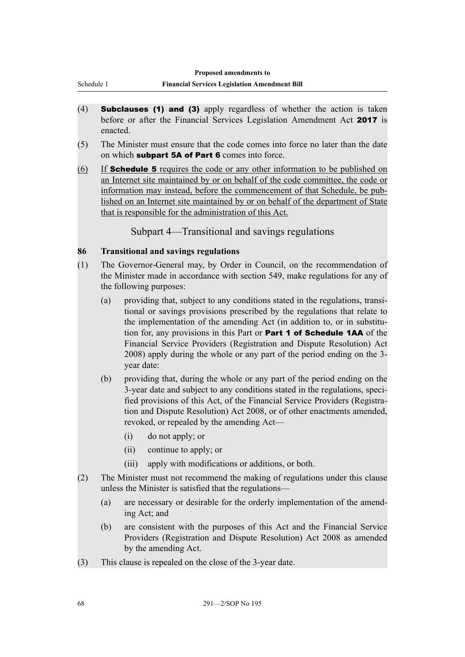- (4) Subclauses (1) and (3) apply regardless of whether the action is taken before or after the Financial Services Legislation Amendment Act 2017 is enacted.
- (5) The Minister must ensure that the code comes into force no later than the date on which subpart 5A of Part 6 comes into force.
- (6) If Schedule 5 requires the code or any other information to be published on an Internet site maintained by or on behalf of the code committee, the code or information may instead, before the commencement of that Schedule, be published on an Internet site maintained by or on behalf of the department of State that is responsible for the administration of this Act.

Subpart 4—Transitional and savings regulations

# **86 Transitional and savings regulations**

Schedule 1

- (1) The Governor-General may, by Order in Council, on the recommendation of the Minister made in accordance with section 549, make regulations for any of the following purposes:
	- (a) providing that, subject to any conditions stated in the regulations, transitional or savings provisions prescribed by the regulations that relate to the implementation of the amending Act (in addition to, or in substitution for, any provisions in this Part or Part 1 of Schedule 1AA of the Financial Service Providers (Registration and Dispute Resolution) Act 2008) apply during the whole or any part of the period ending on the 3 year date:
	- (b) providing that, during the whole or any part of the period ending on the 3-year date and subject to any conditions stated in the regulations, specified provisions of this Act, of the Financial Service Providers (Registration and Dispute Resolution) Act 2008, or of other enactments amended, revoked, or repealed by the amending Act—
		- (i) do not apply; or
		- (ii) continue to apply; or
		- (iii) apply with modifications or additions, or both.
- (2) The Minister must not recommend the making of regulations under this clause unless the Minister is satisfied that the regulations—
	- (a) are necessary or desirable for the orderly implementation of the amending Act; and
	- (b) are consistent with the purposes of this Act and the Financial Service Providers (Registration and Dispute Resolution) Act 2008 as amended by the amending Act.
- (3) This clause is repealed on the close of the 3-year date.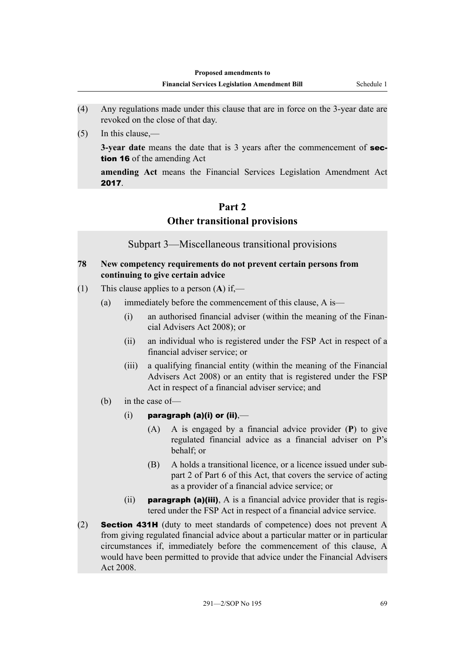- (4) Any regulations made under this clause that are in force on the 3-year date are revoked on the close of that day.
- (5) In this clause,—

**3-year date** means the date that is 3 years after the commencement of **sec**tion 16 of the amending Act

**amending Act** means the Financial Services Legislation Amendment Act 2017.

# **Part 2 Other transitional provisions**

Subpart 3—Miscellaneous transitional provisions

## **78 New competency requirements do not prevent certain persons from continuing to give certain advice**

- (1) This clause applies to a person (**A**) if,—
	- (a) immediately before the commencement of this clause, A is—
		- (i) an authorised financial adviser (within the meaning of the Financial Advisers Act 2008); or
		- (ii) an individual who is registered under the FSP Act in respect of a financial adviser service; or
		- (iii) a qualifying financial entity (within the meaning of the Financial Advisers Act 2008) or an entity that is registered under the FSP Act in respect of a financial adviser service; and
	- (b) in the case of—
		- $(i)$  paragraph (a)(i) or (ii),—
			- (A) A is engaged by a financial advice provider (**P**) to give regulated financial advice as a financial adviser on P's behalf; or
			- (B) A holds a transitional licence, or a licence issued under subpart 2 of Part 6 of this Act, that covers the service of acting as a provider of a financial advice service; or
		- (ii) **paragraph (a)(iii)**, A is a financial advice provider that is registered under the FSP Act in respect of a financial advice service.
- (2) Section 431H (duty to meet standards of competence) does not prevent A from giving regulated financial advice about a particular matter or in particular circumstances if, immediately before the commencement of this clause, A would have been permitted to provide that advice under the Financial Advisers Act 2008.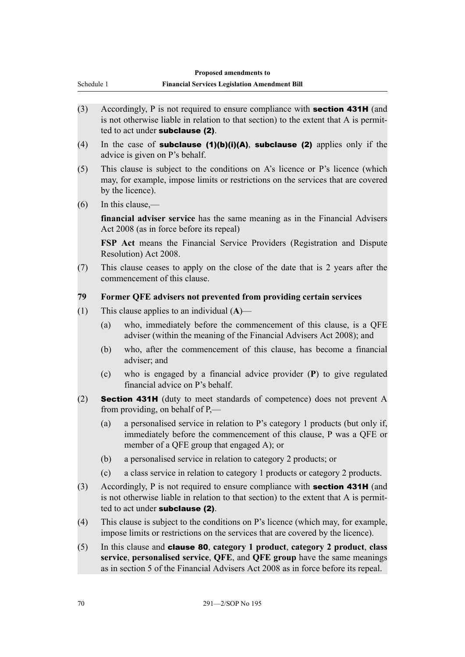| Proposed amendments to<br><b>Financial Services Legislation Amendment Bill</b><br>Schedule 1 |                                                                                                                                                                                                              |  |  |
|----------------------------------------------------------------------------------------------|--------------------------------------------------------------------------------------------------------------------------------------------------------------------------------------------------------------|--|--|
|                                                                                              |                                                                                                                                                                                                              |  |  |
| (3)                                                                                          | Accordingly, P is not required to ensure compliance with <b>section 431H</b> (and<br>is not otherwise liable in relation to that section) to the extent that A is permit-<br>ted to act under subclause (2). |  |  |
| (4)                                                                                          | In the case of subclause $(1)(b)(i)(A)$ , subclause $(2)$ applies only if the<br>advice is given on P's behalf.                                                                                              |  |  |
| (5)                                                                                          | This clause is subject to the conditions on A's licence or P's licence (which<br>may, for example, impose limits or restrictions on the services that are covered<br>by the licence).                        |  |  |
| (6)                                                                                          | In this clause,—                                                                                                                                                                                             |  |  |
|                                                                                              | <b>financial adviser service</b> has the same meaning as in the Financial Advisers<br>Act 2008 (as in force before its repeal)                                                                               |  |  |
|                                                                                              | <b>FSP Act</b> means the Financial Service Providers (Registration and Dispute<br>Resolution) Act 2008.                                                                                                      |  |  |
| (7)                                                                                          | This clause ceases to apply on the close of the date that is 2 years after the<br>commencement of this clause.                                                                                               |  |  |
| 79                                                                                           | Former QFE advisers not prevented from providing certain services                                                                                                                                            |  |  |
| (1)                                                                                          | This clause applies to an individual $(A)$ —                                                                                                                                                                 |  |  |
|                                                                                              | who, immediately before the commencement of this clause, is a QFE<br>(a)<br>adviser (within the meaning of the Financial Advisers Act 2008); and                                                             |  |  |
|                                                                                              | $\alpha$ . The contraction is a constructed of the state of the contraction of $\alpha$ , $\alpha$                                                                                                           |  |  |

- (b) who, after the commencement of this clause, has become a financial adviser; and
- (c) who is engaged by a financial advice provider (**P**) to give regulated financial advice on P's behalf.
- (2) Section 431H (duty to meet standards of competence) does not prevent A from providing, on behalf of P,—
	- (a) a personalised service in relation to P's category 1 products (but only if, immediately before the commencement of this clause, P was a QFE or member of a QFE group that engaged A); or
	- (b) a personalised service in relation to category 2 products; or
	- (c) a class service in relation to category 1 products or category 2 products.
- (3) Accordingly, P is not required to ensure compliance with section 431H (and is not otherwise liable in relation to that section) to the extent that A is permitted to act under subclause (2).
- (4) This clause is subject to the conditions on P's licence (which may, for example, impose limits or restrictions on the services that are covered by the licence).
- (5) In this clause and clause 80, **category 1 product**, **category 2 product**, **class service**, **personalised service**, **QFE**, and **QFE group** have the same meanings as in section 5 of the Financial Advisers Act 2008 as in force before its repeal.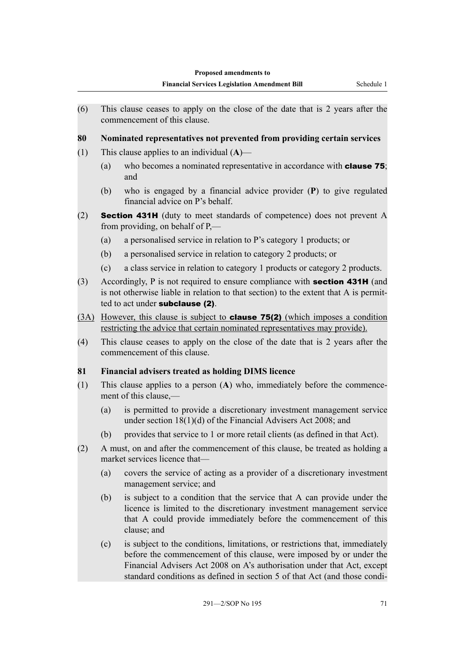(6) This clause ceases to apply on the close of the date that is 2 years after the commencement of this clause.

## **80 Nominated representatives not prevented from providing certain services**

- (1) This clause applies to an individual (**A**)—
	- (a) who becomes a nominated representative in accordance with clause 75; and
	- (b) who is engaged by a financial advice provider (**P**) to give regulated financial advice on P's behalf.
- (2) Section 431H (duty to meet standards of competence) does not prevent A from providing, on behalf of P,—
	- (a) a personalised service in relation to P's category 1 products; or
	- (b) a personalised service in relation to category 2 products; or
	- (c) a class service in relation to category 1 products or category 2 products.
- (3) Accordingly, P is not required to ensure compliance with section 431H (and is not otherwise liable in relation to that section) to the extent that A is permitted to act under **subclause** (2).
- (3A) However, this clause is subject to clause 75(2) (which imposes a condition restricting the advice that certain nominated representatives may provide).
- (4) This clause ceases to apply on the close of the date that is 2 years after the commencement of this clause.

## **81 Financial advisers treated as holding DIMS licence**

- (1) This clause applies to a person (**A**) who, immediately before the commencement of this clause,—
	- (a) is permitted to provide a discretionary investment management service under section 18(1)(d) of the Financial Advisers Act 2008; and
	- (b) provides that service to 1 or more retail clients (as defined in that Act).
- (2) A must, on and after the commencement of this clause, be treated as holding a market services licence that—
	- (a) covers the service of acting as a provider of a discretionary investment management service; and
	- (b) is subject to a condition that the service that A can provide under the licence is limited to the discretionary investment management service that A could provide immediately before the commencement of this clause; and
	- (c) is subject to the conditions, limitations, or restrictions that, immediately before the commencement of this clause, were imposed by or under the Financial Advisers Act 2008 on A's authorisation under that Act, except standard conditions as defined in section 5 of that Act (and those condi-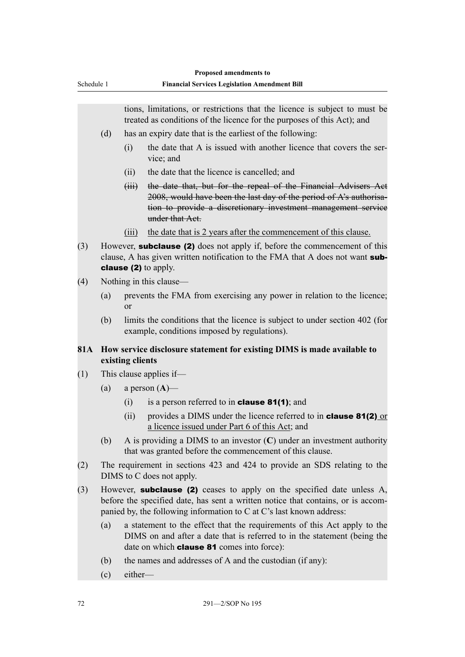|            |                                                                                                                                                                                                                                           |                                                                                                                                                                                                           | Proposed amendments to                                                                                                                                                                                                    |  |  |  |
|------------|-------------------------------------------------------------------------------------------------------------------------------------------------------------------------------------------------------------------------------------------|-----------------------------------------------------------------------------------------------------------------------------------------------------------------------------------------------------------|---------------------------------------------------------------------------------------------------------------------------------------------------------------------------------------------------------------------------|--|--|--|
| Schedule 1 |                                                                                                                                                                                                                                           |                                                                                                                                                                                                           | <b>Financial Services Legislation Amendment Bill</b>                                                                                                                                                                      |  |  |  |
|            |                                                                                                                                                                                                                                           |                                                                                                                                                                                                           |                                                                                                                                                                                                                           |  |  |  |
|            |                                                                                                                                                                                                                                           |                                                                                                                                                                                                           | tions, limitations, or restrictions that the licence is subject to must be<br>treated as conditions of the licence for the purposes of this Act); and                                                                     |  |  |  |
|            | (d)                                                                                                                                                                                                                                       |                                                                                                                                                                                                           | has an expiry date that is the earliest of the following:                                                                                                                                                                 |  |  |  |
|            |                                                                                                                                                                                                                                           | (i)                                                                                                                                                                                                       | the date that A is issued with another licence that covers the ser-<br>vice; and                                                                                                                                          |  |  |  |
|            |                                                                                                                                                                                                                                           | (ii)                                                                                                                                                                                                      | the date that the licence is cancelled; and                                                                                                                                                                               |  |  |  |
|            |                                                                                                                                                                                                                                           | $\overline{(\overline{u})}$                                                                                                                                                                               | the date that, but for the repeal of the Financial Advisers Act<br>2008, would have been the last day of the period of A's authorisa-<br>tion to provide a discretionary investment management service<br>under that Act. |  |  |  |
|            |                                                                                                                                                                                                                                           | (iii)                                                                                                                                                                                                     | the date that is 2 years after the commencement of this clause.                                                                                                                                                           |  |  |  |
| (3)        | However, <b>subclause (2)</b> does not apply if, before the commencement of this<br>clause, A has given written notification to the FMA that A does not want sub-<br>clause (2) to apply.                                                 |                                                                                                                                                                                                           |                                                                                                                                                                                                                           |  |  |  |
| (4)        |                                                                                                                                                                                                                                           |                                                                                                                                                                                                           | Nothing in this clause—                                                                                                                                                                                                   |  |  |  |
|            | (a)                                                                                                                                                                                                                                       | or                                                                                                                                                                                                        | prevents the FMA from exercising any power in relation to the licence;                                                                                                                                                    |  |  |  |
|            | (b)                                                                                                                                                                                                                                       |                                                                                                                                                                                                           | limits the conditions that the licence is subject to under section 402 (for<br>example, conditions imposed by regulations).                                                                                               |  |  |  |
| 81A        |                                                                                                                                                                                                                                           | existing clients                                                                                                                                                                                          | How service disclosure statement for existing DIMS is made available to                                                                                                                                                   |  |  |  |
| (1)        | This clause applies if—                                                                                                                                                                                                                   |                                                                                                                                                                                                           |                                                                                                                                                                                                                           |  |  |  |
|            | (a)                                                                                                                                                                                                                                       |                                                                                                                                                                                                           | a person $(A)$ —                                                                                                                                                                                                          |  |  |  |
|            |                                                                                                                                                                                                                                           | (i)                                                                                                                                                                                                       | is a person referred to in <b>clause 81(1)</b> ; and                                                                                                                                                                      |  |  |  |
|            |                                                                                                                                                                                                                                           |                                                                                                                                                                                                           | (ii) provides a DIMS under the licence referred to in <b>clause 81(2)</b> or<br>a licence issued under Part 6 of this Act; and                                                                                            |  |  |  |
|            | (b)                                                                                                                                                                                                                                       | A is providing a DIMS to an investor $(C)$ under an investment authority<br>that was granted before the commencement of this clause.                                                                      |                                                                                                                                                                                                                           |  |  |  |
| (2)        |                                                                                                                                                                                                                                           | The requirement in sections 423 and 424 to provide an SDS relating to the<br>DIMS to C does not apply.                                                                                                    |                                                                                                                                                                                                                           |  |  |  |
| (3)        | However, <b>subclause (2)</b> ceases to apply on the specified date unless A,<br>before the specified date, has sent a written notice that contains, or is accom-<br>panied by, the following information to C at C's last known address: |                                                                                                                                                                                                           |                                                                                                                                                                                                                           |  |  |  |
|            | (a)                                                                                                                                                                                                                                       | a statement to the effect that the requirements of this Act apply to the<br>DIMS on and after a date that is referred to in the statement (being the<br>date on which <b>clause 81</b> comes into force): |                                                                                                                                                                                                                           |  |  |  |
|            | (b)                                                                                                                                                                                                                                       |                                                                                                                                                                                                           | the names and addresses of A and the custodian (if any):                                                                                                                                                                  |  |  |  |
|            | (c)                                                                                                                                                                                                                                       | either-                                                                                                                                                                                                   |                                                                                                                                                                                                                           |  |  |  |
|            |                                                                                                                                                                                                                                           |                                                                                                                                                                                                           |                                                                                                                                                                                                                           |  |  |  |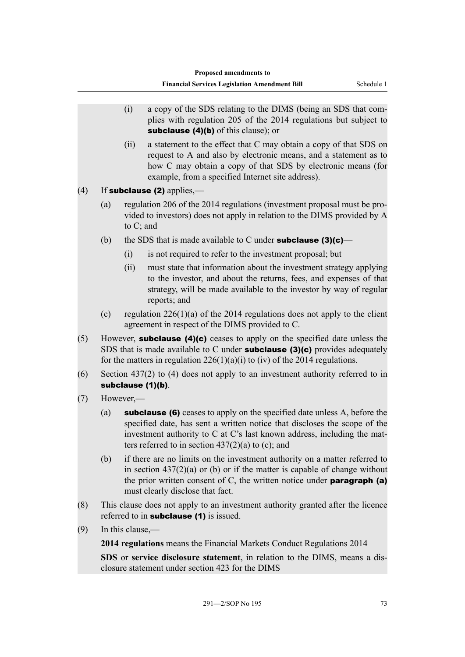- (i) a copy of the SDS relating to the DIMS (being an SDS that complies with regulation 205 of the 2014 regulations but subject to subclause (4)(b) of this clause); or
- (ii) a statement to the effect that C may obtain a copy of that SDS on request to A and also by electronic means, and a statement as to how C may obtain a copy of that SDS by electronic means (for example, from a specified Internet site address).
- $(4)$  If subclause (2) applies,—
	- (a) regulation 206 of the 2014 regulations (investment proposal must be provided to investors) does not apply in relation to the DIMS provided by A to C; and
	- (b) the SDS that is made available to C under **subclause (3)(c)—** 
		- (i) is not required to refer to the investment proposal; but
		- (ii) must state that information about the investment strategy applying to the investor, and about the returns, fees, and expenses of that strategy, will be made available to the investor by way of regular reports; and
	- (c) regulation  $226(1)(a)$  of the 2014 regulations does not apply to the client agreement in respect of the DIMS provided to C.
- (5) However, subclause (4)(c) ceases to apply on the specified date unless the SDS that is made available to C under **subclause (3)(c)** provides adequately for the matters in regulation  $226(1)(a)(i)$  to (iv) of the 2014 regulations.
- (6) Section 437(2) to (4) does not apply to an investment authority referred to in subclause (1)(b).
- (7) However,—
	- (a) subclause (6) ceases to apply on the specified date unless A, before the specified date, has sent a written notice that discloses the scope of the investment authority to C at C's last known address, including the matters referred to in section  $437(2)(a)$  to (c); and
	- (b) if there are no limits on the investment authority on a matter referred to in section  $437(2)(a)$  or (b) or if the matter is capable of change without the prior written consent of C, the written notice under **paragraph** (a) must clearly disclose that fact.
- (8) This clause does not apply to an investment authority granted after the licence referred to in **subclause** (1) is issued.
- (9) In this clause,—

**2014 regulations** means the Financial Markets Conduct Regulations 2014

**SDS** or **service disclosure statement**, in relation to the DIMS, means a disclosure statement under section 423 for the DIMS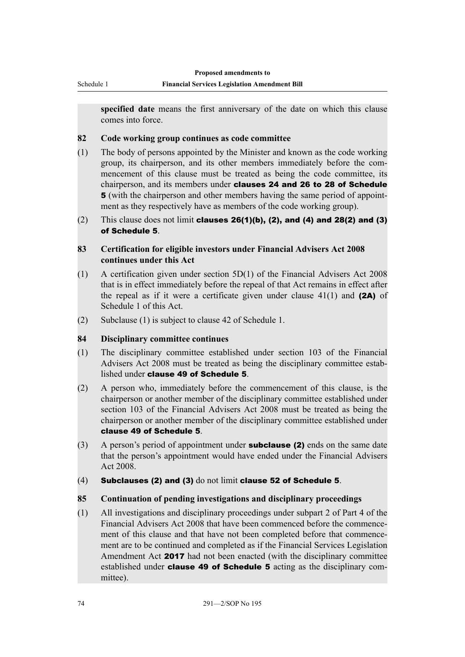Schedule 1

**specified date** means the first anniversary of the date on which this clause comes into force.

#### **82 Code working group continues as code committee**

- (1) The body of persons appointed by the Minister and known as the code working group, its chairperson, and its other members immediately before the commencement of this clause must be treated as being the code committee, its chairperson, and its members under **clauses 24 and 26 to 28 of Schedule** 5 (with the chairperson and other members having the same period of appointment as they respectively have as members of the code working group).
- (2) This clause does not limit clauses  $26(1)(b)$ , (2), and (4) and  $28(2)$  and (3) of Schedule 5.

## **83 Certification for eligible investors under Financial Advisers Act 2008 continues under this Act**

- (1) A certification given under section 5D(1) of the Financial Advisers Act 2008 that is in effect immediately before the repeal of that Act remains in effect after the repeal as if it were a certificate given under clause  $41(1)$  and (2A) of Schedule 1 of this Act.
- (2) Subclause (1) is subject to clause 42 of Schedule 1.

## **84 Disciplinary committee continues**

- (1) The disciplinary committee established under section 103 of the Financial Advisers Act 2008 must be treated as being the disciplinary committee established under clause 49 of Schedule 5.
- (2) A person who, immediately before the commencement of this clause, is the chairperson or another member of the disciplinary committee established under section 103 of the Financial Advisers Act 2008 must be treated as being the chairperson or another member of the disciplinary committee established under clause 49 of Schedule 5.
- $(3)$  A person's period of appointment under **subclause (2)** ends on the same date that the person's appointment would have ended under the Financial Advisers Act 2008.
- $(4)$  Subclauses (2) and (3) do not limit clause 52 of Schedule 5.

## **85 Continuation of pending investigations and disciplinary proceedings**

(1) All investigations and disciplinary proceedings under subpart 2 of Part 4 of the Financial Advisers Act 2008 that have been commenced before the commencement of this clause and that have not been completed before that commencement are to be continued and completed as if the Financial Services Legislation Amendment Act 2017 had not been enacted (with the disciplinary committee established under **clause 49 of Schedule 5** acting as the disciplinary committee).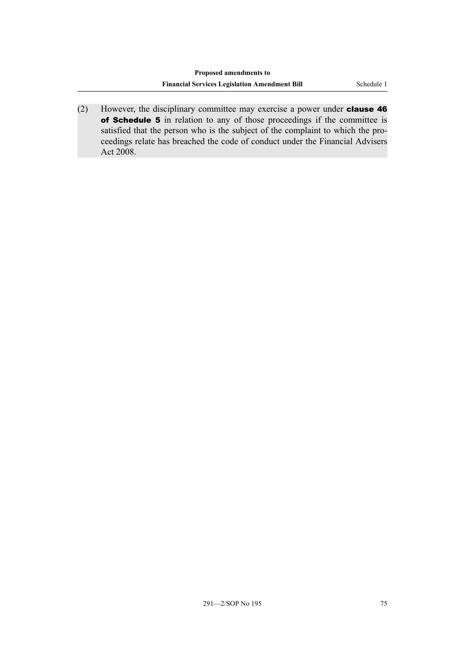(2) However, the disciplinary committee may exercise a power under clause 46 of Schedule 5 in relation to any of those proceedings if the committee is satisfied that the person who is the subject of the complaint to which the proceedings relate has breached the code of conduct under the Financial Advisers Act 2008.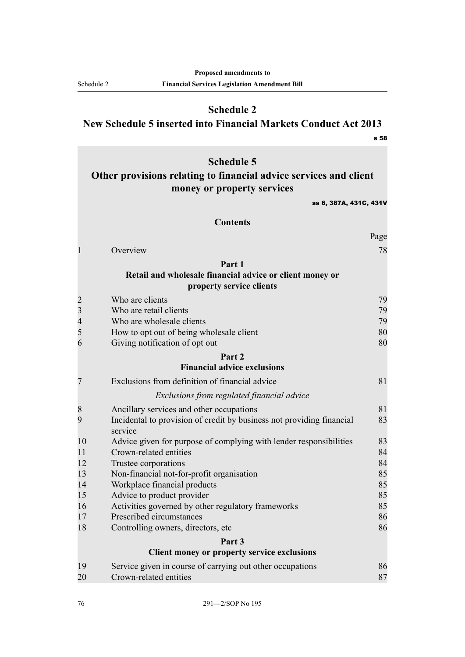**Schedule 2 New Schedule 5 inserted into Financial Markets Conduct Act 2013**

s 58

Schedule 2

# **Schedule 5 Other provisions relating to financial advice services and client money or property services** ss 6, 387A, 431C, 431V **Contents** Page [1](#page-83-0) [Overview](#page-83-0) [78](#page-83-0) **[Part 1](#page-84-0) [Retail and wholesale financial advice or client money or](#page-84-0) [property service clients](#page-84-0)** [2](#page-84-0) [Who are clients](#page-84-0) [79](#page-84-0) [3](#page-84-0) [Who are retail clients](#page-84-0) [79](#page-84-0)<br>4 Who are wholesale clients 79 [4](#page-84-0) [Who are wholesale clients](#page-84-0) **[79](#page-84-0)** [5](#page-85-0) [How to opt out of being wholesale client](#page-85-0) [80](#page-85-0) [6](#page-85-0) [Giving notification of opt out](#page-85-0) [80](#page-85-0) **[Part 2](#page-86-0) [Financial advice exclusions](#page-86-0)** [7](#page-86-0) [Exclusions from definition of financial advice](#page-86-0) [81](#page-86-0) *[Exclusions from regulated financial advice](#page-86-0)* [8](#page-86-0) [Ancillary services and other occupations](#page-86-0) [81](#page-86-0) [9](#page-88-0) [Incidental to provision of credit by business not providing financial](#page-88-0) [service](#page-88-0) [83](#page-88-0) [10](#page-88-0) [Advice given for purpose of complying with lender responsibilities](#page-88-0) [83](#page-88-0) [11](#page-89-0) [Crown-related entities](#page-89-0) [84](#page-89-0) [12](#page-89-0) [Trustee corporations](#page-89-0) [84](#page-89-0) [13](#page-90-0) [Non-financial not-for-profit organisation](#page-90-0) [85](#page-90-0) [14](#page-90-0) [Workplace financial products](#page-90-0) [85](#page-90-0) [15](#page-90-0) [Advice to product provider](#page-90-0) [85](#page-90-0) [16](#page-90-0) [Activities governed by other regulatory frameworks](#page-90-0) [85](#page-90-0) [17](#page-91-0) [Prescribed circumstances](#page-91-0) [86](#page-91-0) [18](#page-91-0) [Controlling owners, directors, etc](#page-91-0) [86](#page-91-0) **[Part 3](#page-91-0) [Client money or property service exclusions](#page-91-0)** [19](#page-91-0) [Service given in course of carrying out other occupations](#page-91-0) [86](#page-91-0) [20](#page-92-0) [Crown-related entities](#page-92-0) [87](#page-92-0)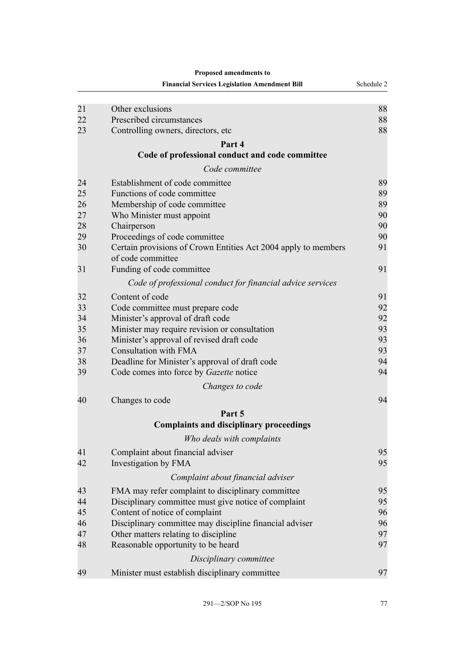|    | <b>Financial Services Legislation Amendment Bill</b>                                | Schedule 2 |
|----|-------------------------------------------------------------------------------------|------------|
|    |                                                                                     |            |
| 21 | Other exclusions                                                                    | 88         |
| 22 | Prescribed circumstances                                                            | 88         |
| 23 | Controlling owners, directors, etc.                                                 | 88         |
|    | Part 4                                                                              |            |
|    | Code of professional conduct and code committee                                     |            |
|    | Code committee                                                                      |            |
| 24 | Establishment of code committee                                                     | 89         |
| 25 | Functions of code committee                                                         | 89         |
| 26 | Membership of code committee                                                        | 89         |
| 27 | Who Minister must appoint                                                           | 90         |
| 28 | Chairperson                                                                         | 90         |
| 29 | Proceedings of code committee                                                       | 90         |
| 30 | Certain provisions of Crown Entities Act 2004 apply to members<br>of code committee | 91         |
| 31 | Funding of code committee                                                           | 91         |
|    | Code of professional conduct for financial advice services                          |            |
| 32 | Content of code                                                                     | 91         |
| 33 | Code committee must prepare code                                                    | 92         |
| 34 | Minister's approval of draft code                                                   | 92         |
| 35 | Minister may require revision or consultation                                       | 93         |
| 36 | Minister's approval of revised draft code                                           | 93         |
| 37 | <b>Consultation with FMA</b>                                                        | 93         |
| 38 | Deadline for Minister's approval of draft code                                      | 94         |
| 39 | Code comes into force by Gazette notice                                             | 94         |
|    | Changes to code                                                                     |            |
| 40 | Changes to code                                                                     | 94         |
|    | Part 5                                                                              |            |
|    | <b>Complaints and disciplinary proceedings</b>                                      |            |
|    | Who deals with complaints                                                           |            |
| 41 | Complaint about financial adviser                                                   | 95         |
| 42 | Investigation by FMA                                                                | 95         |
|    | Complaint about financial adviser                                                   |            |
| 43 | FMA may refer complaint to disciplinary committee                                   | 95         |
| 44 | Disciplinary committee must give notice of complaint                                | 95         |
| 45 | Content of notice of complaint                                                      | 96         |
| 46 | Disciplinary committee may discipline financial adviser                             | 96         |
| 47 | Other matters relating to discipline                                                | 97         |
| 48 | Reasonable opportunity to be heard                                                  | 97         |
|    | Disciplinary committee                                                              |            |
| 49 | Minister must establish disciplinary committee                                      | 97         |

**Proposed amendments to**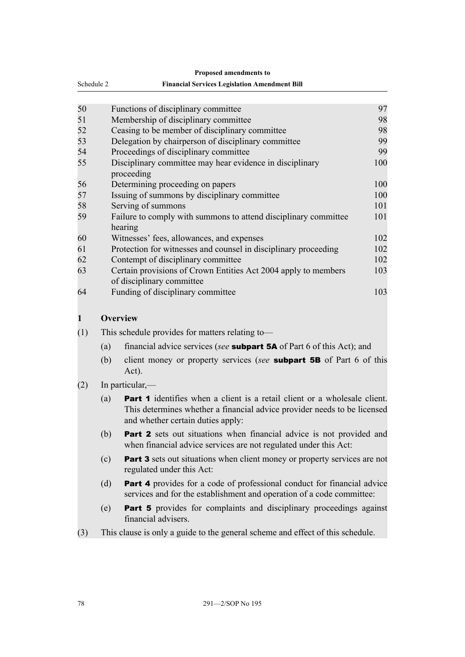<span id="page-83-0"></span>

|              | т горома ашенишения го                                                                                                                                                                     |     |  |  |  |  |
|--------------|--------------------------------------------------------------------------------------------------------------------------------------------------------------------------------------------|-----|--|--|--|--|
| Schedule 2   | <b>Financial Services Legislation Amendment Bill</b>                                                                                                                                       |     |  |  |  |  |
|              |                                                                                                                                                                                            |     |  |  |  |  |
| 50           | Functions of disciplinary committee                                                                                                                                                        | 97  |  |  |  |  |
| 51           | Membership of disciplinary committee                                                                                                                                                       | 98  |  |  |  |  |
| 52           | Ceasing to be member of disciplinary committee                                                                                                                                             | 98  |  |  |  |  |
| 53           | Delegation by chairperson of disciplinary committee                                                                                                                                        | 99  |  |  |  |  |
| 54           | Proceedings of disciplinary committee                                                                                                                                                      | 99  |  |  |  |  |
| 55           | Disciplinary committee may hear evidence in disciplinary<br>proceeding                                                                                                                     | 100 |  |  |  |  |
| 56           | Determining proceeding on papers                                                                                                                                                           | 100 |  |  |  |  |
| 57           | Issuing of summons by disciplinary committee                                                                                                                                               | 100 |  |  |  |  |
| 58           | Serving of summons                                                                                                                                                                         | 101 |  |  |  |  |
| 59           | Failure to comply with summons to attend disciplinary committee<br>hearing                                                                                                                 | 101 |  |  |  |  |
| 60           | Witnesses' fees, allowances, and expenses                                                                                                                                                  | 102 |  |  |  |  |
| 61           | Protection for witnesses and counsel in disciplinary proceeding                                                                                                                            | 102 |  |  |  |  |
| 62           | Contempt of disciplinary committee                                                                                                                                                         | 102 |  |  |  |  |
| 63           | Certain provisions of Crown Entities Act 2004 apply to members<br>of disciplinary committee                                                                                                | 103 |  |  |  |  |
| 64           | Funding of disciplinary committee                                                                                                                                                          | 103 |  |  |  |  |
| $\mathbf{1}$ | <b>Overview</b>                                                                                                                                                                            |     |  |  |  |  |
| (1)          | This schedule provides for matters relating to—                                                                                                                                            |     |  |  |  |  |
| (a)          | financial advice services (see <b>subpart 5A</b> of Part 6 of this Act); and                                                                                                               |     |  |  |  |  |
| (b)          | client money or property services (see <b>subpart 5B</b> of Part 6 of this<br>Act).                                                                                                        |     |  |  |  |  |
| (2)          | In particular,—                                                                                                                                                                            |     |  |  |  |  |
| (a)          | Part 1 identifies when a client is a retail client or a wholesale client.<br>This determines whether a financial advice provider needs to be licensed<br>and whether certain duties apply: |     |  |  |  |  |
| (b)          | <b>Part 2</b> sets out situations when financial advice is not provided and<br>when financial advice services are not regulated under this Act:                                            |     |  |  |  |  |
| (c)          | Part 3 sets out situations when client money or property services are not<br>regulated under this Act:                                                                                     |     |  |  |  |  |
| (d)          | Part 4 provides for a code of professional conduct for financial advice<br>services and for the establishment and operation of a code committee:                                           |     |  |  |  |  |
| (e)          | <b>Part 5</b> provides for complaints and disciplinary proceedings against<br>financial advisers.                                                                                          |     |  |  |  |  |
| (3)          | This clause is only a guide to the general scheme and effect of this schedule.                                                                                                             |     |  |  |  |  |

**Proposed amendments to**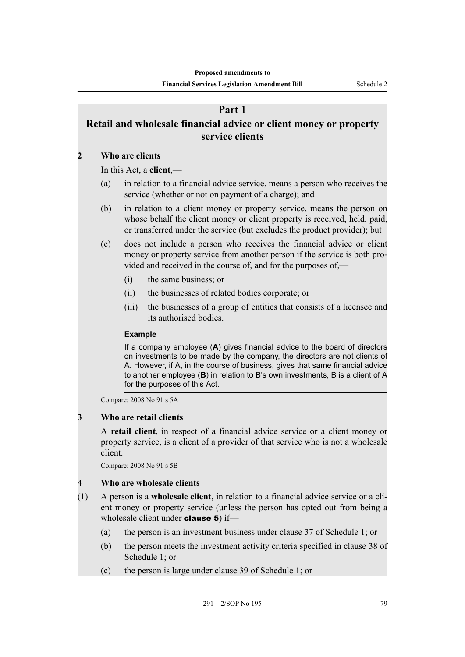# **Part 1**

# <span id="page-84-0"></span>**Retail and wholesale financial advice or client money or property service clients**

## **2 Who are clients**

In this Act, a **client**,—

- (a) in relation to a financial advice service, means a person who receives the service (whether or not on payment of a charge); and
- (b) in relation to a client money or property service, means the person on whose behalf the client money or client property is received, held, paid, or transferred under the service (but excludes the product provider); but
- (c) does not include a person who receives the financial advice or client money or property service from another person if the service is both provided and received in the course of, and for the purposes of,—
	- (i) the same business; or
	- (ii) the businesses of related bodies corporate; or
	- (iii) the businesses of a group of entities that consists of a licensee and its authorised bodies.

#### **Example**

If a company employee (**A**) gives financial advice to the board of directors on investments to be made by the company, the directors are not clients of A. However, if A, in the course of business, gives that same financial advice to another employee (**B**) in relation to B's own investments, B is a client of A for the purposes of this Act.

Compare: 2008 No 91 s 5A

## **3 Who are retail clients**

A **retail client**, in respect of a financial advice service or a client money or property service, is a client of a provider of that service who is not a wholesale client.

Compare: 2008 No 91 s 5B

## **4 Who are wholesale clients**

- (1) A person is a **wholesale client**, in relation to a financial advice service or a client money or property service (unless the person has opted out from being a wholesale client under **clause 5**) if—
	- (a) the person is an investment business under clause 37 of Schedule 1; or
	- (b) the person meets the investment activity criteria specified in clause 38 of Schedule 1; or
	- (c) the person is large under clause 39 of Schedule 1; or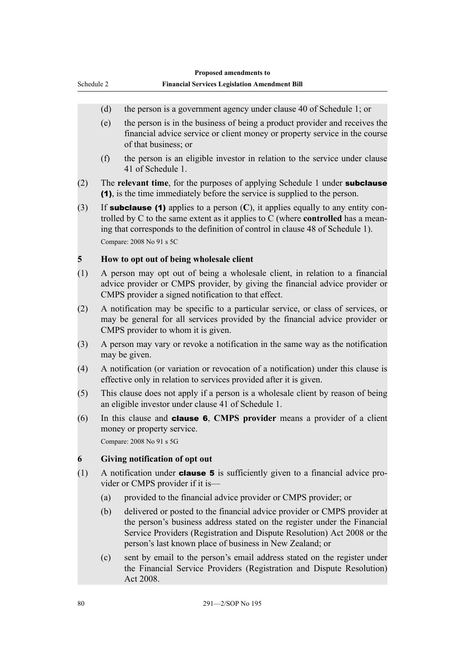<span id="page-85-0"></span>

| Schedule 2 |     | Proposed amendments to<br><b>Financial Services Legislation Amendment Bill</b>                                                                                                                                                                                                                         |  |  |
|------------|-----|--------------------------------------------------------------------------------------------------------------------------------------------------------------------------------------------------------------------------------------------------------------------------------------------------------|--|--|
|            |     |                                                                                                                                                                                                                                                                                                        |  |  |
|            | (d) | the person is a government agency under clause 40 of Schedule 1; or                                                                                                                                                                                                                                    |  |  |
|            | (e) | the person is in the business of being a product provider and receives the<br>financial advice service or client money or property service in the course<br>of that business; or                                                                                                                       |  |  |
|            | (f) | the person is an eligible investor in relation to the service under clause<br>41 of Schedule 1.                                                                                                                                                                                                        |  |  |
| (2)        |     | The relevant time, for the purposes of applying Schedule 1 under subclause<br>(1), is the time immediately before the service is supplied to the person.                                                                                                                                               |  |  |
| (3)        |     | If <b>subclause (1)</b> applies to a person $(C)$ , it applies equally to any entity con-<br>trolled by $C$ to the same extent as it applies to $C$ (where <b>controlled</b> has a mean-<br>ing that corresponds to the definition of control in clause 48 of Schedule 1).<br>Compare: 2008 No 91 s 5C |  |  |
| 5          |     | How to opt out of being wholesale client                                                                                                                                                                                                                                                               |  |  |
| (1)        |     | A person may opt out of being a wholesale client, in relation to a financial<br>advice provider or CMPS provider, by giving the financial advice provider or<br>CMPS provider a signed notification to that effect.                                                                                    |  |  |
| (2)        |     | A notification may be specific to a particular service, or class of services, or<br>may be general for all services provided by the financial advice provider or<br>CMPS provider to whom it is given.                                                                                                 |  |  |
| (3)        |     | A person may vary or revoke a notification in the same way as the notification<br>may be given.                                                                                                                                                                                                        |  |  |
| (4)        |     | A notification (or variation or revocation of a notification) under this clause is<br>effective only in relation to services provided after it is given.                                                                                                                                               |  |  |
| (5)        |     | This clause does not apply if a person is a wholesale client by reason of being<br>an eligible investor under clause 41 of Schedule 1.                                                                                                                                                                 |  |  |
| (6)        |     | In this clause and <b>clause 6</b> , CMPS provider means a provider of a client<br>money or property service.<br>Compare: 2008 No 91 s 5G                                                                                                                                                              |  |  |
| 6          |     | Giving notification of opt out                                                                                                                                                                                                                                                                         |  |  |
| (1)        |     | A notification under <b>clause 5</b> is sufficiently given to a financial advice pro-<br>vider or CMPS provider if it is—                                                                                                                                                                              |  |  |
|            | (a) | provided to the financial advice provider or CMPS provider; or                                                                                                                                                                                                                                         |  |  |
|            | (b) | delivered or posted to the financial advice provider or CMPS provider at<br>the person's business address stated on the register under the Financial<br>Service Providers (Registration and Dispute Resolution) Act 2008 or the<br>person's last known place of business in New Zealand; or            |  |  |

(c) sent by email to the person's email address stated on the register under the Financial Service Providers (Registration and Dispute Resolution) Act 2008.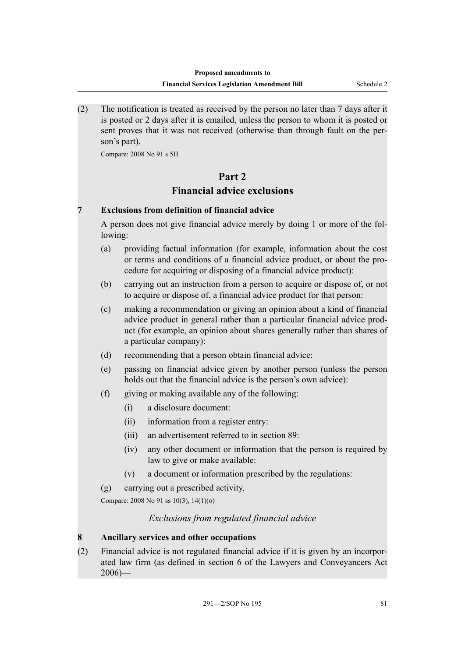<span id="page-86-0"></span>(2) The notification is treated as received by the person no later than 7 days after it is posted or 2 days after it is emailed, unless the person to whom it is posted or sent proves that it was not received (otherwise than through fault on the person's part).

Compare: 2008 No 91 s 5H

## **Part 2**

# **Financial advice exclusions**

## **7 Exclusions from definition of financial advice**

A person does not give financial advice merely by doing 1 or more of the following:

- (a) providing factual information (for example, information about the cost or terms and conditions of a financial advice product, or about the procedure for acquiring or disposing of a financial advice product):
- (b) carrying out an instruction from a person to acquire or dispose of, or not to acquire or dispose of, a financial advice product for that person:
- (c) making a recommendation or giving an opinion about a kind of financial advice product in general rather than a particular financial advice product (for example, an opinion about shares generally rather than shares of a particular company):
- (d) recommending that a person obtain financial advice:
- (e) passing on financial advice given by another person (unless the person holds out that the financial advice is the person's own advice):
- (f) giving or making available any of the following:
	- (i) a disclosure document:
	- (ii) information from a register entry:
	- (iii) an advertisement referred to in section 89:
	- (iv) any other document or information that the person is required by law to give or make available:
	- (v) a document or information prescribed by the regulations:
- (g) carrying out a prescribed activity.

Compare: 2008 No 91 ss 10(3), 14(1)(o)

## *Exclusions from regulated financial advice*

## **8 Ancillary services and other occupations**

(2) Financial advice is not regulated financial advice if it is given by an incorporated law firm (as defined in section 6 of the Lawyers and Conveyancers Act  $2006$ )—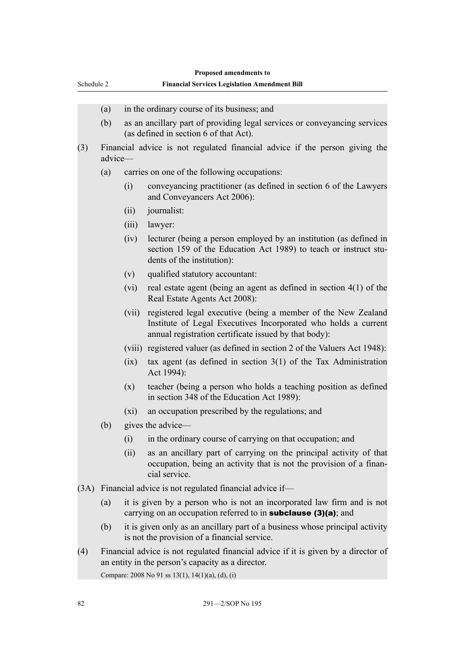| Schedule 2 |                                                                                                                                         | Proposed amendments to<br><b>Financial Services Legislation Amendment Bill</b>                                                                  |                                                                                                                                                                                          |  |
|------------|-----------------------------------------------------------------------------------------------------------------------------------------|-------------------------------------------------------------------------------------------------------------------------------------------------|------------------------------------------------------------------------------------------------------------------------------------------------------------------------------------------|--|
|            |                                                                                                                                         |                                                                                                                                                 |                                                                                                                                                                                          |  |
|            | (a)                                                                                                                                     |                                                                                                                                                 | in the ordinary course of its business; and                                                                                                                                              |  |
|            | (b)                                                                                                                                     |                                                                                                                                                 | as an ancillary part of providing legal services or conveyancing services<br>(as defined in section 6 of that Act).                                                                      |  |
| (3)        | advice-                                                                                                                                 |                                                                                                                                                 | Financial advice is not regulated financial advice if the person giving the                                                                                                              |  |
|            | (a)                                                                                                                                     | carries on one of the following occupations:                                                                                                    |                                                                                                                                                                                          |  |
|            |                                                                                                                                         | (i)                                                                                                                                             | conveyancing practitioner (as defined in section 6 of the Lawyers<br>and Conveyancers Act 2006):                                                                                         |  |
|            |                                                                                                                                         | (ii)                                                                                                                                            | journalist:                                                                                                                                                                              |  |
|            |                                                                                                                                         | (iii)                                                                                                                                           | lawyer:                                                                                                                                                                                  |  |
|            |                                                                                                                                         | (iv)                                                                                                                                            | lecturer (being a person employed by an institution (as defined in<br>section 159 of the Education Act 1989) to teach or instruct stu-<br>dents of the institution):                     |  |
|            |                                                                                                                                         | (v)                                                                                                                                             | qualified statutory accountant:                                                                                                                                                          |  |
|            |                                                                                                                                         | (vi)                                                                                                                                            | real estate agent (being an agent as defined in section $4(1)$ of the<br>Real Estate Agents Act 2008):                                                                                   |  |
|            |                                                                                                                                         | (vii)                                                                                                                                           | registered legal executive (being a member of the New Zealand<br>Institute of Legal Executives Incorporated who holds a current<br>annual registration certificate issued by that body): |  |
|            |                                                                                                                                         |                                                                                                                                                 | (viii) registered valuer (as defined in section 2 of the Valuers Act 1948):                                                                                                              |  |
|            |                                                                                                                                         | (ix)                                                                                                                                            | tax agent (as defined in section $3(1)$ of the Tax Administration<br>Act 1994):                                                                                                          |  |
|            |                                                                                                                                         | (x)                                                                                                                                             | teacher (being a person who holds a teaching position as defined<br>in section 348 of the Education Act 1989):                                                                           |  |
|            |                                                                                                                                         | $(x_i)$                                                                                                                                         | an occupation prescribed by the regulations; and                                                                                                                                         |  |
|            | (b)                                                                                                                                     |                                                                                                                                                 | gives the advice—                                                                                                                                                                        |  |
|            |                                                                                                                                         | (i)                                                                                                                                             | in the ordinary course of carrying on that occupation; and                                                                                                                               |  |
|            |                                                                                                                                         | (ii)                                                                                                                                            | as an ancillary part of carrying on the principal activity of that<br>occupation, being an activity that is not the provision of a finan-<br>cial service.                               |  |
|            |                                                                                                                                         |                                                                                                                                                 | (3A) Financial advice is not regulated financial advice if—                                                                                                                              |  |
|            | (a)                                                                                                                                     | it is given by a person who is not an incorporated law firm and is not<br>carrying on an occupation referred to in <b>subclause</b> (3)(a); and |                                                                                                                                                                                          |  |
|            | (b)                                                                                                                                     |                                                                                                                                                 | it is given only as an ancillary part of a business whose principal activity<br>is not the provision of a financial service.                                                             |  |
| (4)        | Financial advice is not regulated financial advice if it is given by a director of<br>an entity in the person's capacity as a director. |                                                                                                                                                 |                                                                                                                                                                                          |  |

Compare: 2008 No 91 ss 13(1), 14(1)(a), (d), (i)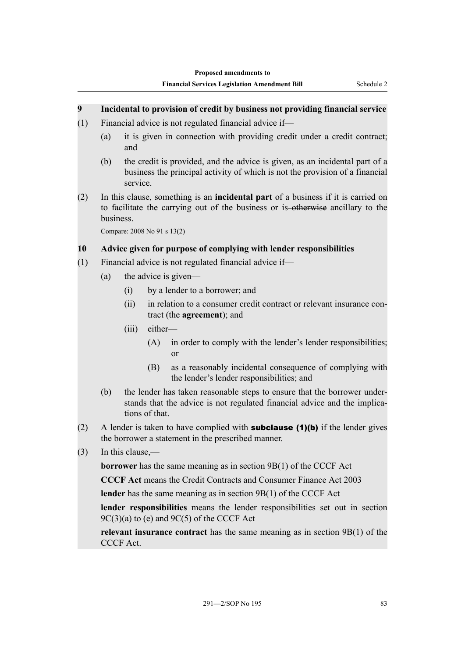## <span id="page-88-0"></span>**9 Incidental to provision of credit by business not providing financial service**

- (1) Financial advice is not regulated financial advice if—
	- (a) it is given in connection with providing credit under a credit contract; and
	- (b) the credit is provided, and the advice is given, as an incidental part of a business the principal activity of which is not the provision of a financial service.
- (2) In this clause, something is an **incidental part** of a business if it is carried on to facilitate the carrying out of the business or is-otherwise ancillary to the business.

Compare: 2008 No 91 s 13(2)

## **10 Advice given for purpose of complying with lender responsibilities**

- (1) Financial advice is not regulated financial advice if—
	- (a) the advice is given—
		- (i) by a lender to a borrower; and
		- (ii) in relation to a consumer credit contract or relevant insurance contract (the **agreement**); and
		- (iii) either—
			- (A) in order to comply with the lender's lender responsibilities; or
			- (B) as a reasonably incidental consequence of complying with the lender's lender responsibilities; and
	- (b) the lender has taken reasonable steps to ensure that the borrower understands that the advice is not regulated financial advice and the implications of that.
- (2) A lender is taken to have complied with **subclause (1)(b)** if the lender gives the borrower a statement in the prescribed manner.
- (3) In this clause,—

**borrower** has the same meaning as in section 9B(1) of the CCCF Act

**CCCF Act** means the Credit Contracts and Consumer Finance Act 2003

**lender** has the same meaning as in section 9B(1) of the CCCF Act

**lender responsibilities** means the lender responsibilities set out in section  $9C(3)(a)$  to (e) and  $9C(5)$  of the CCCF Act

**relevant insurance contract** has the same meaning as in section 9B(1) of the CCCF Act.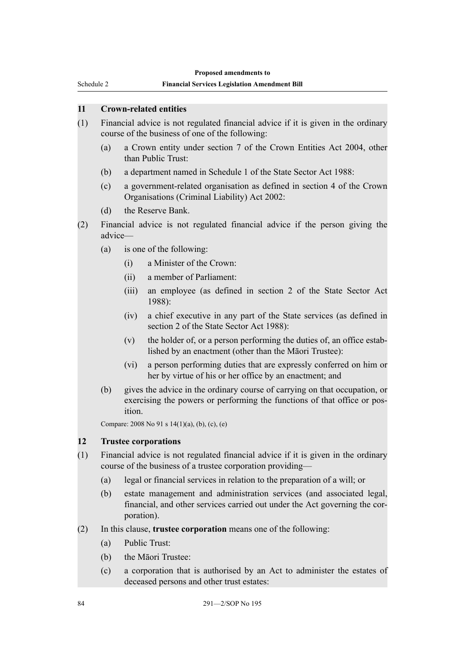<span id="page-89-0"></span>Schedule 2

#### **Financial Services Legislation Amendment Bill**

#### **11 Crown-related entities**

- (1) Financial advice is not regulated financial advice if it is given in the ordinary course of the business of one of the following:
	- (a) a Crown entity under section 7 of the Crown Entities Act 2004, other than Public Trust:
	- (b) a department named in Schedule 1 of the State Sector Act 1988:
	- (c) a government-related organisation as defined in section 4 of the Crown Organisations (Criminal Liability) Act 2002:
	- (d) the Reserve Bank.
- (2) Financial advice is not regulated financial advice if the person giving the advice—
	- (a) is one of the following:
		- (i) a Minister of the Crown:
		- (ii) a member of Parliament:
		- (iii) an employee (as defined in section 2 of the State Sector Act 1988):
		- (iv) a chief executive in any part of the State services (as defined in section 2 of the State Sector Act 1988):
		- (v) the holder of, or a person performing the duties of, an office established by an enactment (other than the Māori Trustee):
		- (vi) a person performing duties that are expressly conferred on him or her by virtue of his or her office by an enactment; and
	- (b) gives the advice in the ordinary course of carrying on that occupation, or exercising the powers or performing the functions of that office or position.

Compare: 2008 No 91 s 14(1)(a), (b), (c), (e)

#### **12 Trustee corporations**

- (1) Financial advice is not regulated financial advice if it is given in the ordinary course of the business of a trustee corporation providing—
	- (a) legal or financial services in relation to the preparation of a will; or
	- (b) estate management and administration services (and associated legal, financial, and other services carried out under the Act governing the corporation).
- (2) In this clause, **trustee corporation** means one of the following:
	- (a) Public Trust:
	- (b) the Māori Trustee:
	- (c) a corporation that is authorised by an Act to administer the estates of deceased persons and other trust estates: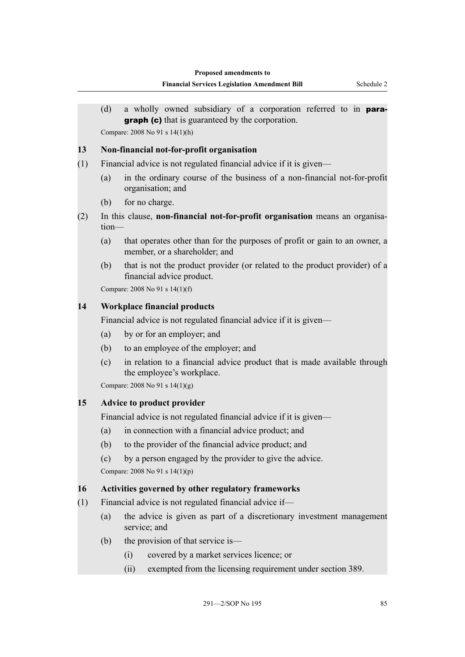<span id="page-90-0"></span>(d) a wholly owned subsidiary of a corporation referred to in para**graph (c)** that is guaranteed by the corporation. Compare: 2008 No 91 s 14(1)(h)

## **13 Non-financial not-for-profit organisation**

- (1) Financial advice is not regulated financial advice if it is given—
	- (a) in the ordinary course of the business of a non-financial not-for-profit organisation; and
	- (b) for no charge.
- (2) In this clause, **non-financial not-for-profit organisation** means an organisation—
	- (a) that operates other than for the purposes of profit or gain to an owner, a member, or a shareholder; and
	- (b) that is not the product provider (or related to the product provider) of a financial advice product.

Compare: 2008 No 91 s 14(1)(f)

# **14 Workplace financial products**

Financial advice is not regulated financial advice if it is given—

- (a) by or for an employer; and
- (b) to an employee of the employer; and
- (c) in relation to a financial advice product that is made available through the employee's workplace.

Compare: 2008 No 91 s 14(1)(g)

# **15 Advice to product provider**

Financial advice is not regulated financial advice if it is given—

- (a) in connection with a financial advice product; and
- (b) to the provider of the financial advice product; and
- (c) by a person engaged by the provider to give the advice.

Compare: 2008 No 91 s 14(1)(p)

## **16 Activities governed by other regulatory frameworks**

- (1) Financial advice is not regulated financial advice if—
	- (a) the advice is given as part of a discretionary investment management service; and
	- (b) the provision of that service is—
		- (i) covered by a market services licence; or
		- (ii) exempted from the licensing requirement under section 389.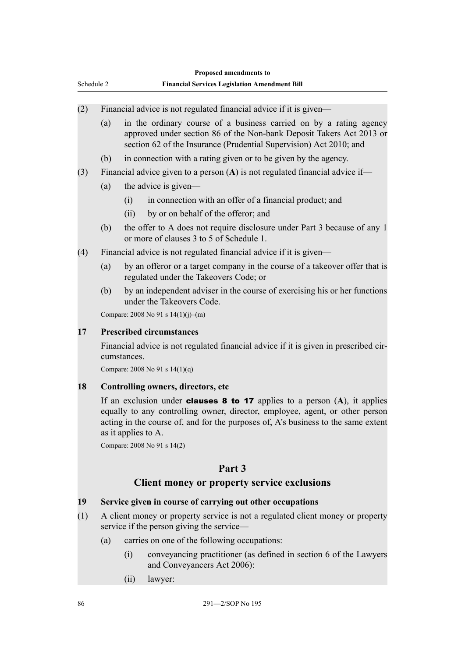<span id="page-91-0"></span>

| Proposed amendments to |     |                                     |                                                                                                                                                                                                                                                                                         |  |  |
|------------------------|-----|-------------------------------------|-----------------------------------------------------------------------------------------------------------------------------------------------------------------------------------------------------------------------------------------------------------------------------------------|--|--|
| Schedule 2             |     |                                     | <b>Financial Services Legislation Amendment Bill</b>                                                                                                                                                                                                                                    |  |  |
|                        |     |                                     |                                                                                                                                                                                                                                                                                         |  |  |
| (2)                    |     |                                     | Financial advice is not regulated financial advice if it is given-                                                                                                                                                                                                                      |  |  |
|                        | (a) |                                     | in the ordinary course of a business carried on by a rating agency<br>approved under section 86 of the Non-bank Deposit Takers Act 2013 or<br>section 62 of the Insurance (Prudential Supervision) Act 2010; and                                                                        |  |  |
|                        | (b) |                                     | in connection with a rating given or to be given by the agency.                                                                                                                                                                                                                         |  |  |
| (3)                    |     |                                     | Financial advice given to a person $(A)$ is not regulated financial advice if-                                                                                                                                                                                                          |  |  |
|                        | (a) |                                     | the advice is given—                                                                                                                                                                                                                                                                    |  |  |
|                        |     | (i)                                 | in connection with an offer of a financial product; and                                                                                                                                                                                                                                 |  |  |
|                        |     | (ii)                                | by or on behalf of the offeror; and                                                                                                                                                                                                                                                     |  |  |
|                        | (b) |                                     | the offer to A does not require disclosure under Part 3 because of any 1<br>or more of clauses 3 to 5 of Schedule 1.                                                                                                                                                                    |  |  |
| (4)                    |     |                                     | Financial advice is not regulated financial advice if it is given—                                                                                                                                                                                                                      |  |  |
|                        | (a) |                                     | by an offeror or a target company in the course of a takeover offer that is<br>regulated under the Takeovers Code; or                                                                                                                                                                   |  |  |
|                        | (b) |                                     | by an independent adviser in the course of exercising his or her functions<br>under the Takeovers Code.                                                                                                                                                                                 |  |  |
|                        |     |                                     | Compare: 2008 No 91 s 14(1)(j)-(m)                                                                                                                                                                                                                                                      |  |  |
| 17                     |     | <b>Prescribed circumstances</b>     |                                                                                                                                                                                                                                                                                         |  |  |
|                        |     | cumstances.                         | Financial advice is not regulated financial advice if it is given in prescribed cir-                                                                                                                                                                                                    |  |  |
|                        |     |                                     | Compare: 2008 No 91 s 14(1)(q)                                                                                                                                                                                                                                                          |  |  |
| 18                     |     | Controlling owners, directors, etc. |                                                                                                                                                                                                                                                                                         |  |  |
|                        |     | as it applies to A.                 | If an exclusion under <b>clauses 8 to 17</b> applies to a person $(A)$ , it applies<br>equally to any controlling owner, director, employee, agent, or other person<br>acting in the course of, and for the purposes of, A's business to the same extent<br>Compare: 2008 No 91 s 14(2) |  |  |
|                        |     |                                     |                                                                                                                                                                                                                                                                                         |  |  |
|                        |     |                                     | Part 3                                                                                                                                                                                                                                                                                  |  |  |
|                        |     |                                     | Client money or property service exclusions                                                                                                                                                                                                                                             |  |  |
| 19                     |     |                                     | Service given in course of carrying out other occupations                                                                                                                                                                                                                               |  |  |
| (1)                    |     |                                     | A client money or property service is not a regulated client money or property<br>service if the person giving the service—                                                                                                                                                             |  |  |
|                        | (a) |                                     | carries on one of the following occupations:                                                                                                                                                                                                                                            |  |  |
|                        |     | (i)                                 | conveyancing practitioner (as defined in section 6 of the Lawyers<br>and Conveyancers Act 2006):                                                                                                                                                                                        |  |  |

(ii) lawyer: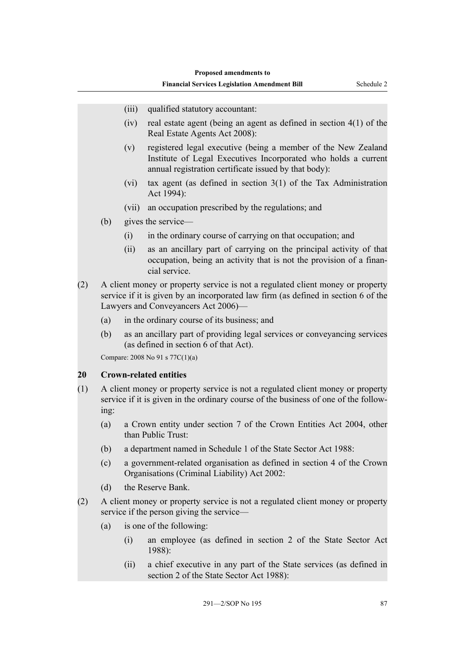- <span id="page-92-0"></span>(iii) qualified statutory accountant:
- (iv) real estate agent (being an agent as defined in section 4(1) of the Real Estate Agents Act 2008):
- (v) registered legal executive (being a member of the New Zealand Institute of Legal Executives Incorporated who holds a current annual registration certificate issued by that body):
- (vi) tax agent (as defined in section 3(1) of the Tax Administration Act 1994):
- (vii) an occupation prescribed by the regulations; and
- (b) gives the service—
	- (i) in the ordinary course of carrying on that occupation; and
	- (ii) as an ancillary part of carrying on the principal activity of that occupation, being an activity that is not the provision of a financial service.
- (2) A client money or property service is not a regulated client money or property service if it is given by an incorporated law firm (as defined in section 6 of the Lawyers and Conveyancers Act 2006)—
	- (a) in the ordinary course of its business; and
	- (b) as an ancillary part of providing legal services or conveyancing services (as defined in section 6 of that Act).

Compare: 2008 No 91 s 77C(1)(a)

#### **20 Crown-related entities**

- (1) A client money or property service is not a regulated client money or property service if it is given in the ordinary course of the business of one of the following:
	- (a) a Crown entity under section 7 of the Crown Entities Act 2004, other than Public Trust:
	- (b) a department named in Schedule 1 of the State Sector Act 1988:
	- (c) a government-related organisation as defined in section 4 of the Crown Organisations (Criminal Liability) Act 2002:
	- (d) the Reserve Bank.
- (2) A client money or property service is not a regulated client money or property service if the person giving the service—
	- (a) is one of the following:
		- (i) an employee (as defined in section 2 of the State Sector Act 1988):
		- (ii) a chief executive in any part of the State services (as defined in section 2 of the State Sector Act 1988):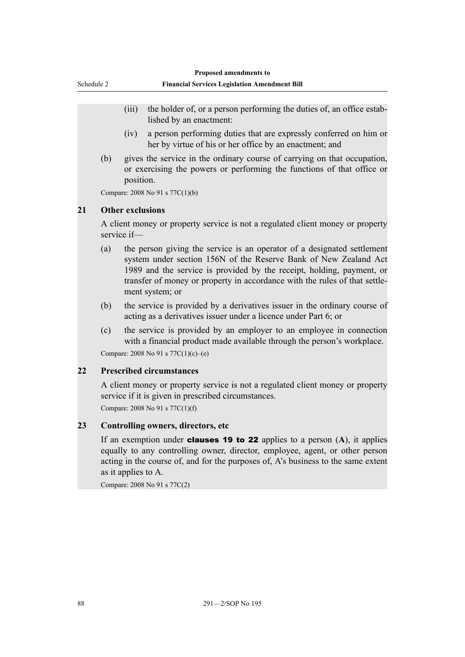<span id="page-93-0"></span>

| Schedule 2 |  |
|------------|--|
|            |  |

- (iii) the holder of, or a person performing the duties of, an office established by an enactment:
- (iv) a person performing duties that are expressly conferred on him or her by virtue of his or her office by an enactment; and
- (b) gives the service in the ordinary course of carrying on that occupation, or exercising the powers or performing the functions of that office or position.

Compare: 2008 No 91 s 77C(1)(b)

#### **21 Other exclusions**

A client money or property service is not a regulated client money or property service if—

- (a) the person giving the service is an operator of a designated settlement system under section 156N of the Reserve Bank of New Zealand Act 1989 and the service is provided by the receipt, holding, payment, or transfer of money or property in accordance with the rules of that settlement system; or
- (b) the service is provided by a derivatives issuer in the ordinary course of acting as a derivatives issuer under a licence under Part 6; or
- (c) the service is provided by an employer to an employee in connection with a financial product made available through the person's workplace.

Compare: 2008 No 91 s 77C(1)(c)–(e)

#### **22 Prescribed circumstances**

A client money or property service is not a regulated client money or property service if it is given in prescribed circumstances.

Compare: 2008 No 91 s 77C(1)(f)

#### **23 Controlling owners, directors, etc**

If an exemption under clauses 19 to 22 applies to a person (**A**), it applies equally to any controlling owner, director, employee, agent, or other person acting in the course of, and for the purposes of, A's business to the same extent as it applies to A.

Compare: 2008 No 91 s 77C(2)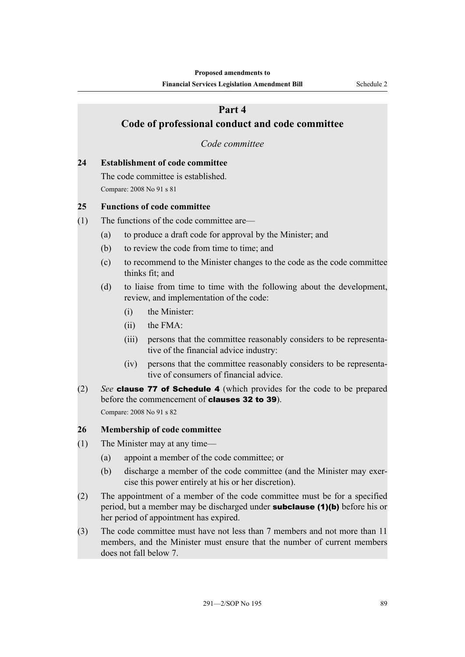# <span id="page-94-0"></span>**Part 4 Code of professional conduct and code committee** *Code committee*

## **24 Establishment of code committee**

The code committee is established. Compare: 2008 No 91 s 81

#### **25 Functions of code committee**

- (1) The functions of the code committee are—
	- (a) to produce a draft code for approval by the Minister; and
	- (b) to review the code from time to time; and
	- (c) to recommend to the Minister changes to the code as the code committee thinks fit; and
	- (d) to liaise from time to time with the following about the development, review, and implementation of the code:
		- (i) the Minister:
		- (ii) the FMA:
		- (iii) persons that the committee reasonably considers to be representative of the financial advice industry:
		- (iv) persons that the committee reasonably considers to be representative of consumers of financial advice.
- (2) *See* clause 77 of Schedule 4 (which provides for the code to be prepared before the commencement of **clauses 32 to 39**). Compare: 2008 No 91 s 82

#### **26 Membership of code committee**

- (1) The Minister may at any time—
	- (a) appoint a member of the code committee; or
	- (b) discharge a member of the code committee (and the Minister may exercise this power entirely at his or her discretion).
- (2) The appointment of a member of the code committee must be for a specified period, but a member may be discharged under **subclause (1)(b)** before his or her period of appointment has expired.
- (3) The code committee must have not less than 7 members and not more than 11 members, and the Minister must ensure that the number of current members does not fall below 7.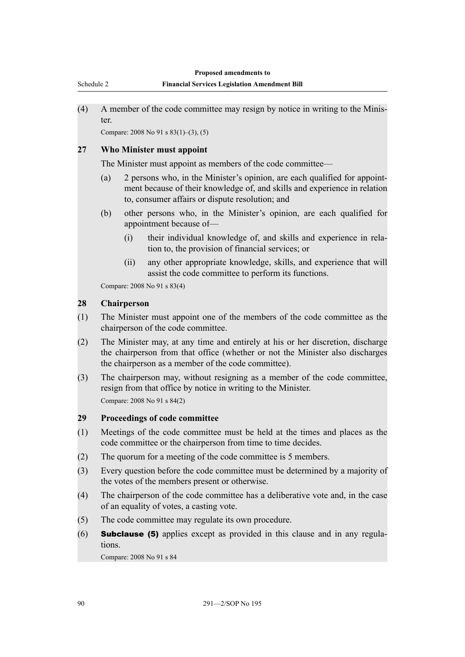<span id="page-95-0"></span>(4) A member of the code committee may resign by notice in writing to the Minister.

Compare: 2008 No 91 s 83(1)–(3), (5)

#### **27 Who Minister must appoint**

The Minister must appoint as members of the code committee—

- (a) 2 persons who, in the Minister's opinion, are each qualified for appointment because of their knowledge of, and skills and experience in relation to, consumer affairs or dispute resolution; and
- (b) other persons who, in the Minister's opinion, are each qualified for appointment because of—
	- (i) their individual knowledge of, and skills and experience in relation to, the provision of financial services; or
	- (ii) any other appropriate knowledge, skills, and experience that will assist the code committee to perform its functions.

Compare: 2008 No 91 s 83(4)

## **28 Chairperson**

- (1) The Minister must appoint one of the members of the code committee as the chairperson of the code committee.
- (2) The Minister may, at any time and entirely at his or her discretion, discharge the chairperson from that office (whether or not the Minister also discharges the chairperson as a member of the code committee).
- (3) The chairperson may, without resigning as a member of the code committee, resign from that office by notice in writing to the Minister. Compare: 2008 No 91 s 84(2)

#### **29 Proceedings of code committee**

- (1) Meetings of the code committee must be held at the times and places as the code committee or the chairperson from time to time decides.
- (2) The quorum for a meeting of the code committee is 5 members.
- (3) Every question before the code committee must be determined by a majority of the votes of the members present or otherwise.
- (4) The chairperson of the code committee has a deliberative vote and, in the case of an equality of votes, a casting vote.
- (5) The code committee may regulate its own procedure.
- $(6)$  **Subclause (5)** applies except as provided in this clause and in any regulations.

Compare: 2008 No 91 s 84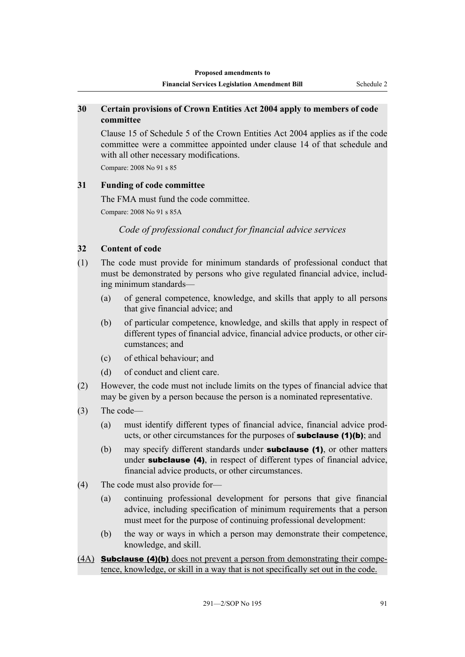## <span id="page-96-0"></span>**30 Certain provisions of Crown Entities Act 2004 apply to members of code committee**

Clause 15 of Schedule 5 of the Crown Entities Act 2004 applies as if the code committee were a committee appointed under clause 14 of that schedule and with all other necessary modifications.

Compare: 2008 No 91 s 85

## **31 Funding of code committee**

The FMA must fund the code committee.

Compare: 2008 No 91 s 85A

*Code of professional conduct for financial advice services*

## **32 Content of code**

- (1) The code must provide for minimum standards of professional conduct that must be demonstrated by persons who give regulated financial advice, including minimum standards—
	- (a) of general competence, knowledge, and skills that apply to all persons that give financial advice; and
	- (b) of particular competence, knowledge, and skills that apply in respect of different types of financial advice, financial advice products, or other circumstances; and
	- (c) of ethical behaviour; and
	- (d) of conduct and client care.
- (2) However, the code must not include limits on the types of financial advice that may be given by a person because the person is a nominated representative.
- (3) The code—
	- (a) must identify different types of financial advice, financial advice products, or other circumstances for the purposes of subclause (1)(b); and
	- (b) may specify different standards under **subclause (1)**, or other matters under **subclause** (4), in respect of different types of financial advice, financial advice products, or other circumstances.
- (4) The code must also provide for—
	- (a) continuing professional development for persons that give financial advice, including specification of minimum requirements that a person must meet for the purpose of continuing professional development:
	- (b) the way or ways in which a person may demonstrate their competence, knowledge, and skill.
- (4A) Subclause (4)(b) does not prevent a person from demonstrating their competence, knowledge, or skill in a way that is not specifically set out in the code.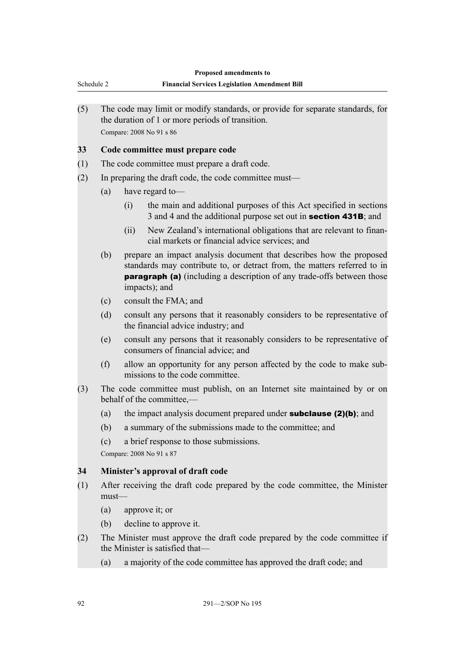<span id="page-97-0"></span>

|            |     |                                                                                                       | Proposed amendments to                                                                                                                                                                                                                     |  |  |  |
|------------|-----|-------------------------------------------------------------------------------------------------------|--------------------------------------------------------------------------------------------------------------------------------------------------------------------------------------------------------------------------------------------|--|--|--|
| Schedule 2 |     |                                                                                                       | <b>Financial Services Legislation Amendment Bill</b>                                                                                                                                                                                       |  |  |  |
| (5)        |     |                                                                                                       | The code may limit or modify standards, or provide for separate standards, for<br>the duration of 1 or more periods of transition.<br>Compare: 2008 No 91 s 86                                                                             |  |  |  |
| 33         |     | Code committee must prepare code                                                                      |                                                                                                                                                                                                                                            |  |  |  |
| (1)        |     |                                                                                                       | The code committee must prepare a draft code.                                                                                                                                                                                              |  |  |  |
| (2)        |     | In preparing the draft code, the code committee must—                                                 |                                                                                                                                                                                                                                            |  |  |  |
|            | (a) |                                                                                                       | have regard to-                                                                                                                                                                                                                            |  |  |  |
|            |     | (i)                                                                                                   | the main and additional purposes of this Act specified in sections<br>3 and 4 and the additional purpose set out in <b>section 431B</b> ; and                                                                                              |  |  |  |
|            |     | (ii)                                                                                                  | New Zealand's international obligations that are relevant to finan-<br>cial markets or financial advice services; and                                                                                                                      |  |  |  |
|            | (b) |                                                                                                       | prepare an impact analysis document that describes how the proposed<br>standards may contribute to, or detract from, the matters referred to in<br>paragraph (a) (including a description of any trade-offs between those<br>impacts); and |  |  |  |
|            | (c) | consult the FMA; and                                                                                  |                                                                                                                                                                                                                                            |  |  |  |
|            | (d) |                                                                                                       | consult any persons that it reasonably considers to be representative of<br>the financial advice industry; and                                                                                                                             |  |  |  |
|            | (e) |                                                                                                       | consult any persons that it reasonably considers to be representative of<br>consumers of financial advice; and                                                                                                                             |  |  |  |
|            | (f) |                                                                                                       | allow an opportunity for any person affected by the code to make sub-<br>missions to the code committee.                                                                                                                                   |  |  |  |
| (3)        |     | The code committee must publish, on an Internet site maintained by or on<br>behalf of the committee,- |                                                                                                                                                                                                                                            |  |  |  |
|            | (a) |                                                                                                       | the impact analysis document prepared under <b>subclause</b> $(2)(b)$ ; and                                                                                                                                                                |  |  |  |
|            | (b) |                                                                                                       | a summary of the submissions made to the committee; and                                                                                                                                                                                    |  |  |  |
|            | (c) |                                                                                                       | a brief response to those submissions.                                                                                                                                                                                                     |  |  |  |
|            |     |                                                                                                       | Compare: 2008 No 91 s 87                                                                                                                                                                                                                   |  |  |  |
| 34         |     | Minister's approval of draft code                                                                     |                                                                                                                                                                                                                                            |  |  |  |
| (1)        |     | After receiving the draft code prepared by the code committee, the Minister<br>$must$ —               |                                                                                                                                                                                                                                            |  |  |  |
|            | (a) |                                                                                                       | approve it; or                                                                                                                                                                                                                             |  |  |  |
|            | (b) |                                                                                                       | decline to approve it.                                                                                                                                                                                                                     |  |  |  |
| (2)        |     |                                                                                                       | The Minister must approve the draft code prepared by the code committee if<br>the Minister is satisfied that—                                                                                                                              |  |  |  |
|            | (a) |                                                                                                       | a majority of the code committee has approved the draft code; and                                                                                                                                                                          |  |  |  |
|            |     |                                                                                                       |                                                                                                                                                                                                                                            |  |  |  |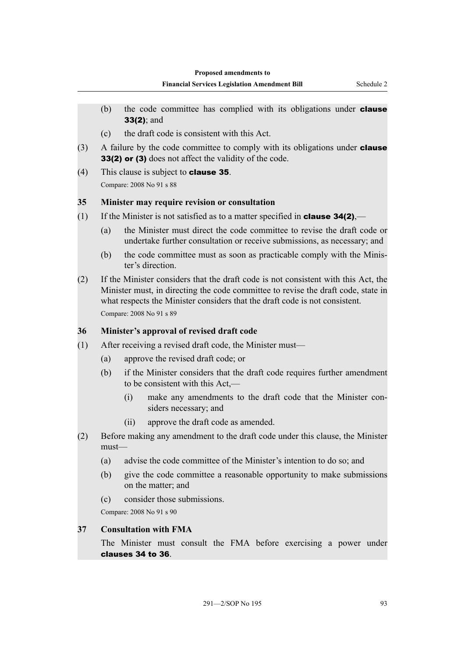- <span id="page-98-0"></span>(b) the code committee has complied with its obligations under **clause** 33(2); and
- (c) the draft code is consistent with this Act.
- $(3)$  A failure by the code committee to comply with its obligations under **clause** 33(2) or (3) does not affect the validity of the code.
- (4) This clause is subject to clause 35. Compare: 2008 No 91 s 88

# **35 Minister may require revision or consultation**

- (1) If the Minister is not satisfied as to a matter specified in **clause 34(2)**,—
	- (a) the Minister must direct the code committee to revise the draft code or undertake further consultation or receive submissions, as necessary; and
	- (b) the code committee must as soon as practicable comply with the Minister's direction.
- (2) If the Minister considers that the draft code is not consistent with this Act, the Minister must, in directing the code committee to revise the draft code, state in what respects the Minister considers that the draft code is not consistent. Compare: 2008 No 91 s 89

## **36 Minister's approval of revised draft code**

- (1) After receiving a revised draft code, the Minister must—
	- (a) approve the revised draft code; or
	- (b) if the Minister considers that the draft code requires further amendment to be consistent with this Act,—
		- (i) make any amendments to the draft code that the Minister considers necessary; and
		- (ii) approve the draft code as amended.
- (2) Before making any amendment to the draft code under this clause, the Minister must—
	- (a) advise the code committee of the Minister's intention to do so; and
	- (b) give the code committee a reasonable opportunity to make submissions on the matter; and
	- (c) consider those submissions.

Compare: 2008 No 91 s 90

## **37 Consultation with FMA**

The Minister must consult the FMA before exercising a power under clauses 34 to 36.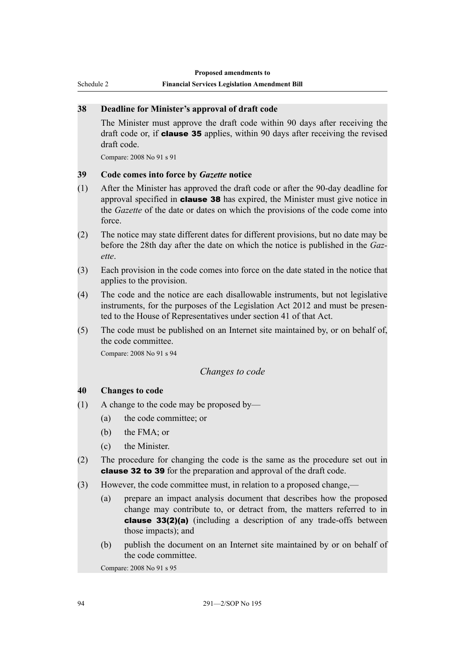<span id="page-99-0"></span>Schedule 2

#### **Financial Services Legislation Amendment Bill**

## **38 Deadline for Minister's approval of draft code**

The Minister must approve the draft code within 90 days after receiving the draft code or, if **clause 35** applies, within 90 days after receiving the revised draft code.

Compare: 2008 No 91 s 91

## **39 Code comes into force by** *Gazette* **notice**

- (1) After the Minister has approved the draft code or after the 90-day deadline for approval specified in clause 38 has expired, the Minister must give notice in the *Gazette* of the date or dates on which the provisions of the code come into force.
- (2) The notice may state different dates for different provisions, but no date may be before the 28th day after the date on which the notice is published in the *Gazette*.
- (3) Each provision in the code comes into force on the date stated in the notice that applies to the provision.
- (4) The code and the notice are each disallowable instruments, but not legislative instruments, for the purposes of the Legislation Act 2012 and must be presented to the House of Representatives under section 41 of that Act.
- (5) The code must be published on an Internet site maintained by, or on behalf of, the code committee.

Compare: 2008 No 91 s 94

#### *Changes to code*

#### **40 Changes to code**

- (1) A change to the code may be proposed by—
	- (a) the code committee; or
	- (b) the FMA; or
	- (c) the Minister.
- (2) The procedure for changing the code is the same as the procedure set out in clause 32 to 39 for the preparation and approval of the draft code.
- (3) However, the code committee must, in relation to a proposed change,—
	- (a) prepare an impact analysis document that describes how the proposed change may contribute to, or detract from, the matters referred to in clause 33(2)(a) (including a description of any trade-offs between those impacts); and
	- (b) publish the document on an Internet site maintained by or on behalf of the code committee.

Compare: 2008 No 91 s 95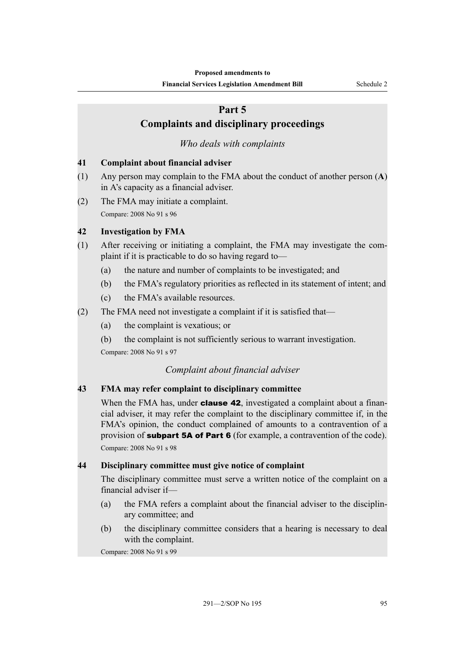# <span id="page-100-0"></span>**Part 5 Complaints and disciplinary proceedings**

## *Who deals with complaints*

#### **41 Complaint about financial adviser**

- (1) Any person may complain to the FMA about the conduct of another person (**A**) in A's capacity as a financial adviser.
- (2) The FMA may initiate a complaint. Compare: 2008 No 91 s 96

#### **42 Investigation by FMA**

- (1) After receiving or initiating a complaint, the FMA may investigate the complaint if it is practicable to do so having regard to—
	- (a) the nature and number of complaints to be investigated; and
	- (b) the FMA's regulatory priorities as reflected in its statement of intent; and
	- (c) the FMA's available resources.
- (2) The FMA need not investigate a complaint if it is satisfied that—
	- (a) the complaint is vexatious; or
	- (b) the complaint is not sufficiently serious to warrant investigation.

Compare: 2008 No 91 s 97

#### *Complaint about financial adviser*

## **43 FMA may refer complaint to disciplinary committee**

When the FMA has, under **clause 42**, investigated a complaint about a financial adviser, it may refer the complaint to the disciplinary committee if, in the FMA's opinion, the conduct complained of amounts to a contravention of a provision of **subpart 5A of Part 6** (for example, a contravention of the code). Compare: 2008 No 91 s 98

#### **44 Disciplinary committee must give notice of complaint**

The disciplinary committee must serve a written notice of the complaint on a financial adviser if—

- (a) the FMA refers a complaint about the financial adviser to the disciplinary committee; and
- (b) the disciplinary committee considers that a hearing is necessary to deal with the complaint.

Compare: 2008 No 91 s 99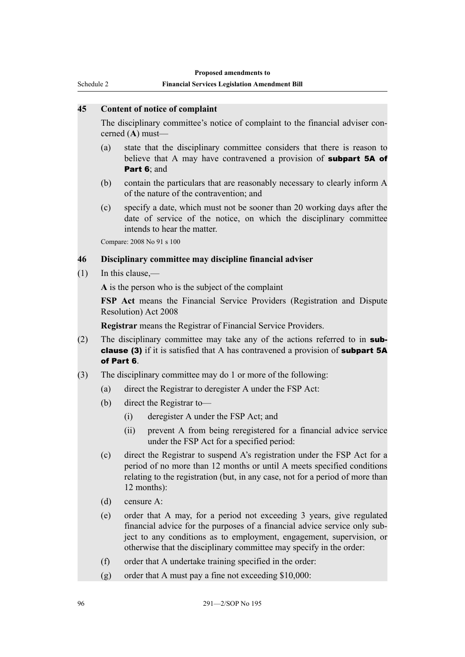<span id="page-101-0"></span>Schedule 2

#### **Financial Services Legislation Amendment Bill**

## **45 Content of notice of complaint**

The disciplinary committee's notice of complaint to the financial adviser concerned (**A**) must—

- (a) state that the disciplinary committee considers that there is reason to believe that A may have contravened a provision of **subpart 5A of** Part 6: and
- (b) contain the particulars that are reasonably necessary to clearly inform A of the nature of the contravention; and
- (c) specify a date, which must not be sooner than 20 working days after the date of service of the notice, on which the disciplinary committee intends to hear the matter.

Compare: 2008 No 91 s 100

## **46 Disciplinary committee may discipline financial adviser**

(1) In this clause,—

**A** is the person who is the subject of the complaint

**FSP Act** means the Financial Service Providers (Registration and Dispute Resolution) Act 2008

**Registrar** means the Registrar of Financial Service Providers.

- (2) The disciplinary committee may take any of the actions referred to in **sub**clause (3) if it is satisfied that A has contravened a provision of subpart 5A of Part 6.
- (3) The disciplinary committee may do 1 or more of the following:
	- (a) direct the Registrar to deregister A under the FSP Act:
	- (b) direct the Registrar to—
		- (i) deregister A under the FSP Act; and
		- (ii) prevent A from being reregistered for a financial advice service under the FSP Act for a specified period:
	- (c) direct the Registrar to suspend A's registration under the FSP Act for a period of no more than 12 months or until A meets specified conditions relating to the registration (but, in any case, not for a period of more than 12 months):
	- (d) censure A:
	- (e) order that A may, for a period not exceeding 3 years, give regulated financial advice for the purposes of a financial advice service only subject to any conditions as to employment, engagement, supervision, or otherwise that the disciplinary committee may specify in the order:
	- (f) order that A undertake training specified in the order:
	- (g) order that A must pay a fine not exceeding  $$10,000$ :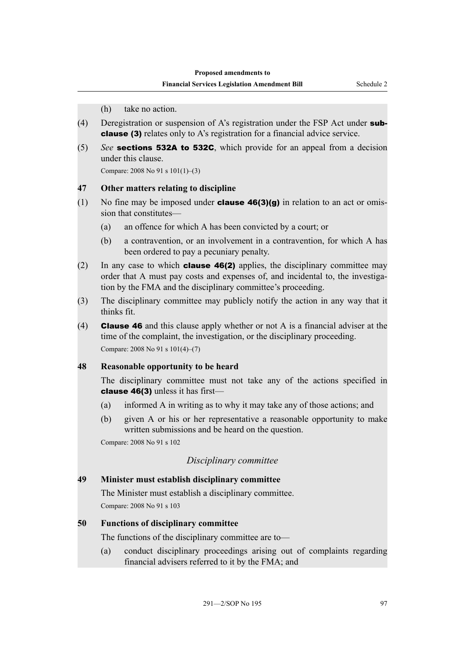(h) take no action.

- <span id="page-102-0"></span>(4) Deregistration or suspension of A's registration under the FSP Act under subclause (3) relates only to A's registration for a financial advice service.
- (5) *See* sections 532A to 532C, which provide for an appeal from a decision under this clause.

Compare: 2008 No 91 s 101(1)–(3)

#### **47 Other matters relating to discipline**

- (1) No fine may be imposed under **clause 46(3)(g)** in relation to an act or omission that constitutes—
	- (a) an offence for which A has been convicted by a court; or
	- (b) a contravention, or an involvement in a contravention, for which A has been ordered to pay a pecuniary penalty.
- (2) In any case to which **clause 46(2)** applies, the disciplinary committee may order that A must pay costs and expenses of, and incidental to, the investigation by the FMA and the disciplinary committee's proceeding.
- (3) The disciplinary committee may publicly notify the action in any way that it thinks fit.
- (4) **Clause 46** and this clause apply whether or not A is a financial adviser at the time of the complaint, the investigation, or the disciplinary proceeding. Compare: 2008 No 91 s 101(4)–(7)

#### **48 Reasonable opportunity to be heard**

The disciplinary committee must not take any of the actions specified in clause 46(3) unless it has first—

- (a) informed A in writing as to why it may take any of those actions; and
- (b) given A or his or her representative a reasonable opportunity to make written submissions and be heard on the question.

Compare: 2008 No 91 s 102

#### *Disciplinary committee*

#### **49 Minister must establish disciplinary committee**

The Minister must establish a disciplinary committee. Compare: 2008 No 91 s 103

#### **50 Functions of disciplinary committee**

The functions of the disciplinary committee are to—

(a) conduct disciplinary proceedings arising out of complaints regarding financial advisers referred to it by the FMA; and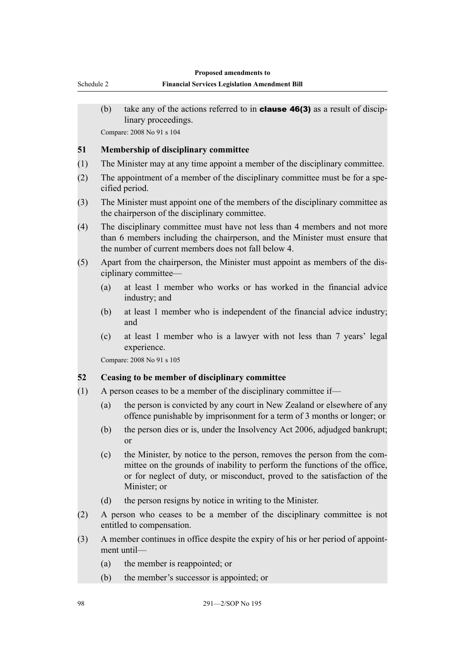<span id="page-103-0"></span>(b) take any of the actions referred to in **clause 46(3)** as a result of disciplinary proceedings.

Compare: 2008 No 91 s 104

#### **51 Membership of disciplinary committee**

- (1) The Minister may at any time appoint a member of the disciplinary committee.
- (2) The appointment of a member of the disciplinary committee must be for a specified period.
- (3) The Minister must appoint one of the members of the disciplinary committee as the chairperson of the disciplinary committee.
- (4) The disciplinary committee must have not less than 4 members and not more than 6 members including the chairperson, and the Minister must ensure that the number of current members does not fall below 4.
- (5) Apart from the chairperson, the Minister must appoint as members of the disciplinary committee—
	- (a) at least 1 member who works or has worked in the financial advice industry; and
	- (b) at least 1 member who is independent of the financial advice industry; and
	- (c) at least 1 member who is a lawyer with not less than 7 years' legal experience.

Compare: 2008 No 91 s 105

#### **52 Ceasing to be member of disciplinary committee**

- (1) A person ceases to be a member of the disciplinary committee if—
	- (a) the person is convicted by any court in New Zealand or elsewhere of any offence punishable by imprisonment for a term of 3 months or longer; or
	- (b) the person dies or is, under the Insolvency Act 2006, adjudged bankrupt; or
	- (c) the Minister, by notice to the person, removes the person from the committee on the grounds of inability to perform the functions of the office, or for neglect of duty, or misconduct, proved to the satisfaction of the Minister; or
	- (d) the person resigns by notice in writing to the Minister.
- (2) A person who ceases to be a member of the disciplinary committee is not entitled to compensation.
- (3) A member continues in office despite the expiry of his or her period of appointment until—
	- (a) the member is reappointed; or
	- (b) the member's successor is appointed; or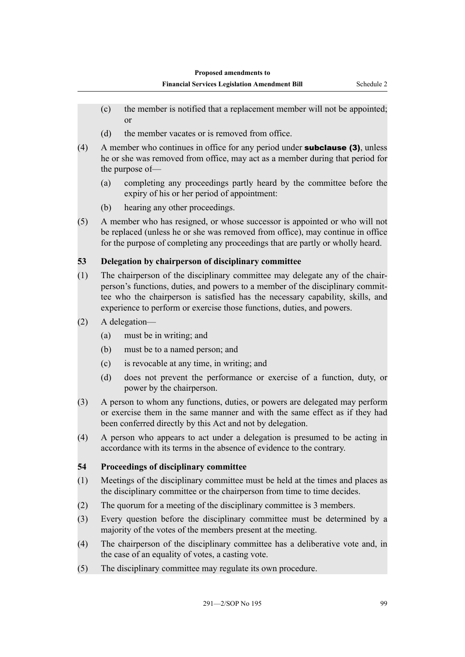- <span id="page-104-0"></span>(c) the member is notified that a replacement member will not be appointed; or
- (d) the member vacates or is removed from office.
- (4) A member who continues in office for any period under subclause (3), unless he or she was removed from office, may act as a member during that period for the purpose of—
	- (a) completing any proceedings partly heard by the committee before the expiry of his or her period of appointment:
	- (b) hearing any other proceedings.
- (5) A member who has resigned, or whose successor is appointed or who will not be replaced (unless he or she was removed from office), may continue in office for the purpose of completing any proceedings that are partly or wholly heard.

## **53 Delegation by chairperson of disciplinary committee**

- (1) The chairperson of the disciplinary committee may delegate any of the chairperson's functions, duties, and powers to a member of the disciplinary committee who the chairperson is satisfied has the necessary capability, skills, and experience to perform or exercise those functions, duties, and powers.
- (2) A delegation—
	- (a) must be in writing; and
	- (b) must be to a named person; and
	- (c) is revocable at any time, in writing; and
	- (d) does not prevent the performance or exercise of a function, duty, or power by the chairperson.
- (3) A person to whom any functions, duties, or powers are delegated may perform or exercise them in the same manner and with the same effect as if they had been conferred directly by this Act and not by delegation.
- (4) A person who appears to act under a delegation is presumed to be acting in accordance with its terms in the absence of evidence to the contrary.

## **54 Proceedings of disciplinary committee**

- (1) Meetings of the disciplinary committee must be held at the times and places as the disciplinary committee or the chairperson from time to time decides.
- (2) The quorum for a meeting of the disciplinary committee is 3 members.
- (3) Every question before the disciplinary committee must be determined by a majority of the votes of the members present at the meeting.
- (4) The chairperson of the disciplinary committee has a deliberative vote and, in the case of an equality of votes, a casting vote.
- (5) The disciplinary committee may regulate its own procedure.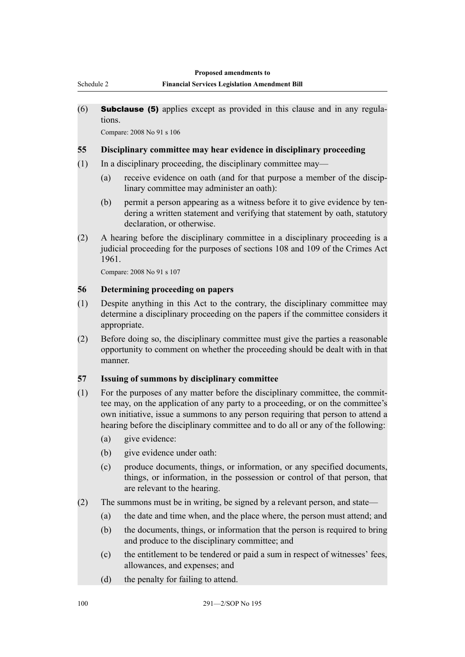#### **Financial Services Legislation Amendment Bill**

<span id="page-105-0"></span> $(6)$  **Subclause (5)** applies except as provided in this clause and in any regulations.

Compare: 2008 No 91 s 106

#### **55 Disciplinary committee may hear evidence in disciplinary proceeding**

- (1) In a disciplinary proceeding, the disciplinary committee may—
	- (a) receive evidence on oath (and for that purpose a member of the disciplinary committee may administer an oath):
	- (b) permit a person appearing as a witness before it to give evidence by tendering a written statement and verifying that statement by oath, statutory declaration, or otherwise.
- (2) A hearing before the disciplinary committee in a disciplinary proceeding is a judicial proceeding for the purposes of sections 108 and 109 of the Crimes Act 1961.

Compare: 2008 No 91 s 107

#### **56 Determining proceeding on papers**

- (1) Despite anything in this Act to the contrary, the disciplinary committee may determine a disciplinary proceeding on the papers if the committee considers it appropriate.
- (2) Before doing so, the disciplinary committee must give the parties a reasonable opportunity to comment on whether the proceeding should be dealt with in that manner.

## **57 Issuing of summons by disciplinary committee**

- (1) For the purposes of any matter before the disciplinary committee, the committee may, on the application of any party to a proceeding, or on the committee's own initiative, issue a summons to any person requiring that person to attend a hearing before the disciplinary committee and to do all or any of the following:
	- (a) give evidence:
	- (b) give evidence under oath:
	- (c) produce documents, things, or information, or any specified documents, things, or information, in the possession or control of that person, that are relevant to the hearing.
- (2) The summons must be in writing, be signed by a relevant person, and state—
	- (a) the date and time when, and the place where, the person must attend; and
	- (b) the documents, things, or information that the person is required to bring and produce to the disciplinary committee; and
	- (c) the entitlement to be tendered or paid a sum in respect of witnesses' fees, allowances, and expenses; and
	- (d) the penalty for failing to attend.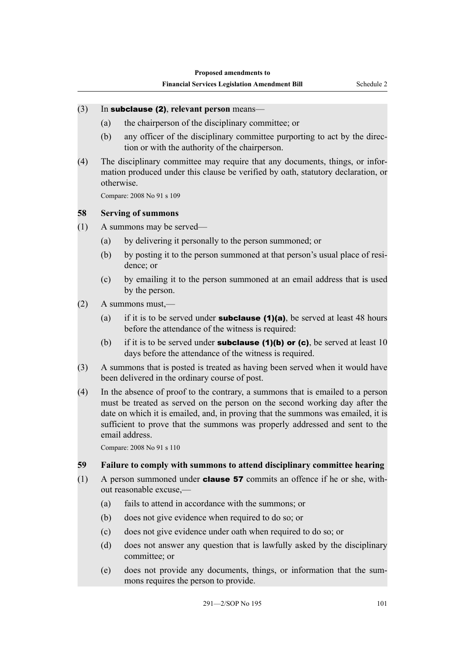## <span id="page-106-0"></span>(3) In subclause (2), **relevant person** means—

- (a) the chairperson of the disciplinary committee; or
- (b) any officer of the disciplinary committee purporting to act by the direction or with the authority of the chairperson.
- (4) The disciplinary committee may require that any documents, things, or information produced under this clause be verified by oath, statutory declaration, or otherwise.

Compare: 2008 No 91 s 109

#### **58 Serving of summons**

- (1) A summons may be served—
	- (a) by delivering it personally to the person summoned; or
	- (b) by posting it to the person summoned at that person's usual place of residence; or
	- (c) by emailing it to the person summoned at an email address that is used by the person.
- (2) A summons must,—
	- (a) if it is to be served under **subclause (1)(a)**, be served at least 48 hours before the attendance of the witness is required:
	- (b) if it is to be served under **subclause (1)(b) or (c)**, be served at least 10 days before the attendance of the witness is required.
- (3) A summons that is posted is treated as having been served when it would have been delivered in the ordinary course of post.
- (4) In the absence of proof to the contrary, a summons that is emailed to a person must be treated as served on the person on the second working day after the date on which it is emailed, and, in proving that the summons was emailed, it is sufficient to prove that the summons was properly addressed and sent to the email address.

Compare: 2008 No 91 s 110

#### **59 Failure to comply with summons to attend disciplinary committee hearing**

- (1) A person summoned under **clause 57** commits an offence if he or she, without reasonable excuse,—
	- (a) fails to attend in accordance with the summons; or
	- (b) does not give evidence when required to do so; or
	- (c) does not give evidence under oath when required to do so; or
	- (d) does not answer any question that is lawfully asked by the disciplinary committee; or
	- (e) does not provide any documents, things, or information that the summons requires the person to provide.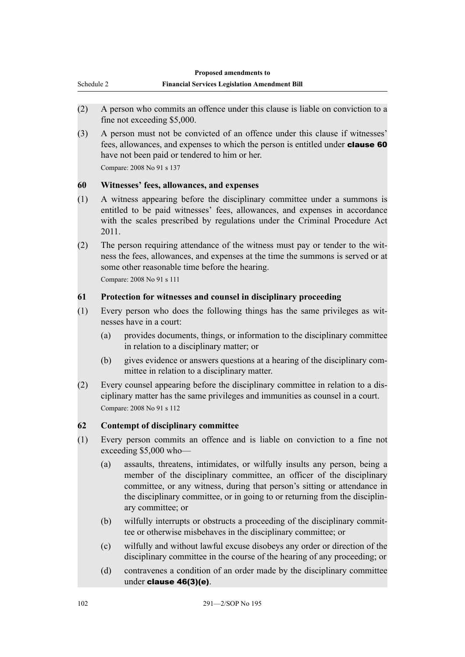<span id="page-107-0"></span>

- (2) A person who commits an offence under this clause is liable on conviction to a fine not exceeding \$5,000.
- (3) A person must not be convicted of an offence under this clause if witnesses' fees, allowances, and expenses to which the person is entitled under clause 60 have not been paid or tendered to him or her.

Compare: 2008 No 91 s 137

## **60 Witnesses' fees, allowances, and expenses**

- (1) A witness appearing before the disciplinary committee under a summons is entitled to be paid witnesses' fees, allowances, and expenses in accordance with the scales prescribed by regulations under the Criminal Procedure Act 2011.
- (2) The person requiring attendance of the witness must pay or tender to the witness the fees, allowances, and expenses at the time the summons is served or at some other reasonable time before the hearing.

Compare: 2008 No 91 s 111

# **61 Protection for witnesses and counsel in disciplinary proceeding**

- (1) Every person who does the following things has the same privileges as witnesses have in a court:
	- (a) provides documents, things, or information to the disciplinary committee in relation to a disciplinary matter; or
	- (b) gives evidence or answers questions at a hearing of the disciplinary committee in relation to a disciplinary matter.
- (2) Every counsel appearing before the disciplinary committee in relation to a disciplinary matter has the same privileges and immunities as counsel in a court. Compare: 2008 No 91 s 112

# **62 Contempt of disciplinary committee**

- (1) Every person commits an offence and is liable on conviction to a fine not exceeding \$5,000 who—
	- (a) assaults, threatens, intimidates, or wilfully insults any person, being a member of the disciplinary committee, an officer of the disciplinary committee, or any witness, during that person's sitting or attendance in the disciplinary committee, or in going to or returning from the disciplinary committee; or
	- (b) wilfully interrupts or obstructs a proceeding of the disciplinary committee or otherwise misbehaves in the disciplinary committee; or
	- (c) wilfully and without lawful excuse disobeys any order or direction of the disciplinary committee in the course of the hearing of any proceeding; or
	- (d) contravenes a condition of an order made by the disciplinary committee under clause 46(3)(e).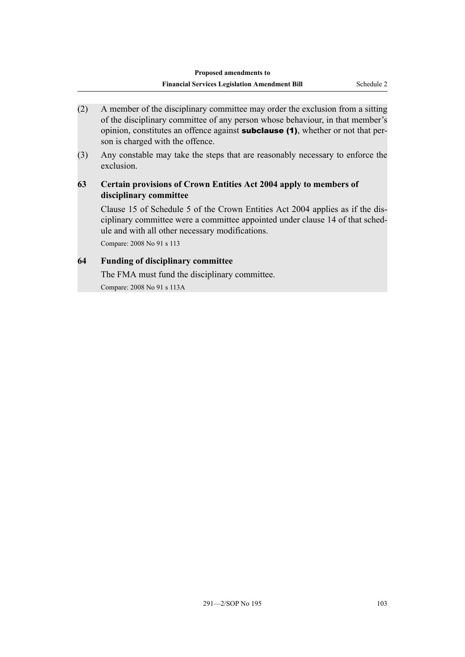- (2) A member of the disciplinary committee may order the exclusion from a sitting of the disciplinary committee of any person whose behaviour, in that member's opinion, constitutes an offence against **subclause (1)**, whether or not that person is charged with the offence.
- (3) Any constable may take the steps that are reasonably necessary to enforce the exclusion.

### **63 Certain provisions of Crown Entities Act 2004 apply to members of disciplinary committee**

Clause 15 of Schedule 5 of the Crown Entities Act 2004 applies as if the disciplinary committee were a committee appointed under clause 14 of that schedule and with all other necessary modifications.

Compare: 2008 No 91 s 113

## **64 Funding of disciplinary committee**

The FMA must fund the disciplinary committee. Compare: 2008 No 91 s 113A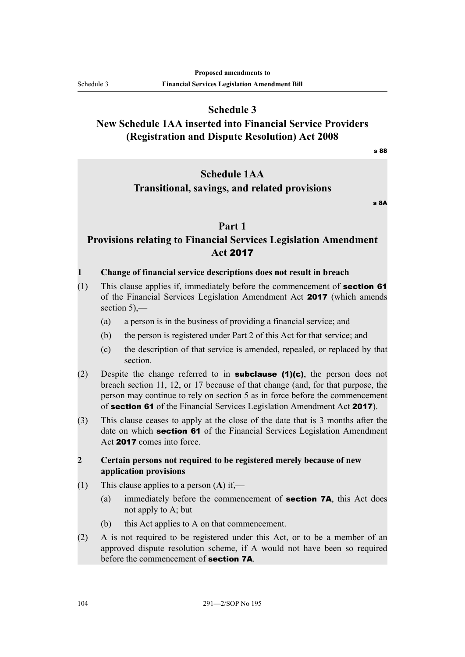**Schedule 3**

# **New Schedule 1AA inserted into Financial Service Providers (Registration and Dispute Resolution) Act 2008**

s 88

# **Schedule 1AA**

## **Transitional, savings, and related provisions**

 $S$  8A

## **Part 1**

# **Provisions relating to Financial Services Legislation Amendment Act** 2017

#### **1 Change of financial service descriptions does not result in breach**

- $(1)$  This clause applies if, immediately before the commencement of **section 61** of the Financial Services Legislation Amendment Act 2017 (which amends section 5),—
	- (a) a person is in the business of providing a financial service; and
	- (b) the person is registered under Part 2 of this Act for that service; and
	- (c) the description of that service is amended, repealed, or replaced by that section.
- (2) Despite the change referred to in **subclause (1)(c)**, the person does not breach section 11, 12, or 17 because of that change (and, for that purpose, the person may continue to rely on section 5 as in force before the commencement of section 61 of the Financial Services Legislation Amendment Act 2017).
- (3) This clause ceases to apply at the close of the date that is 3 months after the date on which **section 61** of the Financial Services Legislation Amendment Act 2017 comes into force.

#### **2 Certain persons not required to be registered merely because of new application provisions**

- (1) This clause applies to a person (**A**) if,—
	- (a) immediately before the commencement of section 7A, this Act does not apply to A; but
	- (b) this Act applies to A on that commencement.
- (2) A is not required to be registered under this Act, or to be a member of an approved dispute resolution scheme, if A would not have been so required before the commencement of section 7A.

Schedule 3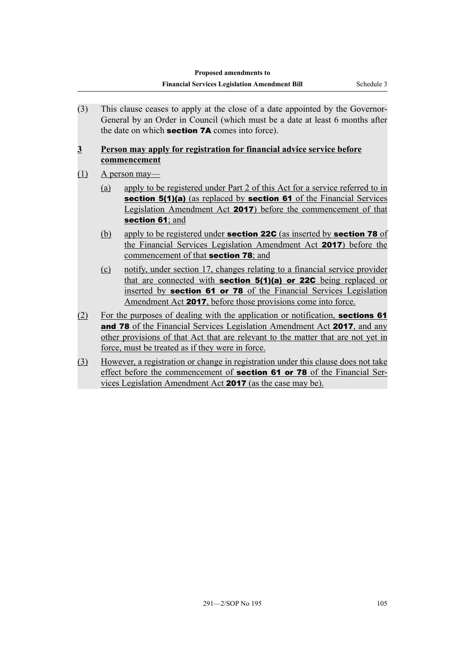(3) This clause ceases to apply at the close of a date appointed by the Governor-General by an Order in Council (which must be a date at least 6 months after the date on which **section 7A** comes into force).

#### **3 Person may apply for registration for financial advice service before commencement**

## (1) A person may—

- (a) apply to be registered under Part 2 of this Act for a service referred to in section 5(1)(a) (as replaced by section 61 of the Financial Services Legislation Amendment Act 2017) before the commencement of that section 61; and
- (b) apply to be registered under **section 22C** (as inserted by **section 78** of the Financial Services Legislation Amendment Act 2017) before the commencement of that section 78; and
- (c) notify, under section 17, changes relating to a financial service provider that are connected with **section 5(1)(a) or 22C** being replaced or inserted by section 61 or 78 of the Financial Services Legislation Amendment Act 2017, before those provisions come into force.
- (2) For the purposes of dealing with the application or notification, sections 61 and 78 of the Financial Services Legislation Amendment Act 2017, and any other provisions of that Act that are relevant to the matter that are not yet in force, must be treated as if they were in force.
- (3) However, a registration or change in registration under this clause does not take effect before the commencement of **section 61 or 78** of the Financial Services Legislation Amendment Act 2017 (as the case may be).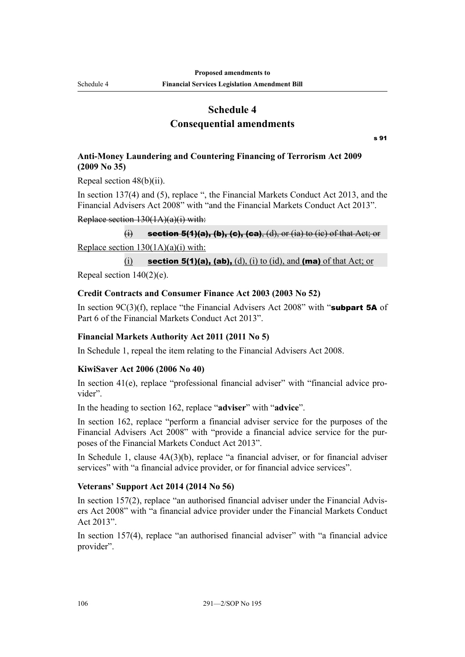Schedule 4

**Financial Services Legislation Amendment Bill**

## **Schedule 4 Consequential amendments**

s 91

## **Anti-Money Laundering and Countering Financing of Terrorism Act 2009 (2009 No 35)**

Repeal section 48(b)(ii).

In section 137(4) and (5), replace ", the Financial Markets Conduct Act 2013, and the Financial Advisers Act 2008" with "and the Financial Markets Conduct Act 2013".

#### Replace section 130(1A)(a)(i) with:

(i) section 5(1)(a), (b), (c), (ca), (d), or (ia) to (ic) of that Act; or Replace section  $130(1A)(a)(i)$  with:

## (i) section 5(1)(a), (ab), (d), (i) to (id), and (ma) of that Act; or

Repeal section  $140(2)(e)$ .

#### **Credit Contracts and Consumer Finance Act 2003 (2003 No 52)**

In section 9C(3)(f), replace "the Financial Advisers Act 2008" with "subpart 5A of Part 6 of the Financial Markets Conduct Act 2013".

#### **Financial Markets Authority Act 2011 (2011 No 5)**

In Schedule 1, repeal the item relating to the Financial Advisers Act 2008.

#### **KiwiSaver Act 2006 (2006 No 40)**

In section 41(e), replace "professional financial adviser" with "financial advice provider".

In the heading to section 162, replace "**adviser**" with "**advice**".

In section 162, replace "perform a financial adviser service for the purposes of the Financial Advisers Act 2008" with "provide a financial advice service for the purposes of the Financial Markets Conduct Act 2013".

In Schedule 1, clause 4A(3)(b), replace "a financial adviser, or for financial adviser services" with "a financial advice provider, or for financial advice services".

#### **Veterans' Support Act 2014 (2014 No 56)**

In section 157(2), replace "an authorised financial adviser under the Financial Advisers Act 2008" with "a financial advice provider under the Financial Markets Conduct Act 2013".

In section 157(4), replace "an authorised financial adviser" with "a financial advice provider".